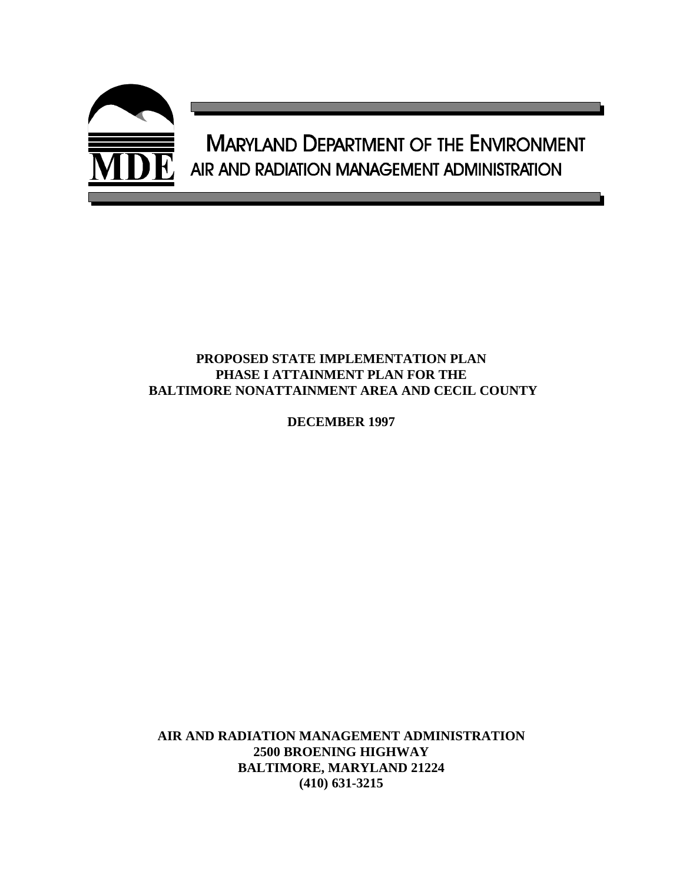

### **PROPOSED STATE IMPLEMENTATION PLAN PHASE I ATTAINMENT PLAN FOR THE BALTIMORE NONATTAINMENT AREA AND CECIL COUNTY**

**DECEMBER 1997**

**AIR AND RADIATION MANAGEMENT ADMINISTRATION 2500 BROENING HIGHWAY BALTIMORE, MARYLAND 21224 (410) 631-3215**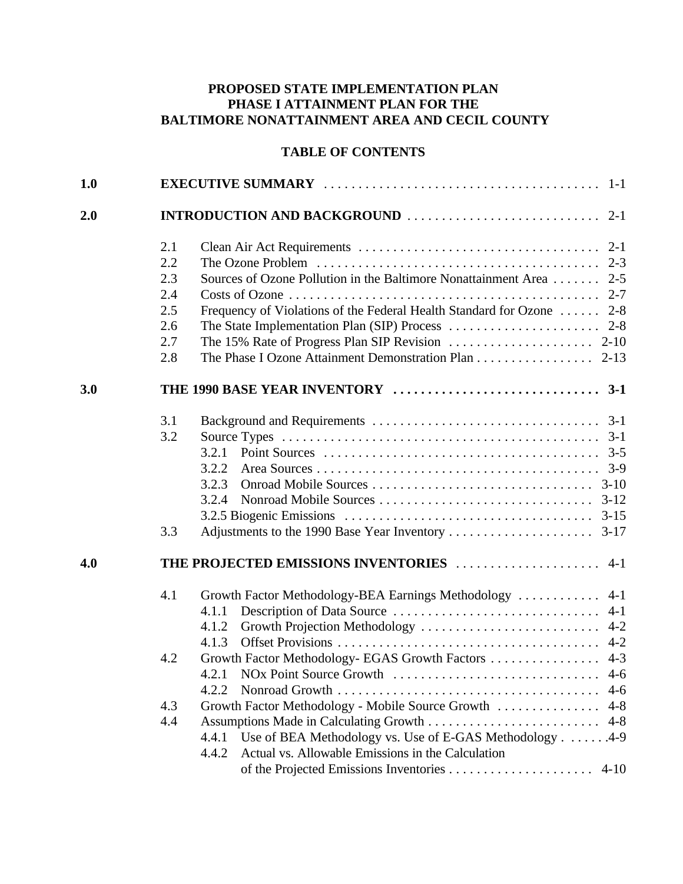# **PROPOSED STATE IMPLEMENTATION PLAN PHASE I ATTAINMENT PLAN FOR THE BALTIMORE NONATTAINMENT AREA AND CECIL COUNTY**

## **TABLE OF CONTENTS**

| 2.1 |                                                                                                              |
|-----|--------------------------------------------------------------------------------------------------------------|
| 2.2 |                                                                                                              |
| 2.3 | Sources of Ozone Pollution in the Baltimore Nonattainment Area 2-5                                           |
| 2.4 |                                                                                                              |
|     | Frequency of Violations of the Federal Health Standard for Ozone  2-8                                        |
| 2.6 |                                                                                                              |
| 2.7 | The 15% Rate of Progress Plan SIP Revision $\ldots \ldots \ldots \ldots \ldots \ldots$ 2-10                  |
| 2.8 | The Phase I Ozone Attainment Demonstration Plan 2-13                                                         |
|     |                                                                                                              |
| 3.1 |                                                                                                              |
| 3.2 | Source Types $\dots \dots \dots \dots \dots \dots \dots \dots \dots \dots \dots \dots \dots \dots \dots$ 3-1 |
|     | 3.2.1                                                                                                        |
|     | 3.2.2                                                                                                        |
|     | 3.2.3                                                                                                        |
|     | 3.2.4                                                                                                        |
|     | 3.2.5 Biogenic Emissions $\ldots \ldots \ldots \ldots \ldots \ldots \ldots \ldots \ldots \ldots \ldots$ 3-15 |
| 3.3 |                                                                                                              |
|     | THE PROJECTED EMISSIONS INVENTORIES  4-1                                                                     |
| 4.1 | Growth Factor Methodology-BEA Earnings Methodology<br>$4-1$                                                  |
|     | 4.1.1                                                                                                        |
|     | 4.1.2                                                                                                        |
|     | 4.1.3                                                                                                        |
| 4.2 | Growth Factor Methodology-EGAS Growth Factors  4-3                                                           |
|     |                                                                                                              |
|     | 4.2.2                                                                                                        |
| 4.3 | Growth Factor Methodology - Mobile Source Growth  4-8                                                        |
| 4.4 | $4 - 8$                                                                                                      |
|     | Use of BEA Methodology vs. Use of E-GAS Methodology 4-9<br>4.4.1                                             |
|     | Actual vs. Allowable Emissions in the Calculation<br>4.4.2                                                   |
|     |                                                                                                              |
|     | 2.5                                                                                                          |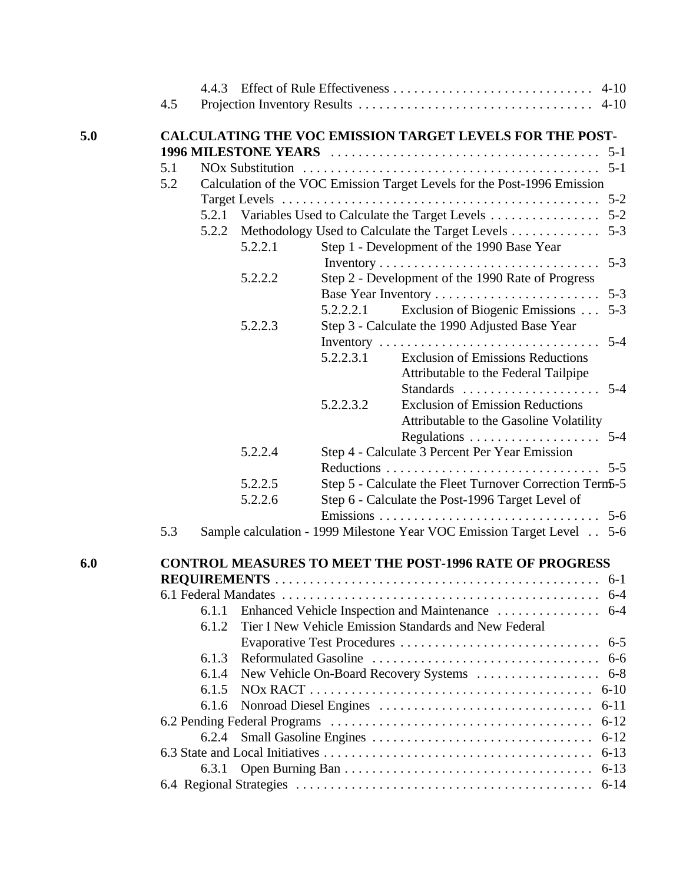|     | 4.5 |       |                     |           |                                                                          |          |
|-----|-----|-------|---------------------|-----------|--------------------------------------------------------------------------|----------|
| 5.0 |     |       |                     |           | <b>CALCULATING THE VOC EMISSION TARGET LEVELS FOR THE POST-</b>          |          |
|     |     |       |                     |           |                                                                          |          |
|     | 5.1 |       |                     |           |                                                                          |          |
|     | 5.2 |       |                     |           | Calculation of the VOC Emission Target Levels for the Post-1996 Emission |          |
|     |     |       |                     |           |                                                                          |          |
|     |     |       |                     |           | 5.2.1 Variables Used to Calculate the Target Levels 5-2                  |          |
|     |     | 5.2.2 |                     |           | Methodology Used to Calculate the Target Levels                          | $5 - 3$  |
|     |     |       | 5.2.2.1             |           | Step 1 - Development of the 1990 Base Year                               |          |
|     |     |       |                     |           |                                                                          |          |
|     |     |       | 5.2.2.2             |           | Step 2 - Development of the 1990 Rate of Progress                        |          |
|     |     |       |                     |           |                                                                          |          |
|     |     |       |                     | 5.2.2.2.1 | Exclusion of Biogenic Emissions                                          | $5 - 3$  |
|     |     |       | 5.2.2.3             |           | Step 3 - Calculate the 1990 Adjusted Base Year                           |          |
|     |     |       |                     |           | Inventory                                                                | $5 - 4$  |
|     |     |       |                     | 5.2.2.3.1 | <b>Exclusion of Emissions Reductions</b>                                 |          |
|     |     |       |                     |           | Attributable to the Federal Tailpipe                                     |          |
|     |     |       |                     |           |                                                                          |          |
|     |     |       |                     | 5.2.2.3.2 | <b>Exclusion of Emission Reductions</b>                                  |          |
|     |     |       |                     |           | Attributable to the Gasoline Volatility                                  |          |
|     |     |       |                     |           |                                                                          |          |
|     |     |       | 5.2.2.4             |           | Step 4 - Calculate 3 Percent Per Year Emission                           |          |
|     |     |       |                     |           |                                                                          |          |
|     |     |       | 5.2.2.5             |           | Step 5 - Calculate the Fleet Turnover Correction Tern5-5                 |          |
|     |     |       | 5.2.2.6             |           | Step 6 - Calculate the Post-1996 Target Level of                         |          |
|     |     |       |                     |           |                                                                          |          |
|     | 5.3 |       |                     |           | Sample calculation - 1999 Milestone Year VOC Emission Target Level 5-6   |          |
| 6.0 |     |       |                     |           | <b>CONTROL MEASURES TO MEET THE POST-1996 RATE OF PROGRESS</b>           |          |
|     |     |       | <b>REOUIREMENTS</b> |           |                                                                          |          |
|     |     |       |                     |           |                                                                          |          |
|     |     | 6.1.1 |                     |           |                                                                          |          |
|     |     | 6.1.2 |                     |           | Tier I New Vehicle Emission Standards and New Federal                    |          |
|     |     |       |                     |           |                                                                          | $6 - 5$  |
|     |     | 6.1.3 |                     |           |                                                                          | $6-6$    |
|     |     | 6.1.4 |                     |           |                                                                          |          |
|     |     | 6.1.5 |                     |           |                                                                          |          |
|     |     | 6.1.6 |                     |           |                                                                          | $6 - 11$ |
|     |     |       |                     |           |                                                                          |          |
|     |     | 6.2.4 |                     |           |                                                                          |          |
|     |     |       |                     |           |                                                                          | $6 - 13$ |
|     |     | 6.3.1 |                     |           |                                                                          | $6 - 13$ |
|     |     |       |                     |           |                                                                          |          |
|     |     |       |                     |           |                                                                          |          |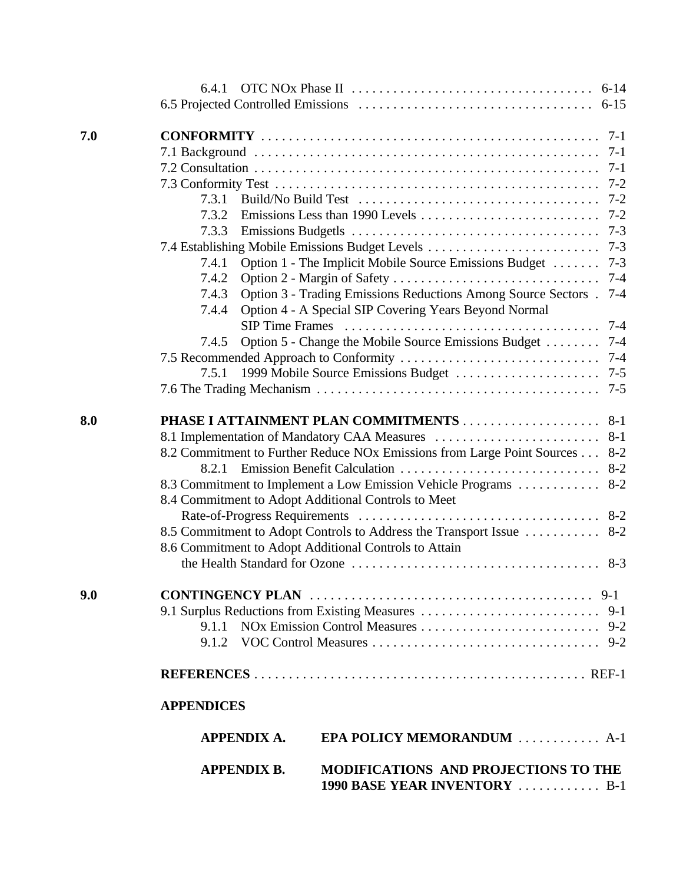|            | 6.4.1                                                                                                                                                                                                                                                                                                                                                     |         |
|------------|-----------------------------------------------------------------------------------------------------------------------------------------------------------------------------------------------------------------------------------------------------------------------------------------------------------------------------------------------------------|---------|
|            |                                                                                                                                                                                                                                                                                                                                                           |         |
| 7.0        |                                                                                                                                                                                                                                                                                                                                                           | $7-1$   |
|            |                                                                                                                                                                                                                                                                                                                                                           | $7-1$   |
|            |                                                                                                                                                                                                                                                                                                                                                           | $7-1$   |
|            |                                                                                                                                                                                                                                                                                                                                                           | $7 - 2$ |
|            | 7.3.1                                                                                                                                                                                                                                                                                                                                                     |         |
|            | 7.3.2                                                                                                                                                                                                                                                                                                                                                     |         |
|            | 7.3.3                                                                                                                                                                                                                                                                                                                                                     |         |
|            |                                                                                                                                                                                                                                                                                                                                                           |         |
|            | Option 1 - The Implicit Mobile Source Emissions Budget  7-3<br>7.4.1                                                                                                                                                                                                                                                                                      |         |
|            | 7.4.2                                                                                                                                                                                                                                                                                                                                                     | $7 - 4$ |
|            | Option 3 - Trading Emissions Reductions Among Source Sectors .<br>7.4.3                                                                                                                                                                                                                                                                                   | $7 - 4$ |
|            | Option 4 - A Special SIP Covering Years Beyond Normal<br>7.4.4                                                                                                                                                                                                                                                                                            |         |
|            |                                                                                                                                                                                                                                                                                                                                                           |         |
|            | Option 5 - Change the Mobile Source Emissions Budget 7-4<br>7.4.5                                                                                                                                                                                                                                                                                         |         |
|            |                                                                                                                                                                                                                                                                                                                                                           |         |
|            | 7.5.1                                                                                                                                                                                                                                                                                                                                                     |         |
|            |                                                                                                                                                                                                                                                                                                                                                           |         |
| 8.0<br>9.0 | 8.2 Commitment to Further Reduce NOx Emissions from Large Point Sources 8-2<br>8.2.1<br>8.3 Commitment to Implement a Low Emission Vehicle Programs  8-2<br>8.4 Commitment to Adopt Additional Controls to Meet<br>8.5 Commitment to Adopt Controls to Address the Transport Issue  8-2<br>8.6 Commitment to Adopt Additional Controls to Attain<br>9.1.1 |         |
|            |                                                                                                                                                                                                                                                                                                                                                           |         |
|            |                                                                                                                                                                                                                                                                                                                                                           |         |
|            | <b>APPENDICES</b>                                                                                                                                                                                                                                                                                                                                         |         |
|            | EPA POLICY MEMORANDUM  A-1<br><b>APPENDIX A.</b>                                                                                                                                                                                                                                                                                                          |         |
|            | MODIFICATIONS AND PROJECTIONS TO THE<br><b>APPENDIX B.</b><br>1990 BASE YEAR INVENTORY  B-1                                                                                                                                                                                                                                                               |         |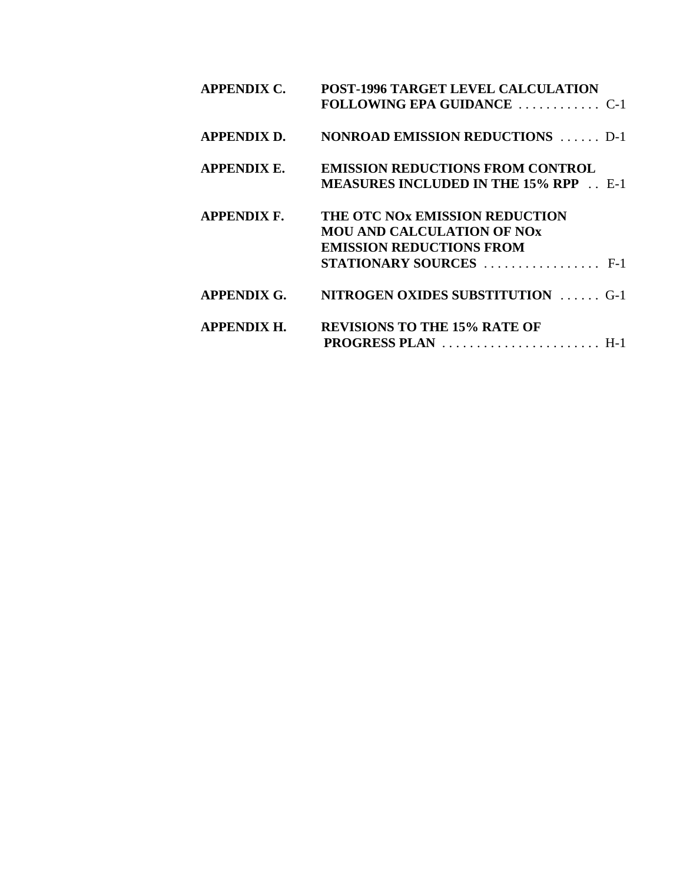| <b>APPENDIX C.</b> | POST-1996 TARGET LEVEL CALCULATION                                  |
|--------------------|---------------------------------------------------------------------|
| <b>APPENDIX D.</b> | <b>NONROAD EMISSION REDUCTIONS</b> D-1                              |
| <b>APPENDIX E.</b> | <b>EMISSION REDUCTIONS FROM CONTROL</b>                             |
|                    | <b>MEASURES INCLUDED IN THE 15% RPP</b> E-1                         |
| <b>APPENDIX F.</b> | THE OTC NOX EMISSION REDUCTION                                      |
|                    | <b>MOU AND CALCULATION OF NOX</b>                                   |
|                    | <b>EMISSION REDUCTIONS FROM</b>                                     |
|                    | <b>STATIONARY SOURCES</b> $\ldots$ $\ldots$ $\ldots$ $\ldots$ . F-1 |
| <b>APPENDIX G.</b> | <b>NITROGEN OXIDES SUBSTITUTION</b> G-1                             |
| <b>APPENDIX H.</b> | <b>REVISIONS TO THE 15% RATE OF</b>                                 |
|                    | PROGRESS PLAN  H-1                                                  |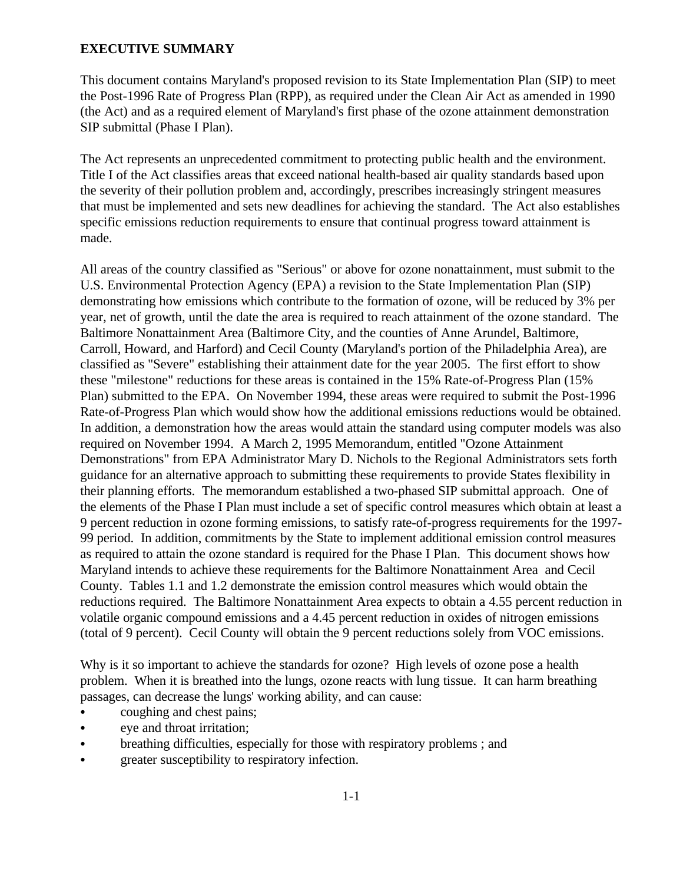#### **EXECUTIVE SUMMARY**

This document contains Maryland's proposed revision to its State Implementation Plan (SIP) to meet the Post-1996 Rate of Progress Plan (RPP), as required under the Clean Air Act as amended in 1990 (the Act) and as a required element of Maryland's first phase of the ozone attainment demonstration SIP submittal (Phase I Plan).

The Act represents an unprecedented commitment to protecting public health and the environment. Title I of the Act classifies areas that exceed national health-based air quality standards based upon the severity of their pollution problem and, accordingly, prescribes increasingly stringent measures that must be implemented and sets new deadlines for achieving the standard. The Act also establishes specific emissions reduction requirements to ensure that continual progress toward attainment is made.

All areas of the country classified as "Serious" or above for ozone nonattainment, must submit to the U.S. Environmental Protection Agency (EPA) a revision to the State Implementation Plan (SIP) demonstrating how emissions which contribute to the formation of ozone, will be reduced by 3% per year, net of growth, until the date the area is required to reach attainment of the ozone standard. The Baltimore Nonattainment Area (Baltimore City, and the counties of Anne Arundel, Baltimore, Carroll, Howard, and Harford) and Cecil County (Maryland's portion of the Philadelphia Area), are classified as "Severe" establishing their attainment date for the year 2005. The first effort to show these "milestone" reductions for these areas is contained in the 15% Rate-of-Progress Plan (15% Plan) submitted to the EPA. On November 1994, these areas were required to submit the Post-1996 Rate-of-Progress Plan which would show how the additional emissions reductions would be obtained. In addition, a demonstration how the areas would attain the standard using computer models was also required on November 1994. A March 2, 1995 Memorandum, entitled "Ozone Attainment Demonstrations" from EPA Administrator Mary D. Nichols to the Regional Administrators sets forth guidance for an alternative approach to submitting these requirements to provide States flexibility in their planning efforts. The memorandum established a two-phased SIP submittal approach. One of the elements of the Phase I Plan must include a set of specific control measures which obtain at least a 9 percent reduction in ozone forming emissions, to satisfy rate-of-progress requirements for the 1997- 99 period. In addition, commitments by the State to implement additional emission control measures as required to attain the ozone standard is required for the Phase I Plan. This document shows how Maryland intends to achieve these requirements for the Baltimore Nonattainment Area and Cecil County. Tables 1.1 and 1.2 demonstrate the emission control measures which would obtain the reductions required. The Baltimore Nonattainment Area expects to obtain a 4.55 percent reduction in volatile organic compound emissions and a 4.45 percent reduction in oxides of nitrogen emissions (total of 9 percent). Cecil County will obtain the 9 percent reductions solely from VOC emissions.

Why is it so important to achieve the standards for ozone? High levels of ozone pose a health problem. When it is breathed into the lungs, ozone reacts with lung tissue. It can harm breathing passages, can decrease the lungs' working ability, and can cause:

- coughing and chest pains;
- eye and throat irritation;
- breathing difficulties, especially for those with respiratory problems; and
- greater susceptibility to respiratory infection.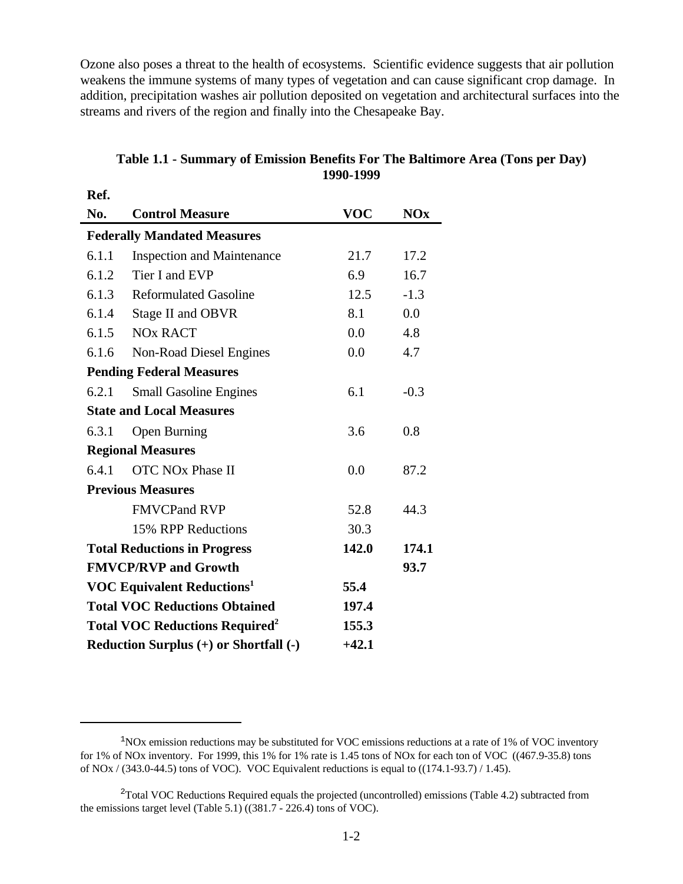Ozone also poses a threat to the health of ecosystems. Scientific evidence suggests that air pollution weakens the immune systems of many types of vegetation and can cause significant crop damage. In addition, precipitation washes air pollution deposited on vegetation and architectural surfaces into the streams and rivers of the region and finally into the Chesapeake Bay.

| Ref.  |                                                           |            |            |  |  |
|-------|-----------------------------------------------------------|------------|------------|--|--|
| No.   | <b>Control Measure</b>                                    | <b>VOC</b> | <b>NOx</b> |  |  |
|       | <b>Federally Mandated Measures</b>                        |            |            |  |  |
| 6.1.1 | <b>Inspection and Maintenance</b>                         | 21.7       | 17.2       |  |  |
| 6.1.2 | Tier I and EVP                                            | 6.9        | 16.7       |  |  |
| 6.1.3 | <b>Reformulated Gasoline</b>                              | 12.5       | $-1.3$     |  |  |
| 6.1.4 | Stage II and OBVR                                         | 8.1        | 0.0        |  |  |
| 6.1.5 | <b>NO<sub>x</sub></b> RACT                                | 0.0        | 4.8        |  |  |
| 6.1.6 | Non-Road Diesel Engines                                   | 0.0        | 4.7        |  |  |
|       | <b>Pending Federal Measures</b>                           |            |            |  |  |
| 6.2.1 | <b>Small Gasoline Engines</b>                             | 6.1        | $-0.3$     |  |  |
|       | <b>State and Local Measures</b>                           |            |            |  |  |
| 6.3.1 | <b>Open Burning</b>                                       | 3.6        | 0.8        |  |  |
|       | <b>Regional Measures</b>                                  |            |            |  |  |
| 6.4.1 | <b>OTC NO<sub>x</sub></b> Phase II                        | 0.0        | 87.2       |  |  |
|       | <b>Previous Measures</b>                                  |            |            |  |  |
|       | <b>FMVCPand RVP</b>                                       | 52.8       | 44.3       |  |  |
|       | 15% RPP Reductions                                        | 30.3       |            |  |  |
|       | <b>Total Reductions in Progress</b>                       | 142.0      | 174.1      |  |  |
|       | <b>FMVCP/RVP and Growth</b>                               |            | 93.7       |  |  |
|       | <b>VOC Equivalent Reductions</b> <sup>1</sup>             | 55.4       |            |  |  |
|       | <b>Total VOC Reductions Obtained</b><br>197.4             |            |            |  |  |
|       | <b>Total VOC Reductions Required<sup>2</sup></b><br>155.3 |            |            |  |  |
|       | Reduction Surplus (+) or Shortfall (-)                    | $+42.1$    |            |  |  |

### **Table 1.1 - Summary of Emission Benefits For The Baltimore Area (Tons per Day) 1990-1999**

 $1NOX$  emission reductions may be substituted for VOC emissions reductions at a rate of 1% of VOC inventory for 1% of NOx inventory. For 1999, this 1% for 1% rate is 1.45 tons of NOx for each ton of VOC ((467.9-35.8) tons of NOx  $/$  (343.0-44.5) tons of VOC). VOC Equivalent reductions is equal to ((174.1-93.7)  $/$  1.45).

 $2$ Total VOC Reductions Required equals the projected (uncontrolled) emissions (Table 4.2) subtracted from the emissions target level (Table 5.1) ((381.7 - 226.4) tons of VOC).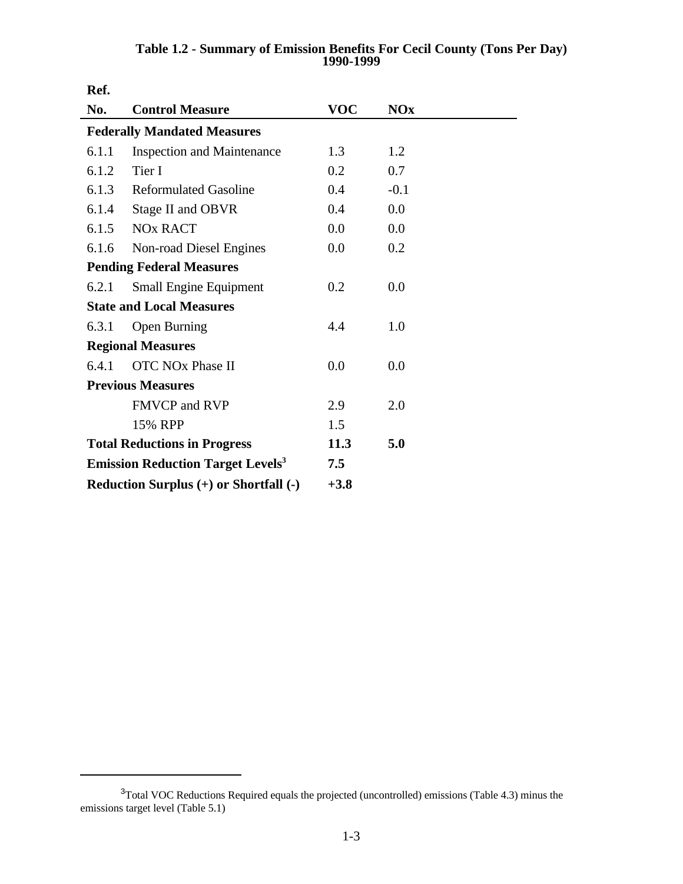| Ref.  |                                                             |            |            |  |
|-------|-------------------------------------------------------------|------------|------------|--|
| No.   | <b>Control Measure</b>                                      | <b>VOC</b> | <b>NOx</b> |  |
|       | <b>Federally Mandated Measures</b>                          |            |            |  |
| 6.1.1 | <b>Inspection and Maintenance</b>                           | 1.3        | 1.2        |  |
| 6.1.2 | Tier I                                                      | 0.2        | 0.7        |  |
| 6.1.3 | <b>Reformulated Gasoline</b>                                | 0.4        | $-0.1$     |  |
| 6.1.4 | Stage II and OBVR                                           | 0.4        | 0.0        |  |
| 6.1.5 | <b>NO<sub>x</sub></b> RACT                                  | 0.0        | 0.0        |  |
| 6.1.6 | Non-road Diesel Engines                                     | 0.0        | 0.2        |  |
|       | <b>Pending Federal Measures</b>                             |            |            |  |
| 6.2.1 | <b>Small Engine Equipment</b>                               | 0.2        | 0.0        |  |
|       | <b>State and Local Measures</b>                             |            |            |  |
| 6.3.1 | <b>Open Burning</b>                                         | 4.4        | 1.0        |  |
|       | <b>Regional Measures</b>                                    |            |            |  |
| 6.4.1 | OTC NO <sub>x</sub> Phase II                                | 0.0        | 0.0        |  |
|       | <b>Previous Measures</b>                                    |            |            |  |
|       | <b>FMVCP</b> and RVP                                        | 2.9        | 2.0        |  |
|       | 15% RPP                                                     | 1.5        |            |  |
|       | 11.3<br>5.0<br><b>Total Reductions in Progress</b>          |            |            |  |
|       | <b>Emission Reduction Target Levels</b> <sup>3</sup><br>7.5 |            |            |  |
|       | Reduction Surplus (+) or Shortfall (-)<br>$+3.8$            |            |            |  |

**Table 1.2 - Summary of Emission Benefits For Cecil County (Tons Per Day) 1990-1999**

<sup>&</sup>lt;sup>3</sup>Total VOC Reductions Required equals the projected (uncontrolled) emissions (Table 4.3) minus the emissions target level (Table 5.1)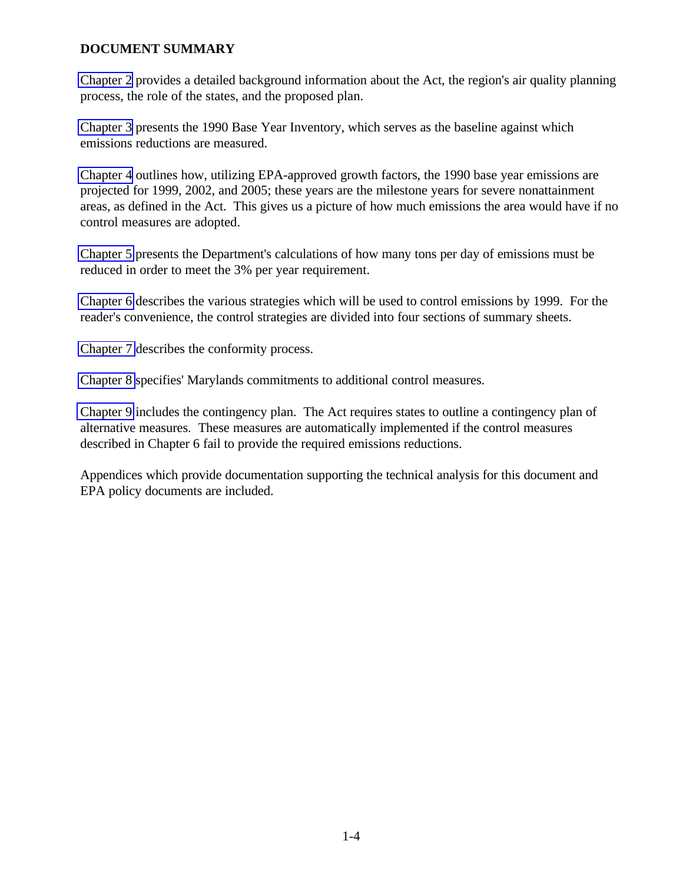### **DOCUMENT SUMMARY**

[Chapter 2](#page-9-0) provides a detailed background information about the Act, the region's air quality planning process, the role of the states, and the proposed plan.

[Chapter 3](#page-22-0) presents the 1990 Base Year Inventory, which serves as the baseline against which emissions reductions are measured.

[Chapter 4](#page-40-0) outlines how, utilizing EPA-approved growth factors, the 1990 base year emissions are projected for 1999, 2002, and 2005; these years are the milestone years for severe nonattainment areas, as defined in the Act. This gives us a picture of how much emissions the area would have if no control measures are adopted.

[Chapter 5](#page-51-0) presents the Department's calculations of how many tons per day of emissions must be reduced in order to meet the 3% per year requirement.

[Chapter 6](#page-58-0) describes the various strategies which will be used to control emissions by 1999. For the reader's convenience, the control strategies are divided into four sections of summary sheets.

[Chapter 7](#page-73-0) describes the conformity process.

[Chapter 8](#page-79-0) specifies' Marylands commitments to additional control measures.

[Chapter 9](#page-82-0) includes the contingency plan. The Act requires states to outline a contingency plan of alternative measures. These measures are automatically implemented if the control measures described in Chapter 6 fail to provide the required emissions reductions.

Appendices which provide documentation supporting the technical analysis for this document and EPA policy documents are included.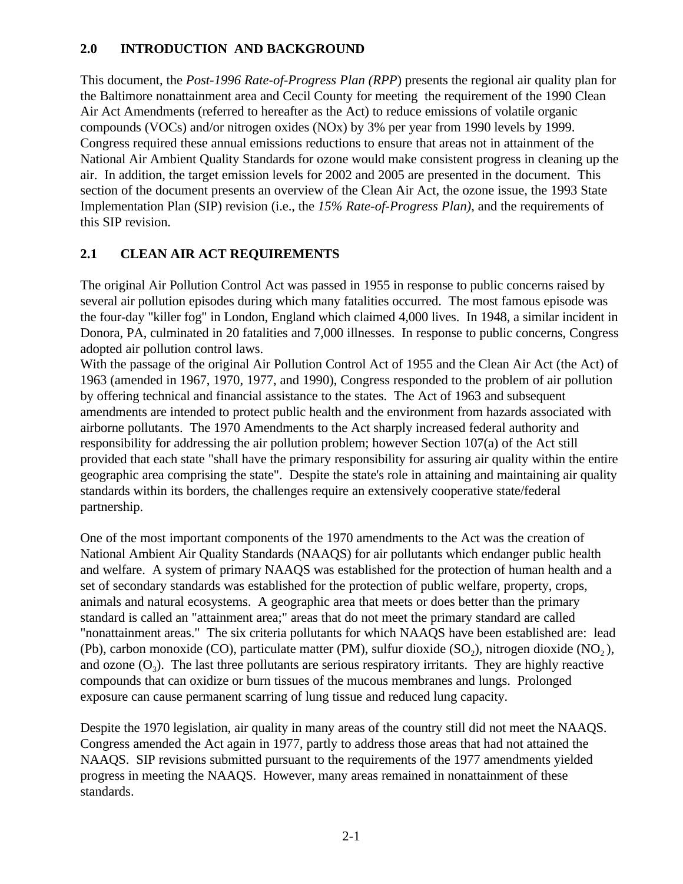## <span id="page-9-0"></span>**2.0 INTRODUCTION AND BACKGROUND**

This document, the *Post-1996 Rate-of-Progress Plan (RPP*) presents the regional air quality plan for the Baltimore nonattainment area and Cecil County for meeting the requirement of the 1990 Clean Air Act Amendments (referred to hereafter as the Act) to reduce emissions of volatile organic compounds (VOCs) and/or nitrogen oxides (NOx) by 3% per year from 1990 levels by 1999. Congress required these annual emissions reductions to ensure that areas not in attainment of the National Air Ambient Quality Standards for ozone would make consistent progress in cleaning up the air. In addition, the target emission levels for 2002 and 2005 are presented in the document. This section of the document presents an overview of the Clean Air Act, the ozone issue, the 1993 State Implementation Plan (SIP) revision (i.e., the *15% Rate-of-Progress Plan)*, and the requirements of this SIP revision.

# **2.1 CLEAN AIR ACT REQUIREMENTS**

The original Air Pollution Control Act was passed in 1955 in response to public concerns raised by several air pollution episodes during which many fatalities occurred. The most famous episode was the four-day "killer fog" in London, England which claimed 4,000 lives. In 1948, a similar incident in Donora, PA, culminated in 20 fatalities and 7,000 illnesses. In response to public concerns, Congress adopted air pollution control laws.

With the passage of the original Air Pollution Control Act of 1955 and the Clean Air Act (the Act) of 1963 (amended in 1967, 1970, 1977, and 1990), Congress responded to the problem of air pollution by offering technical and financial assistance to the states. The Act of 1963 and subsequent amendments are intended to protect public health and the environment from hazards associated with airborne pollutants. The 1970 Amendments to the Act sharply increased federal authority and responsibility for addressing the air pollution problem; however Section 107(a) of the Act still provided that each state "shall have the primary responsibility for assuring air quality within the entire geographic area comprising the state". Despite the state's role in attaining and maintaining air quality standards within its borders, the challenges require an extensively cooperative state/federal partnership.

One of the most important components of the 1970 amendments to the Act was the creation of National Ambient Air Quality Standards (NAAQS) for air pollutants which endanger public health and welfare. A system of primary NAAQS was established for the protection of human health and a set of secondary standards was established for the protection of public welfare, property, crops, animals and natural ecosystems. A geographic area that meets or does better than the primary standard is called an "attainment area;" areas that do not meet the primary standard are called "nonattainment areas." The six criteria pollutants for which NAAQS have been established are: lead (Pb), carbon monoxide (CO), particulate matter (PM), sulfur dioxide  $(SO<sub>2</sub>)$ , nitrogen dioxide (NO<sub>2</sub>), and ozone  $(O_3)$ . The last three pollutants are serious respiratory irritants. They are highly reactive compounds that can oxidize or burn tissues of the mucous membranes and lungs. Prolonged exposure can cause permanent scarring of lung tissue and reduced lung capacity.

Despite the 1970 legislation, air quality in many areas of the country still did not meet the NAAQS. Congress amended the Act again in 1977, partly to address those areas that had not attained the NAAQS. SIP revisions submitted pursuant to the requirements of the 1977 amendments yielded progress in meeting the NAAQS. However, many areas remained in nonattainment of these standards.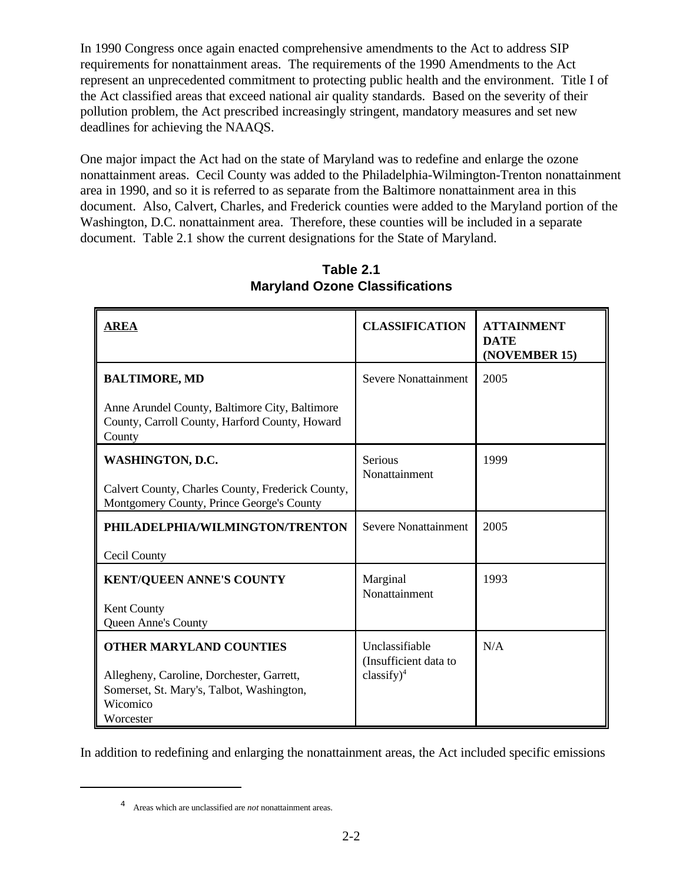In 1990 Congress once again enacted comprehensive amendments to the Act to address SIP requirements for nonattainment areas. The requirements of the 1990 Amendments to the Act represent an unprecedented commitment to protecting public health and the environment. Title I of the Act classified areas that exceed national air quality standards. Based on the severity of their pollution problem, the Act prescribed increasingly stringent, mandatory measures and set new deadlines for achieving the NAAQS.

One major impact the Act had on the state of Maryland was to redefine and enlarge the ozone nonattainment areas. Cecil County was added to the Philadelphia-Wilmington-Trenton nonattainment area in 1990, and so it is referred to as separate from the Baltimore nonattainment area in this document. Also, Calvert, Charles, and Frederick counties were added to the Maryland portion of the Washington, D.C. nonattainment area. Therefore, these counties will be included in a separate document. Table 2.1 show the current designations for the State of Maryland.

| <b>AREA</b>                                                                                                                                       | <b>CLASSIFICATION</b>                                           | <b>ATTAINMENT</b><br><b>DATE</b><br>(NOVEMBER 15) |
|---------------------------------------------------------------------------------------------------------------------------------------------------|-----------------------------------------------------------------|---------------------------------------------------|
| <b>BALTIMORE, MD</b>                                                                                                                              | Severe Nonattainment                                            | 2005                                              |
| Anne Arundel County, Baltimore City, Baltimore<br>County, Carroll County, Harford County, Howard<br>County                                        |                                                                 |                                                   |
| <b>WASHINGTON, D.C.</b><br>Calvert County, Charles County, Frederick County,<br>Montgomery County, Prince George's County                         | Serious<br>Nonattainment                                        | 1999                                              |
| PHILADELPHIA/WILMINGTON/TRENTON<br>Cecil County                                                                                                   | Severe Nonattainment                                            | 2005                                              |
| <b>KENT/QUEEN ANNE'S COUNTY</b><br>Kent County<br>Queen Anne's County                                                                             | Marginal<br>Nonattainment                                       | 1993                                              |
| <b>OTHER MARYLAND COUNTIES</b><br>Allegheny, Caroline, Dorchester, Garrett,<br>Somerset, St. Mary's, Talbot, Washington,<br>Wicomico<br>Worcester | Unclassifiable<br>(Insufficient data to<br>$\text{classify})^4$ | N/A                                               |

**Table 2.1 Maryland Ozone Classifications**

In addition to redefining and enlarging the nonattainment areas, the Act included specific emissions

Areas which are unclassified are *not* nonattainment areas. <sup>4</sup>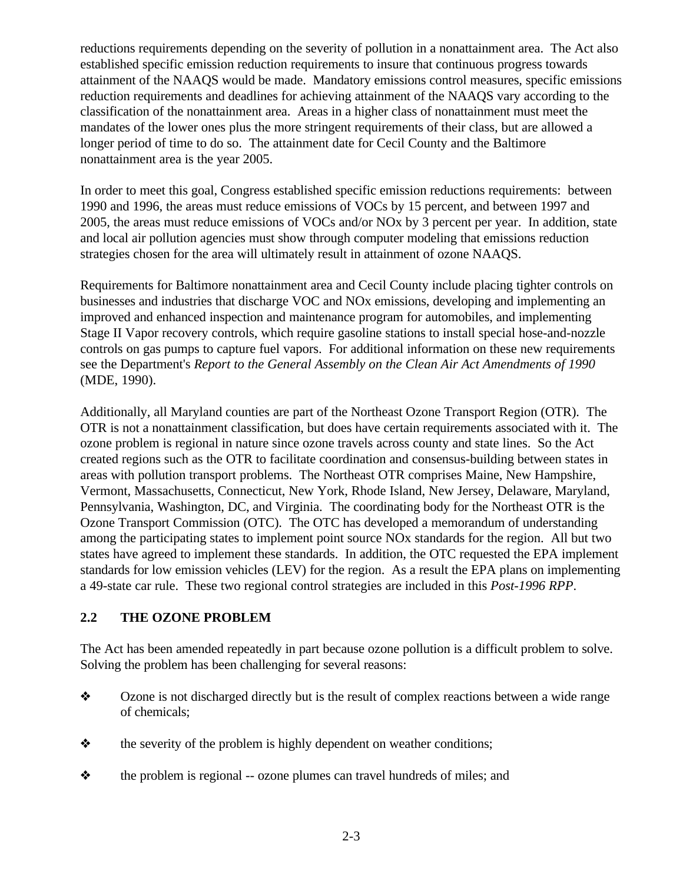reductions requirements depending on the severity of pollution in a nonattainment area. The Act also established specific emission reduction requirements to insure that continuous progress towards attainment of the NAAQS would be made. Mandatory emissions control measures, specific emissions reduction requirements and deadlines for achieving attainment of the NAAQS vary according to the classification of the nonattainment area. Areas in a higher class of nonattainment must meet the mandates of the lower ones plus the more stringent requirements of their class, but are allowed a longer period of time to do so. The attainment date for Cecil County and the Baltimore nonattainment area is the year 2005.

In order to meet this goal, Congress established specific emission reductions requirements: between 1990 and 1996, the areas must reduce emissions of VOCs by 15 percent, and between 1997 and 2005, the areas must reduce emissions of VOCs and/or NOx by 3 percent per year. In addition, state and local air pollution agencies must show through computer modeling that emissions reduction strategies chosen for the area will ultimately result in attainment of ozone NAAQS.

Requirements for Baltimore nonattainment area and Cecil County include placing tighter controls on businesses and industries that discharge VOC and NOx emissions, developing and implementing an improved and enhanced inspection and maintenance program for automobiles, and implementing Stage II Vapor recovery controls, which require gasoline stations to install special hose-and-nozzle controls on gas pumps to capture fuel vapors. For additional information on these new requirements see the Department's *Report to the General Assembly on the Clean Air Act Amendments of 1990* (MDE, 1990).

Additionally, all Maryland counties are part of the Northeast Ozone Transport Region (OTR). The OTR is not a nonattainment classification, but does have certain requirements associated with it. The ozone problem is regional in nature since ozone travels across county and state lines. So the Act created regions such as the OTR to facilitate coordination and consensus-building between states in areas with pollution transport problems. The Northeast OTR comprises Maine, New Hampshire, Vermont, Massachusetts, Connecticut, New York, Rhode Island, New Jersey, Delaware, Maryland, Pennsylvania, Washington, DC, and Virginia. The coordinating body for the Northeast OTR is the Ozone Transport Commission (OTC). The OTC has developed a memorandum of understanding among the participating states to implement point source NOx standards for the region. All but two states have agreed to implement these standards. In addition, the OTC requested the EPA implement standards for low emission vehicles (LEV) for the region. As a result the EPA plans on implementing a 49-state car rule. These two regional control strategies are included in this *Post-1996 RPP*.

### **2.2 THE OZONE PROBLEM**

The Act has been amended repeatedly in part because ozone pollution is a difficult problem to solve. Solving the problem has been challenging for several reasons:

- Ozone is not discharged directly but is the result of complex reactions between a wide range of chemicals;
- $\triangle$  the severity of the problem is highly dependent on weather conditions;
- $\triangleleft$  the problem is regional -- ozone plumes can travel hundreds of miles; and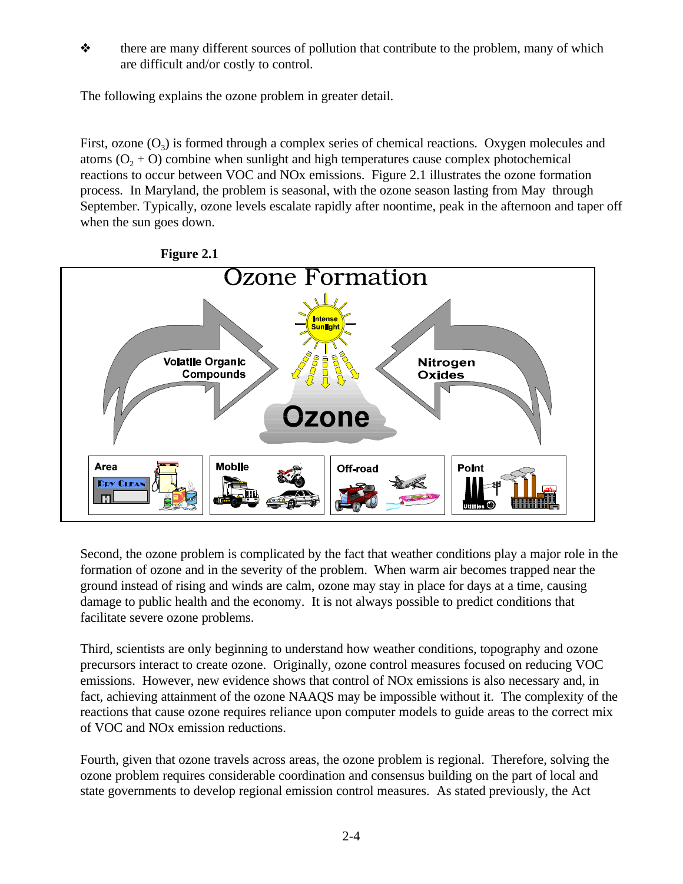$\diamond$  there are many different sources of pollution that contribute to the problem, many of which are difficult and/or costly to control.

The following explains the ozone problem in greater detail.

First, ozone  $(O_3)$  is formed through a complex series of chemical reactions. Oxygen molecules and atoms  $(0, +0)$  combine when sunlight and high temperatures cause complex photochemical reactions to occur between VOC and NOx emissions. Figure 2.1 illustrates the ozone formation process. In Maryland, the problem is seasonal, with the ozone season lasting from May through September. Typically, ozone levels escalate rapidly after noontime, peak in the afternoon and taper off when the sun goes down.



**Figure 2.1**

Second, the ozone problem is complicated by the fact that weather conditions play a major role in the formation of ozone and in the severity of the problem. When warm air becomes trapped near the ground instead of rising and winds are calm, ozone may stay in place for days at a time, causing damage to public health and the economy. It is not always possible to predict conditions that facilitate severe ozone problems.

Third, scientists are only beginning to understand how weather conditions, topography and ozone precursors interact to create ozone. Originally, ozone control measures focused on reducing VOC emissions. However, new evidence shows that control of NOx emissions is also necessary and, in fact, achieving attainment of the ozone NAAQS may be impossible without it. The complexity of the reactions that cause ozone requires reliance upon computer models to guide areas to the correct mix of VOC and NOx emission reductions.

Fourth, given that ozone travels across areas, the ozone problem is regional. Therefore, solving the ozone problem requires considerable coordination and consensus building on the part of local and state governments to develop regional emission control measures. As stated previously, the Act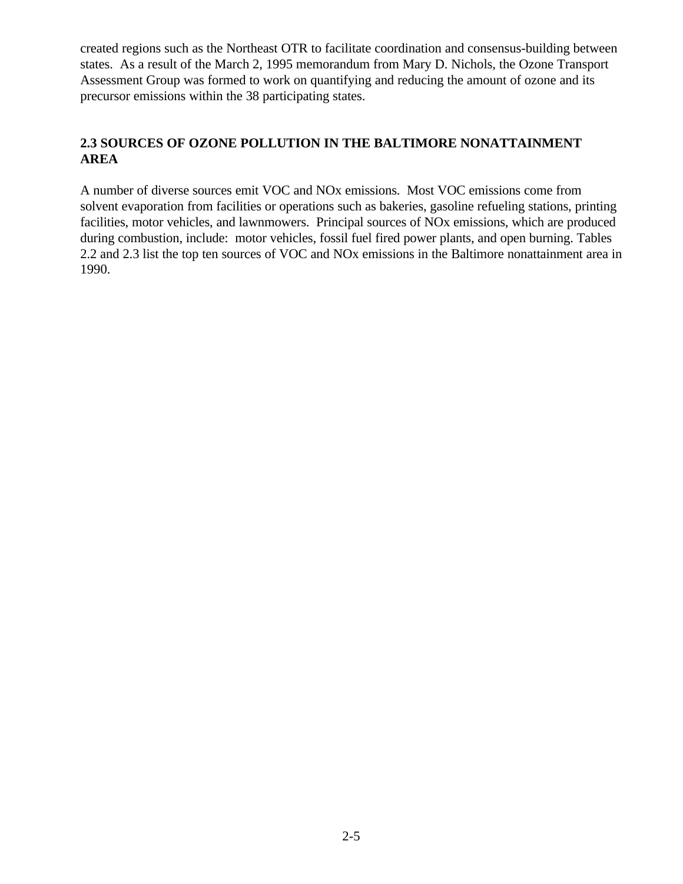created regions such as the Northeast OTR to facilitate coordination and consensus-building between states. As a result of the March 2, 1995 memorandum from Mary D. Nichols, the Ozone Transport Assessment Group was formed to work on quantifying and reducing the amount of ozone and its precursor emissions within the 38 participating states.

# **2.3 SOURCES OF OZONE POLLUTION IN THE BALTIMORE NONATTAINMENT AREA**

A number of diverse sources emit VOC and NOx emissions. Most VOC emissions come from solvent evaporation from facilities or operations such as bakeries, gasoline refueling stations, printing facilities, motor vehicles, and lawnmowers. Principal sources of NOx emissions, which are produced during combustion, include: motor vehicles, fossil fuel fired power plants, and open burning. Tables 2.2 and 2.3 list the top ten sources of VOC and NOx emissions in the Baltimore nonattainment area in 1990.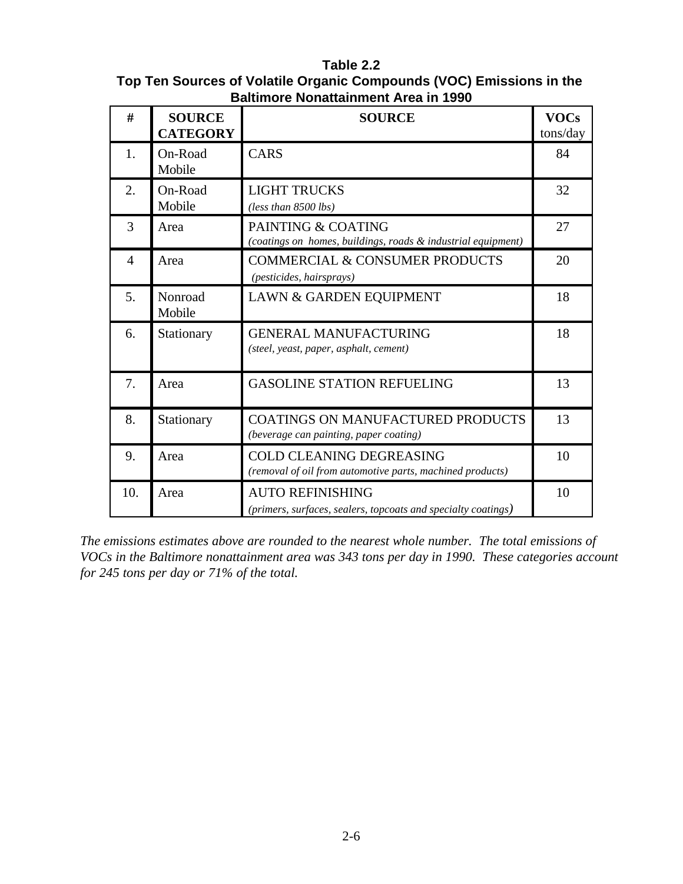# **Table 2.2**

## **Top Ten Sources of Volatile Organic Compounds (VOC) Emissions in the Baltimore Nonattainment Area in 1990**

| #              | <b>SOURCE</b><br><b>CATEGORY</b> | <b>SOURCE</b>                                                                                | <b>VOCs</b><br>tons/day |
|----------------|----------------------------------|----------------------------------------------------------------------------------------------|-------------------------|
| 1.             | On-Road<br>Mobile                | <b>CARS</b>                                                                                  | 84                      |
| 2.             | On-Road<br>Mobile                | <b>LIGHT TRUCKS</b><br>(less than 8500 lbs)                                                  | 32                      |
| 3              | Area                             | PAINTING & COATING<br>(coatings on homes, buildings, roads & industrial equipment)           | 27                      |
| $\overline{4}$ | Area                             | <b>COMMERCIAL &amp; CONSUMER PRODUCTS</b><br>(pesticides, hairsprays)                        | 20                      |
| 5.             | Nonroad<br>Mobile                | LAWN & GARDEN EQUIPMENT                                                                      | 18                      |
| 6.             | Stationary                       | <b>GENERAL MANUFACTURING</b><br>(steel, yeast, paper, asphalt, cement)                       | 18                      |
| 7.             | Area                             | <b>GASOLINE STATION REFUELING</b>                                                            | 13                      |
| 8.             | Stationary                       | <b>COATINGS ON MANUFACTURED PRODUCTS</b><br>(beverage can painting, paper coating)           | 13                      |
| 9.             | Area                             | <b>COLD CLEANING DEGREASING</b><br>(removal of oil from automotive parts, machined products) | 10                      |
| 10.            | Area                             | <b>AUTO REFINISHING</b><br>(primers, surfaces, sealers, topcoats and specialty coatings)     | 10                      |

*The emissions estimates above are rounded to the nearest whole number. The total emissions of VOCs in the Baltimore nonattainment area was 343 tons per day in 1990. These categories account for 245 tons per day or 71% of the total.*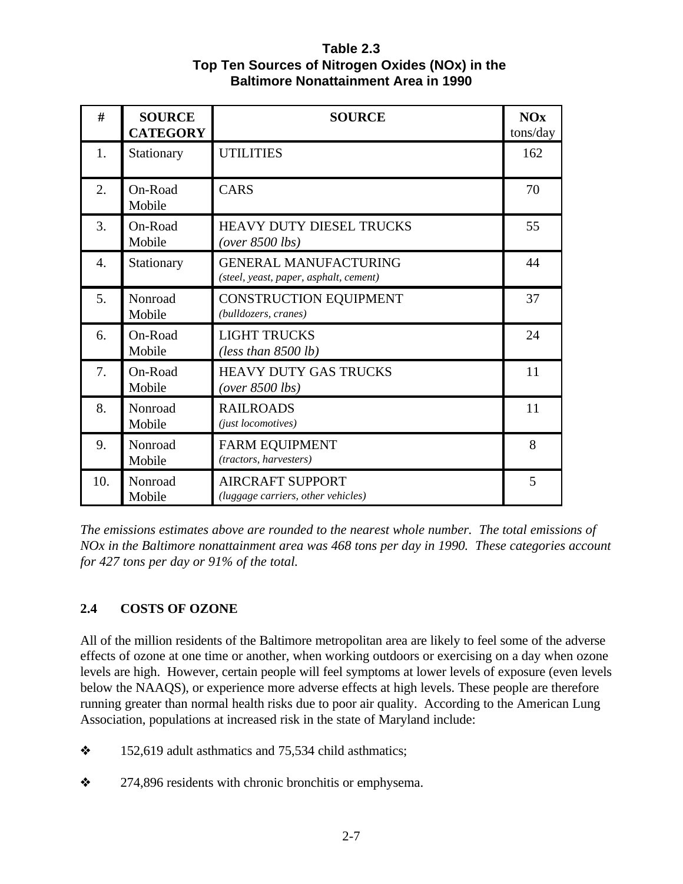**Table 2.3 Top Ten Sources of Nitrogen Oxides (NOx) in the Baltimore Nonattainment Area in 1990**

| #   | <b>SOURCE</b><br><b>CATEGORY</b> | <b>SOURCE</b>                                                          | <b>NOx</b><br>tons/day |
|-----|----------------------------------|------------------------------------------------------------------------|------------------------|
| 1.  | Stationary                       | <b>UTILITIES</b>                                                       | 162                    |
| 2.  | On-Road<br>Mobile                | <b>CARS</b>                                                            | 70                     |
| 3.  | On-Road<br>Mobile                | HEAVY DUTY DIESEL TRUCKS<br>$(over 8500$ lbs)                          | 55                     |
| 4.  | Stationary                       | <b>GENERAL MANUFACTURING</b><br>(steel, yeast, paper, asphalt, cement) | 44                     |
| 5.  | Nonroad<br>Mobile                | <b>CONSTRUCTION EQUIPMENT</b><br>(bulldozers, cranes)                  | 37                     |
| 6.  | On-Road<br>Mobile                | <b>LIGHT TRUCKS</b><br>(less than $8500 lb$ )                          | 24                     |
| 7.  | On-Road<br>Mobile                | <b>HEAVY DUTY GAS TRUCKS</b><br>$(over 8500$ lbs)                      | 11                     |
| 8.  | Nonroad<br>Mobile                | <b>RAILROADS</b><br>(just locomotives)                                 | 11                     |
| 9.  | Nonroad<br>Mobile                | <b>FARM EQUIPMENT</b><br>(tractors, harvesters)                        | 8                      |
| 10. | Nonroad<br>Mobile                | <b>AIRCRAFT SUPPORT</b><br>(luggage carriers, other vehicles)          | 5                      |

*The emissions estimates above are rounded to the nearest whole number. The total emissions of NOx in the Baltimore nonattainment area was 468 tons per day in 1990. These categories account for 427 tons per day or 91% of the total.*

# **2.4 COSTS OF OZONE**

All of the million residents of the Baltimore metropolitan area are likely to feel some of the adverse effects of ozone at one time or another, when working outdoors or exercising on a day when ozone levels are high. However, certain people will feel symptoms at lower levels of exposure (even levels below the NAAQS), or experience more adverse effects at high levels. These people are therefore running greater than normal health risks due to poor air quality. According to the American Lung Association, populations at increased risk in the state of Maryland include:

- $\div$  152,619 adult asthmatics and 75,534 child asthmatics;
- $\approx$  274,896 residents with chronic bronchitis or emphysema.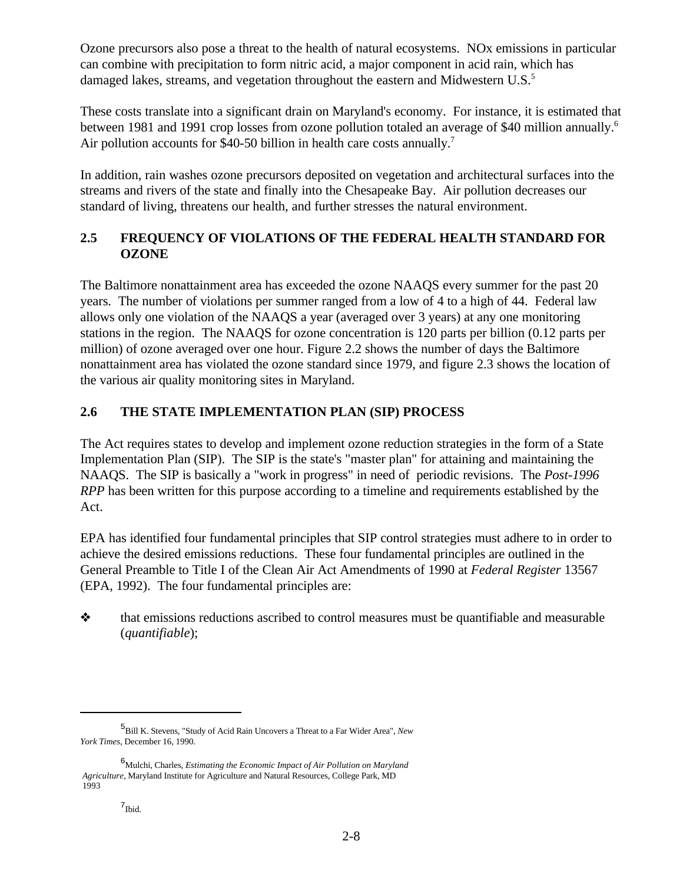Ozone precursors also pose a threat to the health of natural ecosystems. NOx emissions in particular can combine with precipitation to form nitric acid, a major component in acid rain, which has damaged lakes, streams, and vegetation throughout the eastern and Midwestern U.S.<sup>5</sup>

These costs translate into a significant drain on Maryland's economy. For instance, it is estimated that between 1981 and 1991 crop losses from ozone pollution totaled an average of \$40 million annually.<sup>6</sup> Air pollution accounts for \$40-50 billion in health care costs annually.<sup>7</sup>

In addition, rain washes ozone precursors deposited on vegetation and architectural surfaces into the streams and rivers of the state and finally into the Chesapeake Bay. Air pollution decreases our standard of living, threatens our health, and further stresses the natural environment.

# **2.5 FREQUENCY OF VIOLATIONS OF THE FEDERAL HEALTH STANDARD FOR OZONE**

The Baltimore nonattainment area has exceeded the ozone NAAQS every summer for the past 20 years. The number of violations per summer ranged from a low of 4 to a high of 44. Federal law allows only one violation of the NAAQS a year (averaged over 3 years) at any one monitoring stations in the region. The NAAQS for ozone concentration is 120 parts per billion (0.12 parts per million) of ozone averaged over one hour. Figure 2.2 shows the number of days the Baltimore nonattainment area has violated the ozone standard since 1979, and figure 2.3 shows the location of the various air quality monitoring sites in Maryland.

# **2.6 THE STATE IMPLEMENTATION PLAN (SIP) PROCESS**

The Act requires states to develop and implement ozone reduction strategies in the form of a State Implementation Plan (SIP). The SIP is the state's "master plan" for attaining and maintaining the NAAQS. The SIP is basically a "work in progress" in need of periodic revisions. The *Post-1996 RPP* has been written for this purpose according to a timeline and requirements established by the Act.

EPA has identified four fundamental principles that SIP control strategies must adhere to in order to achieve the desired emissions reductions. These four fundamental principles are outlined in the General Preamble to Title I of the Clean Air Act Amendments of 1990 at *Federal Register* 13567 (EPA, 1992). The four fundamental principles are:

 $\diamond$  that emissions reductions ascribed to control measures must be quantifiable and measurable (*quantifiable*);

<sup>&</sup>lt;sup>5</sup>Bill K. Stevens, "Study of Acid Rain Uncovers a Threat to a Far Wider Area", *New York Times*, December 16, 1990.

Mulchi, Charles, *Estimating the Economic Impact of Air Pollution on Maryland* <sup>6</sup>  *Agriculture*, Maryland Institute for Agriculture and Natural Resources, College Park, MD 1993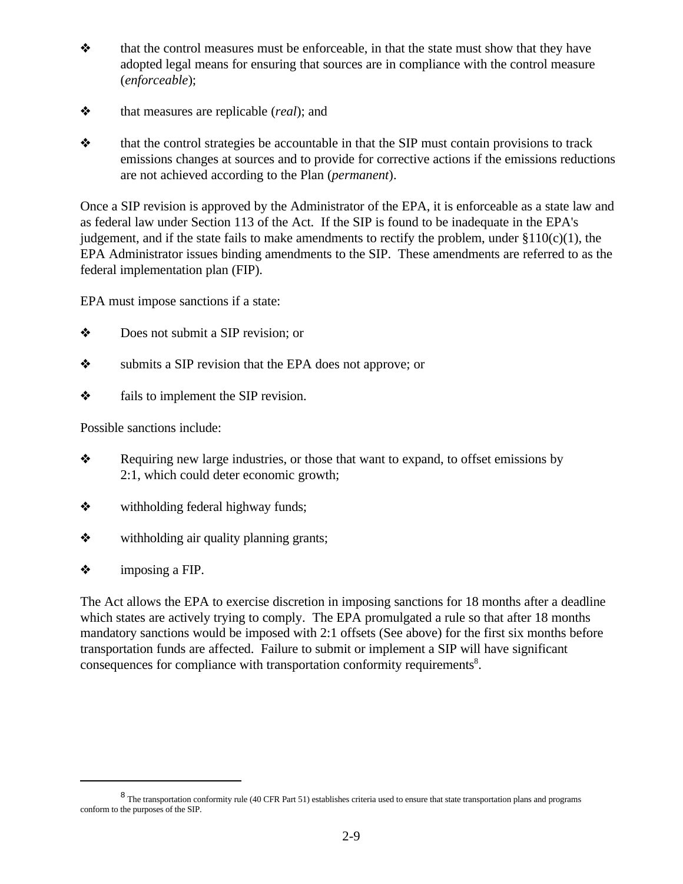- $\triangleleft$  that the control measures must be enforceable, in that the state must show that they have adopted legal means for ensuring that sources are in compliance with the control measure (*enforceable*);
- ò that measures are replicable (*real*); and
- $\triangle$  that the control strategies be accountable in that the SIP must contain provisions to track emissions changes at sources and to provide for corrective actions if the emissions reductions are not achieved according to the Plan (*permanent*).

Once a SIP revision is approved by the Administrator of the EPA, it is enforceable as a state law and as federal law under Section 113 of the Act. If the SIP is found to be inadequate in the EPA's judgement, and if the state fails to make amendments to rectify the problem, under  $\S110(c)(1)$ , the EPA Administrator issues binding amendments to the SIP. These amendments are referred to as the federal implementation plan (FIP).

EPA must impose sanctions if a state:

- $\triangle$  Does not submit a SIP revision; or
- submits a SIP revision that the EPA does not approve; or
- $\diamond$  fails to implement the SIP revision.

Possible sanctions include:

- **\*** Requiring new large industries, or those that want to expand, to offset emissions by 2:1, which could deter economic growth;
- $\triangle$  withholding federal highway funds;
- $\diamond$  withholding air quality planning grants;
- $\diamond$  imposing a FIP.

The Act allows the EPA to exercise discretion in imposing sanctions for 18 months after a deadline which states are actively trying to comply. The EPA promulgated a rule so that after 18 months mandatory sanctions would be imposed with 2:1 offsets (See above) for the first six months before transportation funds are affected. Failure to submit or implement a SIP will have significant consequences for compliance with transportation conformity requirements<sup>8</sup>.

<sup>&</sup>lt;sup>8</sup> The transportation conformity rule (40 CFR Part 51) establishes criteria used to ensure that state transportation plans and programs conform to the purposes of the SIP.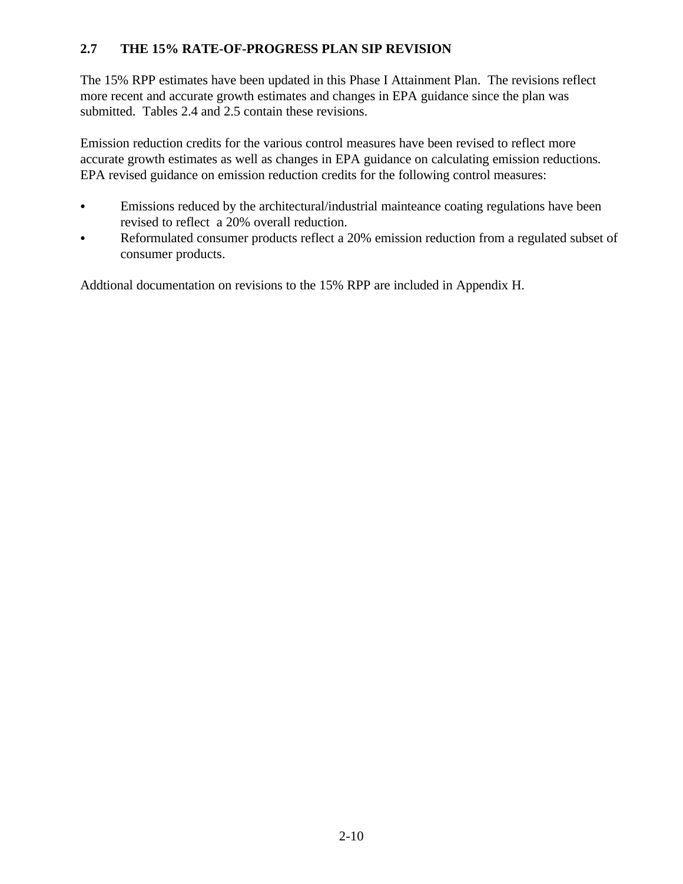# **2.7 THE 15% RATE-OF-PROGRESS PLAN SIP REVISION**

The 15% RPP estimates have been updated in this Phase I Attainment Plan. The revisions reflect more recent and accurate growth estimates and changes in EPA guidance since the plan was submitted. Tables 2.4 and 2.5 contain these revisions.

Emission reduction credits for the various control measures have been revised to reflect more accurate growth estimates as well as changes in EPA guidance on calculating emission reductions. EPA revised guidance on emission reduction credits for the following control measures:

- Emissions reduced by the architectural/industrial mainteance coating regulations have been revised to reflect a 20% overall reduction.
- Reformulated consumer products reflect a 20% emission reduction from a regulated subset of consumer products.

Addtional documentation on revisions to the 15% RPP are included in Appendix H.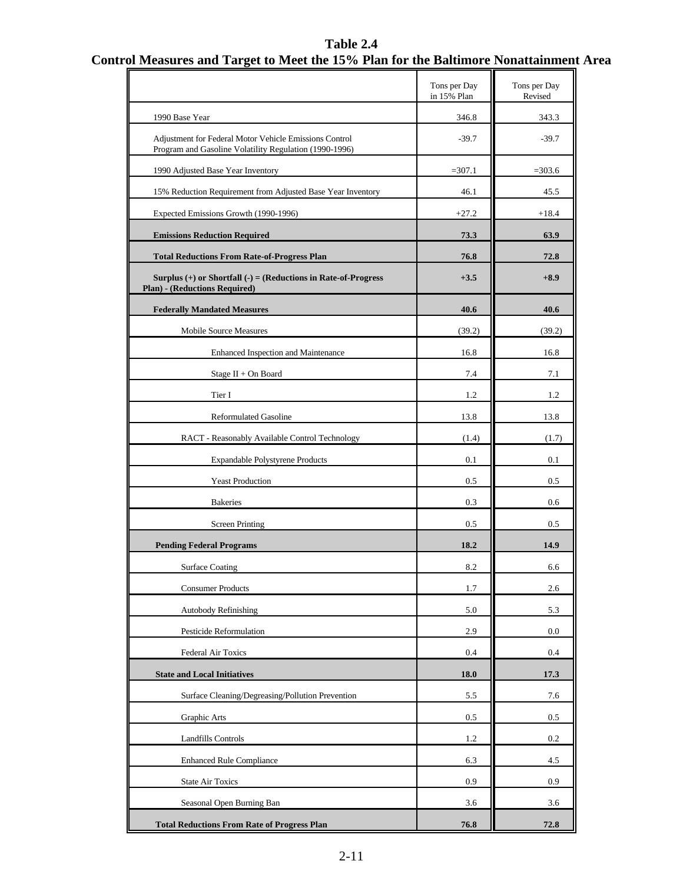# **Table 2.4 Control Measures and Target to Meet the 15% Plan for the Baltimore Nonattainment Area**

|                                                                                                                  | Tons per Day<br>in 15% Plan | Tons per Day<br>Revised |
|------------------------------------------------------------------------------------------------------------------|-----------------------------|-------------------------|
| 1990 Base Year                                                                                                   | 346.8                       | 343.3                   |
| Adjustment for Federal Motor Vehicle Emissions Control<br>Program and Gasoline Volatility Regulation (1990-1996) | $-39.7$                     | $-39.7$                 |
| 1990 Adjusted Base Year Inventory                                                                                | $=307.1$                    | $= 303.6$               |
| 15% Reduction Requirement from Adjusted Base Year Inventory                                                      | 46.1                        | 45.5                    |
| Expected Emissions Growth (1990-1996)                                                                            | $+27.2$                     | $+18.4$                 |
| <b>Emissions Reduction Required</b>                                                                              | 73.3                        | 63.9                    |
| <b>Total Reductions From Rate-of-Progress Plan</b>                                                               | 76.8                        | 72.8                    |
| Surplus $(+)$ or Shortfall $(-) =$ (Reductions in Rate-of-Progress<br>Plan) - (Reductions Required)              | $+3.5$                      | $+8.9$                  |
| <b>Federally Mandated Measures</b>                                                                               | 40.6                        | 40.6                    |
| Mobile Source Measures                                                                                           | (39.2)                      | (39.2)                  |
| Enhanced Inspection and Maintenance                                                                              | 16.8                        | 16.8                    |
| Stage II + On Board                                                                                              | 7.4                         | 7.1                     |
| Tier I                                                                                                           | 1.2                         | 1.2                     |
| <b>Reformulated Gasoline</b>                                                                                     | 13.8                        | 13.8                    |
| RACT - Reasonably Available Control Technology                                                                   | (1.4)                       | (1.7)                   |
| Expandable Polystyrene Products                                                                                  | 0.1                         | 0.1                     |
| <b>Yeast Production</b>                                                                                          | 0.5                         | 0.5                     |
| <b>Bakeries</b>                                                                                                  | 0.3                         | 0.6                     |
| <b>Screen Printing</b>                                                                                           | 0.5                         | 0.5                     |
| <b>Pending Federal Programs</b>                                                                                  | 18.2                        | 14.9                    |
| <b>Surface Coating</b>                                                                                           | 8.2                         | 6.6                     |
| <b>Consumer Products</b>                                                                                         | 1.7                         | 2.6                     |
| Autobody Refinishing                                                                                             | 5.0                         | 5.3                     |
| Pesticide Reformulation                                                                                          | 2.9                         | 0.0                     |
| Federal Air Toxics                                                                                               | 0.4                         | 0.4                     |
| <b>State and Local Initiatives</b>                                                                               | <b>18.0</b>                 | 17.3                    |
| Surface Cleaning/Degreasing/Pollution Prevention                                                                 | 5.5                         | 7.6                     |
| Graphic Arts                                                                                                     | 0.5                         | 0.5                     |
| <b>Landfills Controls</b>                                                                                        | 1.2                         | 0.2                     |
| <b>Enhanced Rule Compliance</b>                                                                                  | 6.3                         | 4.5                     |
| <b>State Air Toxics</b>                                                                                          | 0.9                         | 0.9                     |
| Seasonal Open Burning Ban                                                                                        | 3.6                         | 3.6                     |
| <b>Total Reductions From Rate of Progress Plan</b>                                                               | 76.8                        | 72.8                    |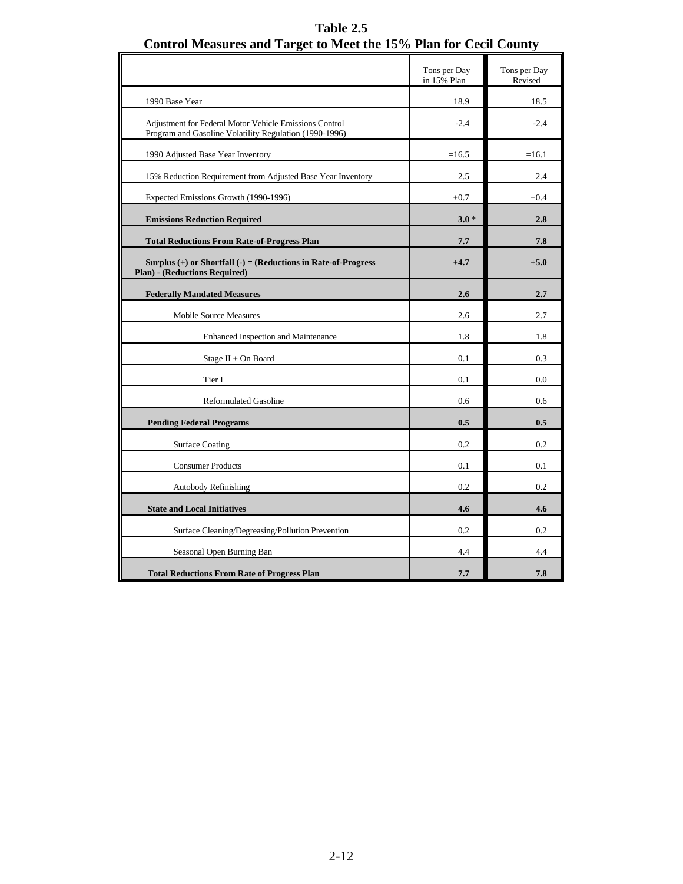|                                                                                                                  | Tons per Day<br>in 15% Plan | Tons per Day<br>Revised |
|------------------------------------------------------------------------------------------------------------------|-----------------------------|-------------------------|
| 1990 Base Year                                                                                                   | 18.9                        | 18.5                    |
| Adjustment for Federal Motor Vehicle Emissions Control<br>Program and Gasoline Volatility Regulation (1990-1996) | $-2.4$                      | $-2.4$                  |
| 1990 Adjusted Base Year Inventory                                                                                | $=16.5$                     | $=16.1$                 |
| 15% Reduction Requirement from Adjusted Base Year Inventory                                                      | 2.5                         | 2.4                     |
| Expected Emissions Growth (1990-1996)                                                                            | $+0.7$                      | $+0.4$                  |
| <b>Emissions Reduction Required</b>                                                                              | $3.0*$                      | 2.8                     |
| <b>Total Reductions From Rate-of-Progress Plan</b>                                                               | 7.7                         | 7.8                     |
| Surplus $(+)$ or Shortfall $(-) = (Reductionsin Rate-of-Progress)$<br><b>Plan)</b> - (Reductions Required)       | $+4.7$                      | $+5.0$                  |
| <b>Federally Mandated Measures</b>                                                                               | 2.6                         | 2.7                     |
| <b>Mobile Source Measures</b>                                                                                    | 2.6                         | 2.7                     |
| Enhanced Inspection and Maintenance                                                                              | 1.8                         | 1.8                     |
| Stage II + On Board                                                                                              | 0.1                         | 0.3                     |
| Tier I                                                                                                           | 0.1                         | 0.0                     |
| <b>Reformulated Gasoline</b>                                                                                     | 0.6                         | 0.6                     |
| <b>Pending Federal Programs</b>                                                                                  | 0.5                         | 0.5                     |
| <b>Surface Coating</b>                                                                                           | 0.2                         | 0.2                     |
| <b>Consumer Products</b>                                                                                         | 0.1                         | 0.1                     |
| <b>Autobody Refinishing</b>                                                                                      | 0.2                         | 0.2                     |
| <b>State and Local Initiatives</b>                                                                               | 4.6                         | 4.6                     |
| Surface Cleaning/Degreasing/Pollution Prevention                                                                 | 0.2                         | 0.2                     |
| Seasonal Open Burning Ban                                                                                        | 4.4                         | 4.4                     |
| <b>Total Reductions From Rate of Progress Plan</b>                                                               | 7.7                         | 7.8                     |

HL.

**Table 2.5 Control Measures and Target to Meet the 15% Plan for Cecil County**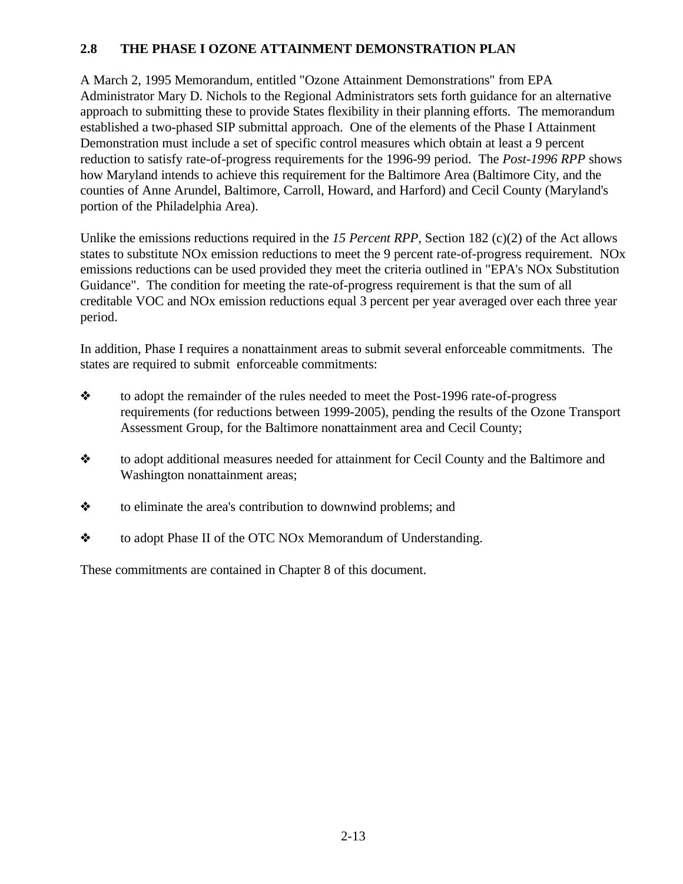## **2.8 THE PHASE I OZONE ATTAINMENT DEMONSTRATION PLAN**

A March 2, 1995 Memorandum, entitled "Ozone Attainment Demonstrations" from EPA Administrator Mary D. Nichols to the Regional Administrators sets forth guidance for an alternative approach to submitting these to provide States flexibility in their planning efforts. The memorandum established a two-phased SIP submittal approach. One of the elements of the Phase I Attainment Demonstration must include a set of specific control measures which obtain at least a 9 percent reduction to satisfy rate-of-progress requirements for the 1996-99 period. The *Post-1996 RPP* shows how Maryland intends to achieve this requirement for the Baltimore Area (Baltimore City, and the counties of Anne Arundel, Baltimore, Carroll, Howard, and Harford) and Cecil County (Maryland's portion of the Philadelphia Area).

Unlike the emissions reductions required in the *15 Percent RPP*, Section 182 (c)(2) of the Act allows states to substitute NOx emission reductions to meet the 9 percent rate-of-progress requirement. NOx emissions reductions can be used provided they meet the criteria outlined in "EPA's NOx Substitution Guidance". The condition for meeting the rate-of-progress requirement is that the sum of all creditable VOC and NOx emission reductions equal 3 percent per year averaged over each three year period.

In addition, Phase I requires a nonattainment areas to submit several enforceable commitments. The states are required to submit enforceable commitments:

- \* to adopt the remainder of the rules needed to meet the Post-1996 rate-of-progress requirements (for reductions between 1999-2005), pending the results of the Ozone Transport Assessment Group, for the Baltimore nonattainment area and Cecil County;
- ò to adopt additional measures needed for attainment for Cecil County and the Baltimore and Washington nonattainment areas;
- $\triangle$  to eliminate the area's contribution to downwind problems; and
- $\triangleleft$  to adopt Phase II of the OTC NOx Memorandum of Understanding.

These commitments are contained in Chapter 8 of this document.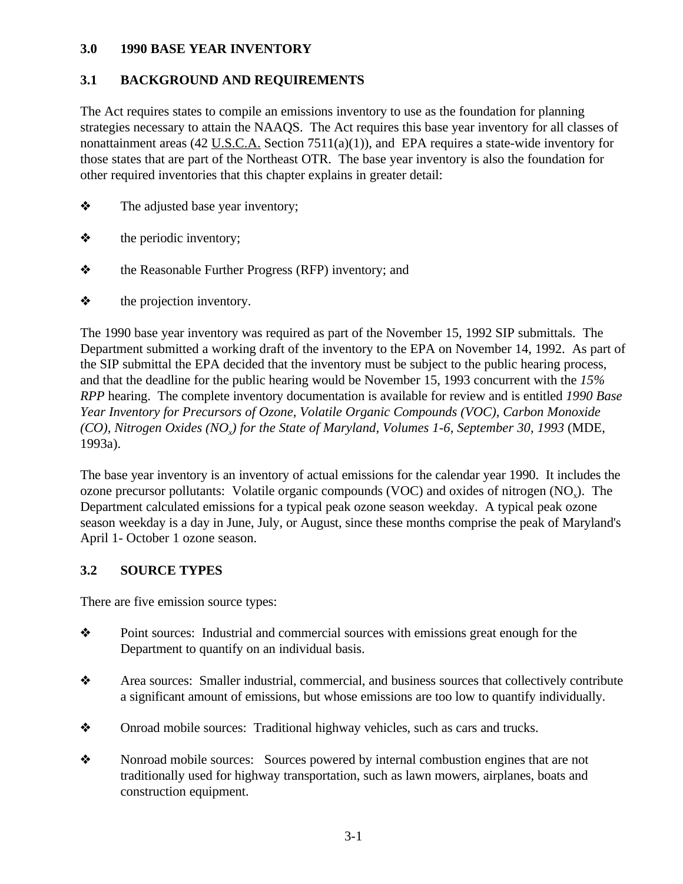### <span id="page-22-0"></span>**3.0 1990 BASE YEAR INVENTORY**

## **3.1 BACKGROUND AND REQUIREMENTS**

The Act requires states to compile an emissions inventory to use as the foundation for planning strategies necessary to attain the NAAQS. The Act requires this base year inventory for all classes of nonattainment areas (42 U.S.C.A. Section 7511(a)(1)), and EPA requires a state-wide inventory for those states that are part of the Northeast OTR. The base year inventory is also the foundation for other required inventories that this chapter explains in greater detail:

- $\triangle$  The adjusted base year inventory;
- $\triangle$  the periodic inventory;
- $\triangle$  the Reasonable Further Progress (RFP) inventory; and
- $\triangle$  the projection inventory.

The 1990 base year inventory was required as part of the November 15, 1992 SIP submittals. The Department submitted a working draft of the inventory to the EPA on November 14, 1992. As part of the SIP submittal the EPA decided that the inventory must be subject to the public hearing process, and that the deadline for the public hearing would be November 15, 1993 concurrent with the *15% RPP* hearing. The complete inventory documentation is available for review and is entitled *1990 Base Year Inventory for Precursors of Ozone, Volatile Organic Compounds (VOC), Carbon Monoxide (CO), Nitrogen Oxides (NO ) for the State of Maryland, Volumes 1-6, September 30, 1993* (MDE, *<sup>x</sup>* 1993a).

The base year inventory is an inventory of actual emissions for the calendar year 1990. It includes the ozone precursor pollutants: Volatile organic compounds (VOC) and oxides of nitrogen  $(NO_x)$ . The Department calculated emissions for a typical peak ozone season weekday. A typical peak ozone season weekday is a day in June, July, or August, since these months comprise the peak of Maryland's April 1- October 1 ozone season.

### **3.2 SOURCE TYPES**

There are five emission source types:

- $\diamond$  Point sources: Industrial and commercial sources with emissions great enough for the Department to quantify on an individual basis.
- \* Area sources: Smaller industrial, commercial, and business sources that collectively contribute a significant amount of emissions, but whose emissions are too low to quantify individually.
- Onroad mobile sources: Traditional highway vehicles, such as cars and trucks.
- Nonroad mobile sources: Sources powered by internal combustion engines that are not traditionally used for highway transportation, such as lawn mowers, airplanes, boats and construction equipment.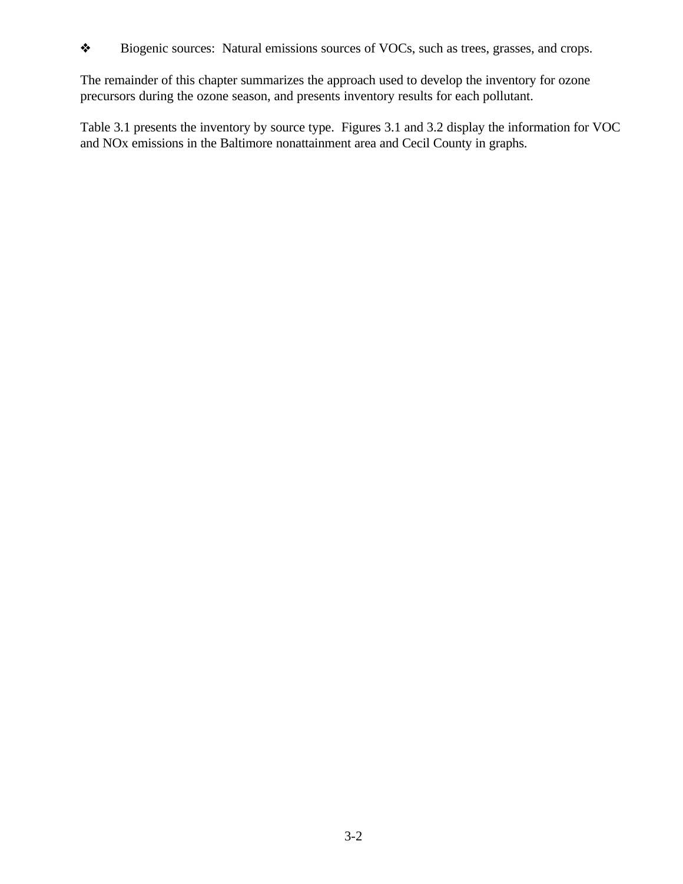The remainder of this chapter summarizes the approach used to develop the inventory for ozone precursors during the ozone season, and presents inventory results for each pollutant.

Table 3.1 presents the inventory by source type. Figures 3.1 and 3.2 display the information for VOC and NOx emissions in the Baltimore nonattainment area and Cecil County in graphs.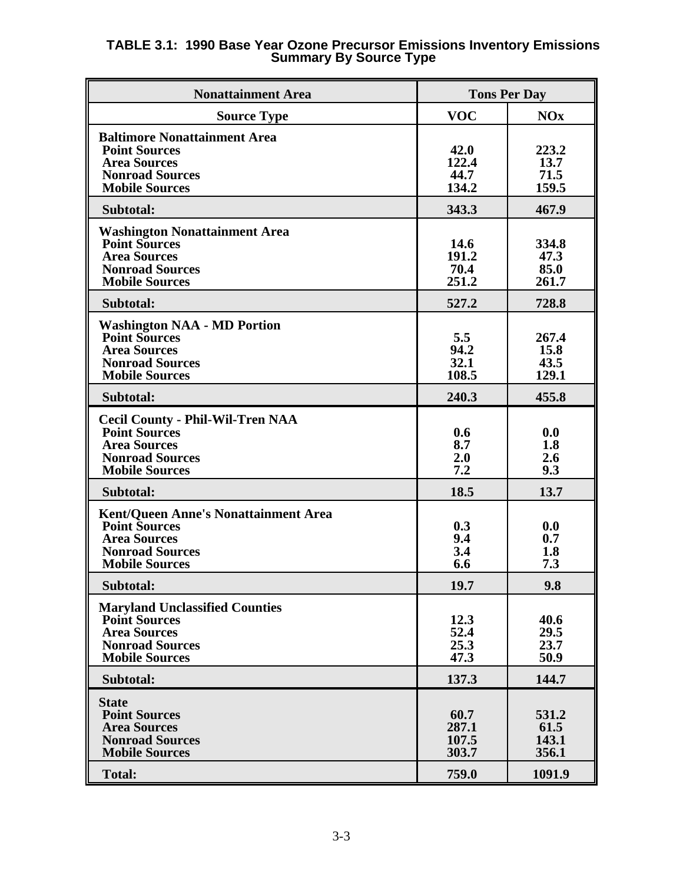| <b>Nonattainment Area</b>                                                                                                                     |                                 | <b>Tons Per Day</b>             |
|-----------------------------------------------------------------------------------------------------------------------------------------------|---------------------------------|---------------------------------|
| <b>Source Type</b>                                                                                                                            | <b>VOC</b>                      | <b>NOx</b>                      |
| <b>Baltimore Nonattainment Area</b><br><b>Point Sources</b><br><b>Area Sources</b><br><b>Nonroad Sources</b><br><b>Mobile Sources</b>         | 42.0<br>122.4<br>44.7<br>134.2  | 223.2<br>13.7<br>71.5<br>159.5  |
| Subtotal:                                                                                                                                     | 343.3                           | 467.9                           |
| <b>Washington Nonattainment Area</b><br><b>Point Sources</b><br><b>Area Sources</b><br><b>Nonroad Sources</b><br><b>Mobile Sources</b>        | 14.6<br>191.2<br>70.4<br>251.2  | 334.8<br>47.3<br>85.0<br>261.7  |
| Subtotal:                                                                                                                                     | 527.2                           | 728.8                           |
| <b>Washington NAA - MD Portion</b><br><b>Point Sources</b><br><b>Area Sources</b><br><b>Nonroad Sources</b><br><b>Mobile Sources</b>          | 5.5<br>94.2<br>32.1<br>108.5    | 267.4<br>15.8<br>43.5<br>129.1  |
| Subtotal:                                                                                                                                     | 240.3                           | 455.8                           |
| <b>Cecil County - Phil-Wil-Tren NAA</b><br><b>Point Sources</b><br><b>Area Sources</b><br><b>Nonroad Sources</b><br><b>Mobile Sources</b>     | 0.6<br>8.7<br>2.0<br>7.2        | 0.0<br>1.8<br>2.6<br>9.3        |
| Subtotal:                                                                                                                                     | 18.5                            | 13.7                            |
| <b>Kent/Queen Anne's Nonattainment Area</b><br><b>Point Sources</b><br><b>Area Sources</b><br><b>Nonroad Sources</b><br><b>Mobile Sources</b> | 0.3<br>9.4<br>3.4<br>6.6        | 0.0<br>0.7<br>1.8<br>7.3        |
| Subtotal:                                                                                                                                     | 19.7                            | 9.8                             |
| <b>Maryland Unclassified Counties</b><br><b>Point Sources</b><br><b>Area Sources</b><br><b>Nonroad Sources</b><br><b>Mobile Sources</b>       | 12.3<br>52.4<br>25.3<br>47.3    | 40.6<br>29.5<br>23.7<br>50.9    |
| Subtotal:                                                                                                                                     | 137.3                           | 144.7                           |
| <b>State</b><br><b>Point Sources</b><br><b>Area Sources</b><br><b>Nonroad Sources</b><br><b>Mobile Sources</b>                                | 60.7<br>287.1<br>107.5<br>303.7 | 531.2<br>61.5<br>143.1<br>356.1 |
| <b>Total:</b>                                                                                                                                 | 759.0                           | 1091.9                          |

#### **TABLE 3.1: 1990 Base Year Ozone Precursor Emissions Inventory Emissions Summary By Source Type**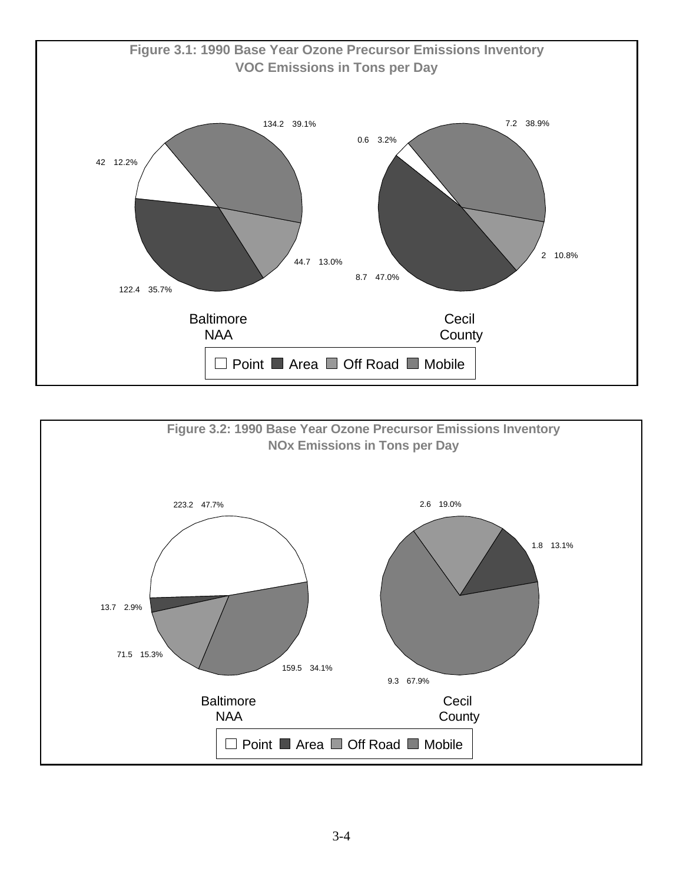

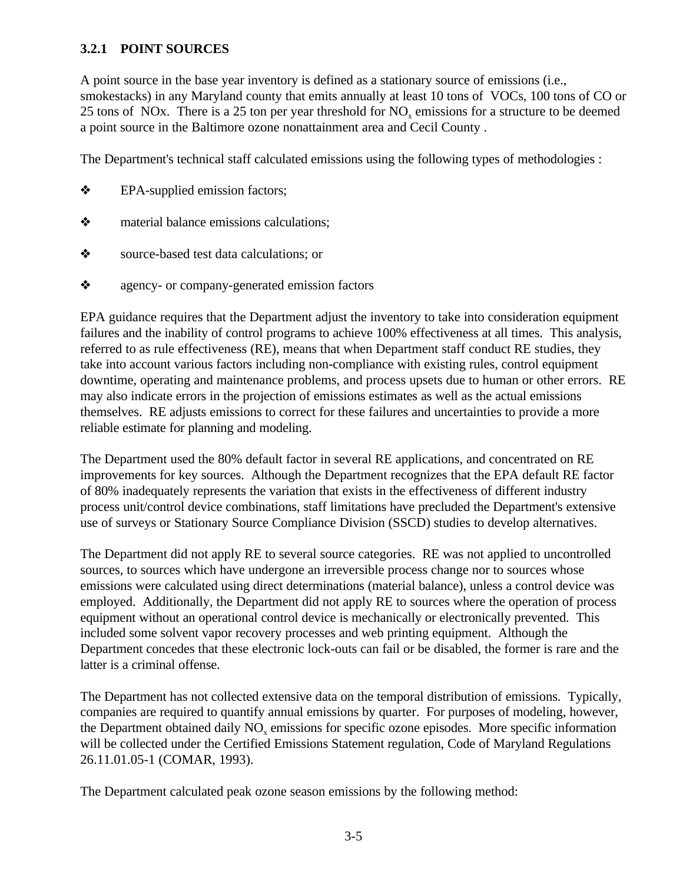# **3.2.1 POINT SOURCES**

A point source in the base year inventory is defined as a stationary source of emissions (i.e., smokestacks) in any Maryland county that emits annually at least 10 tons of VOCs, 100 tons of CO or 25 tons of NOx. There is a 25 ton per year threshold for  $NO<sub>x</sub>$  emissions for a structure to be deemed a point source in the Baltimore ozone nonattainment area and Cecil County .

The Department's technical staff calculated emissions using the following types of methodologies :

- ò EPA-supplied emission factors;
- $\diamond$  material balance emissions calculations;
- source-based test data calculations; or
- ò agency- or company-generated emission factors

EPA guidance requires that the Department adjust the inventory to take into consideration equipment failures and the inability of control programs to achieve 100% effectiveness at all times. This analysis, referred to as rule effectiveness (RE), means that when Department staff conduct RE studies, they take into account various factors including non-compliance with existing rules, control equipment downtime, operating and maintenance problems, and process upsets due to human or other errors. RE may also indicate errors in the projection of emissions estimates as well as the actual emissions themselves. RE adjusts emissions to correct for these failures and uncertainties to provide a more reliable estimate for planning and modeling.

The Department used the 80% default factor in several RE applications, and concentrated on RE improvements for key sources. Although the Department recognizes that the EPA default RE factor of 80% inadequately represents the variation that exists in the effectiveness of different industry process unit/control device combinations, staff limitations have precluded the Department's extensive use of surveys or Stationary Source Compliance Division (SSCD) studies to develop alternatives.

The Department did not apply RE to several source categories. RE was not applied to uncontrolled sources, to sources which have undergone an irreversible process change nor to sources whose emissions were calculated using direct determinations (material balance), unless a control device was employed. Additionally, the Department did not apply RE to sources where the operation of process equipment without an operational control device is mechanically or electronically prevented. This included some solvent vapor recovery processes and web printing equipment. Although the Department concedes that these electronic lock-outs can fail or be disabled, the former is rare and the latter is a criminal offense.

The Department has not collected extensive data on the temporal distribution of emissions. Typically, companies are required to quantify annual emissions by quarter. For purposes of modeling, however, the Department obtained daily  $NO<sub>x</sub>$  emissions for specific ozone episodes. More specific information will be collected under the Certified Emissions Statement regulation, Code of Maryland Regulations 26.11.01.05-1 (COMAR, 1993).

The Department calculated peak ozone season emissions by the following method: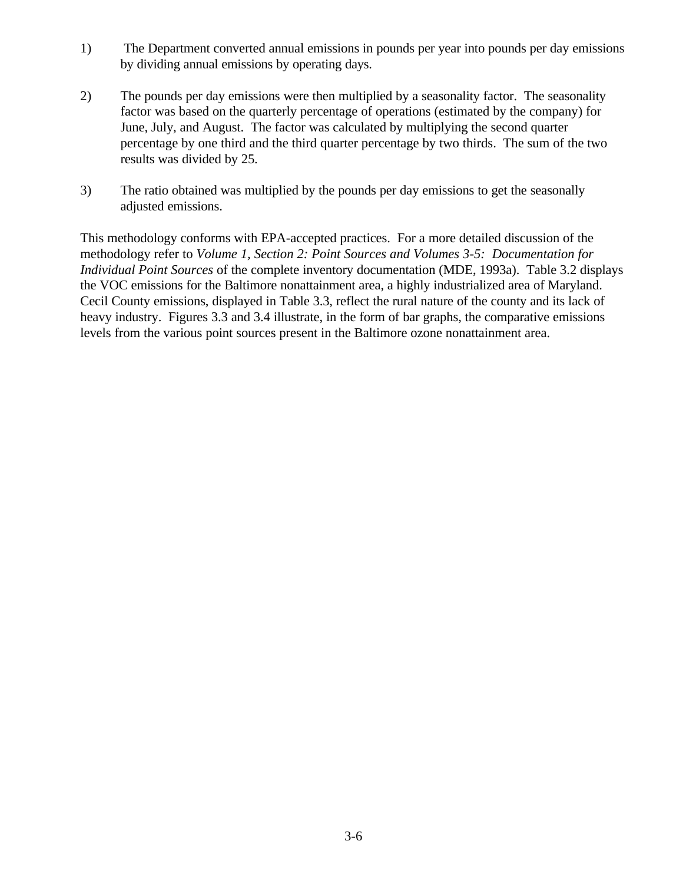- 1) The Department converted annual emissions in pounds per year into pounds per day emissions by dividing annual emissions by operating days.
- 2) The pounds per day emissions were then multiplied by a seasonality factor. The seasonality factor was based on the quarterly percentage of operations (estimated by the company) for June, July, and August. The factor was calculated by multiplying the second quarter percentage by one third and the third quarter percentage by two thirds. The sum of the two results was divided by 25.
- 3) The ratio obtained was multiplied by the pounds per day emissions to get the seasonally adjusted emissions.

This methodology conforms with EPA-accepted practices. For a more detailed discussion of the methodology refer to *Volume 1, Section 2: Point Sources and Volumes 3-5: Documentation for Individual Point Sources* of the complete inventory documentation (MDE, 1993a). Table 3.2 displays the VOC emissions for the Baltimore nonattainment area, a highly industrialized area of Maryland. Cecil County emissions, displayed in Table 3.3, reflect the rural nature of the county and its lack of heavy industry. Figures 3.3 and 3.4 illustrate, in the form of bar graphs, the comparative emissions levels from the various point sources present in the Baltimore ozone nonattainment area.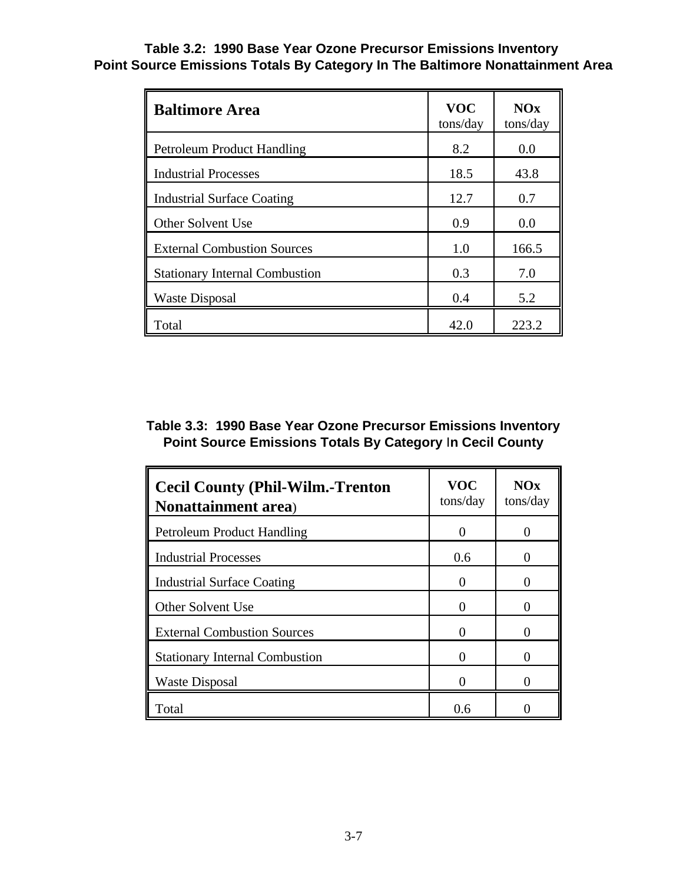## **Table 3.2: 1990 Base Year Ozone Precursor Emissions Inventory Point Source Emissions Totals By Category In The Baltimore Nonattainment Area**

| <b>Baltimore Area</b>                 | <b>VOC</b><br>tons/day | NOx<br>tons/day |
|---------------------------------------|------------------------|-----------------|
| <b>Petroleum Product Handling</b>     | 8.2                    | 0.0             |
| <b>Industrial Processes</b>           | 18.5                   | 43.8            |
| <b>Industrial Surface Coating</b>     | 12.7                   | 0.7             |
| Other Solvent Use                     | 0.9                    | 0.0             |
| <b>External Combustion Sources</b>    | 1.0                    | 166.5           |
| <b>Stationary Internal Combustion</b> | 0.3                    | 7.0             |
| Waste Disposal                        | 0.4                    | 5.2             |
| Total                                 | 42.0                   | 223.2           |

# **Table 3.3: 1990 Base Year Ozone Precursor Emissions Inventory Point Source Emissions Totals By Category** I**n Cecil County**

| <b>Cecil County (Phil-Wilm.-Trenton</b><br><b>Nonattainment area</b> ) | <b>VOC</b><br>tons/day | NOx<br>tons/day   |
|------------------------------------------------------------------------|------------------------|-------------------|
| <b>Petroleum Product Handling</b>                                      |                        |                   |
| <b>Industrial Processes</b>                                            | 0.6                    | $\mathbf{\Omega}$ |
| <b>Industrial Surface Coating</b>                                      |                        |                   |
| Other Solvent Use                                                      |                        |                   |
| <b>External Combustion Sources</b>                                     |                        |                   |
| <b>Stationary Internal Combustion</b>                                  |                        |                   |
| <b>Waste Disposal</b>                                                  |                        |                   |
| Total                                                                  | 0.6                    |                   |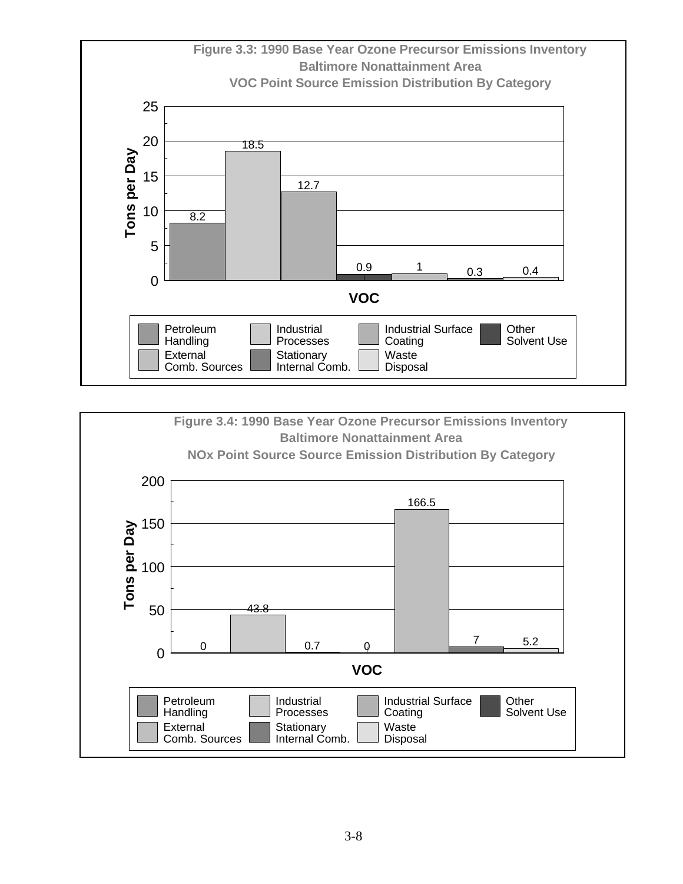

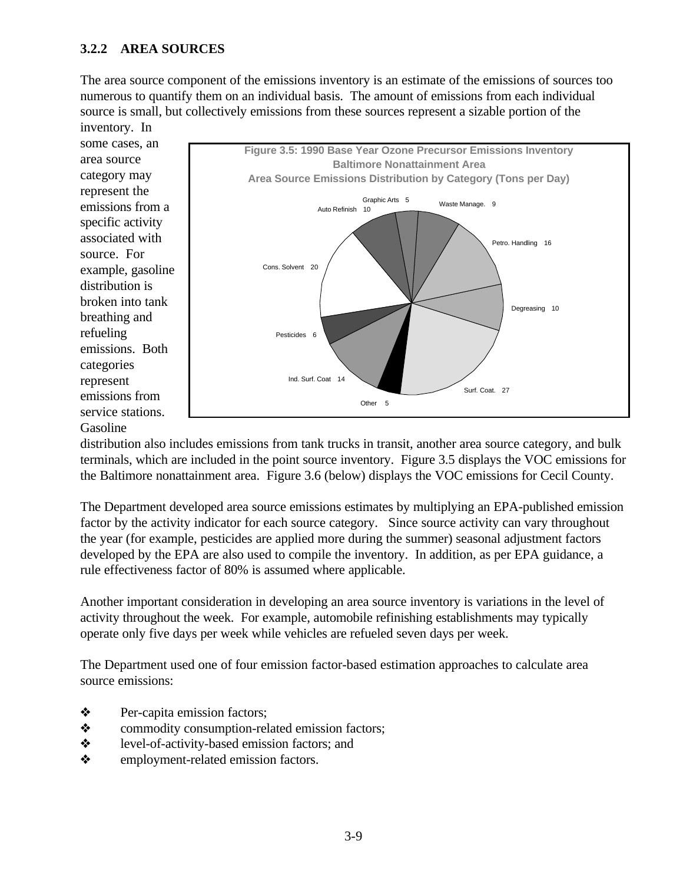# **3.2.2 AREA SOURCES**

The area source component of the emissions inventory is an estimate of the emissions of sources too numerous to quantify them on an individual basis. The amount of emissions from each individual source is small, but collectively emissions from these sources represent a sizable portion of the inventory. In



distribution also includes emissions from tank trucks in transit, another area source category, and bulk terminals, which are included in the point source inventory. Figure 3.5 displays the VOC emissions for the Baltimore nonattainment area. Figure 3.6 (below) displays the VOC emissions for Cecil County.

The Department developed area source emissions estimates by multiplying an EPA-published emission factor by the activity indicator for each source category. Since source activity can vary throughout the year (for example, pesticides are applied more during the summer) seasonal adjustment factors developed by the EPA are also used to compile the inventory. In addition, as per EPA guidance, a rule effectiveness factor of 80% is assumed where applicable.

Another important consideration in developing an area source inventory is variations in the level of activity throughout the week. For example, automobile refinishing establishments may typically operate only five days per week while vehicles are refueled seven days per week.

The Department used one of four emission factor-based estimation approaches to calculate area source emissions:

- $\triangle$  Per-capita emission factors;
- $\diamond$  commodity consumption-related emission factors;
- ò level-of-activity-based emission factors; and
- employment-related emission factors.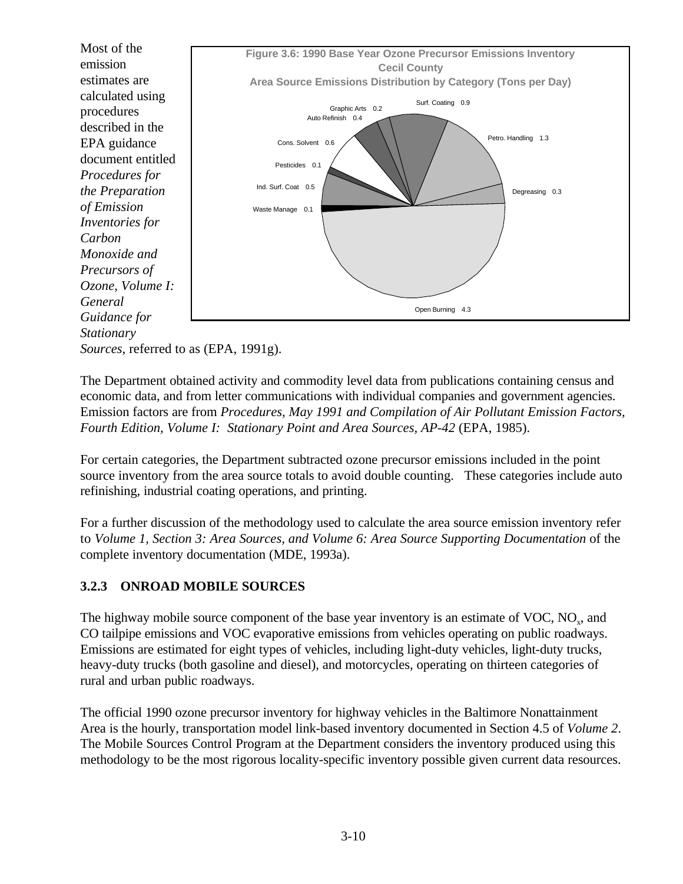

*Sources*, referred to as (EPA, 1991g).

The Department obtained activity and commodity level data from publications containing census and economic data, and from letter communications with individual companies and government agencies. Emission factors are from *Procedures, May 1991 and Compilation of Air Pollutant Emission Factors, Fourth Edition, Volume I: Stationary Point and Area Sources, AP-42* (EPA, 1985).

For certain categories, the Department subtracted ozone precursor emissions included in the point source inventory from the area source totals to avoid double counting. These categories include auto refinishing, industrial coating operations, and printing.

For a further discussion of the methodology used to calculate the area source emission inventory refer to *Volume 1, Section 3: Area Sources, and Volume 6: Area Source Supporting Documentation* of the complete inventory documentation (MDE, 1993a).

# **3.2.3 ONROAD MOBILE SOURCES**

The highway mobile source component of the base year inventory is an estimate of VOC,  $NO<sub>x</sub>$ , and CO tailpipe emissions and VOC evaporative emissions from vehicles operating on public roadways. Emissions are estimated for eight types of vehicles, including light-duty vehicles, light-duty trucks, heavy-duty trucks (both gasoline and diesel), and motorcycles, operating on thirteen categories of rural and urban public roadways.

The official 1990 ozone precursor inventory for highway vehicles in the Baltimore Nonattainment Area is the hourly, transportation model link-based inventory documented in Section 4.5 of *Volume 2*. The Mobile Sources Control Program at the Department considers the inventory produced using this methodology to be the most rigorous locality-specific inventory possible given current data resources.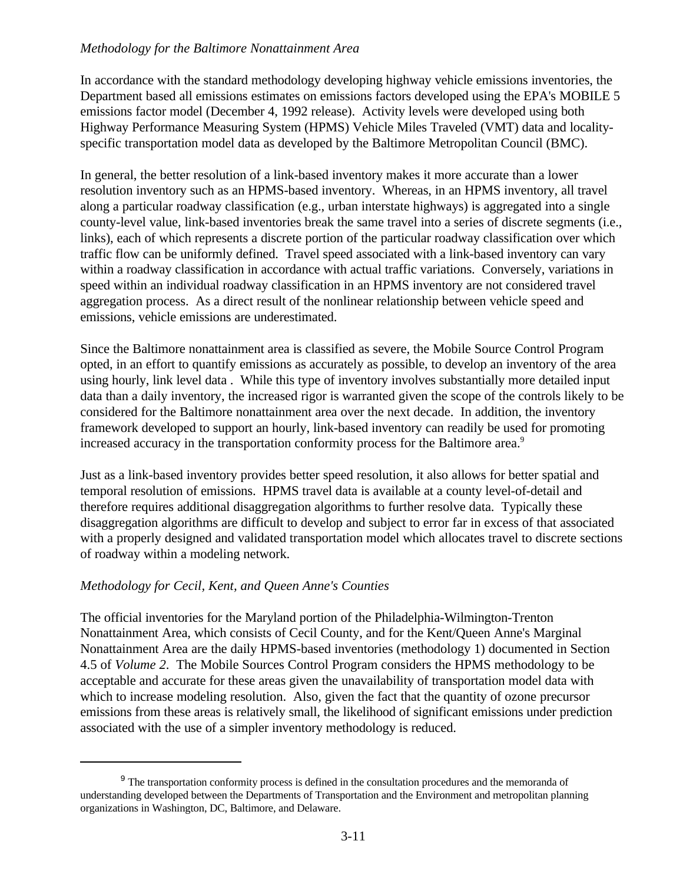### *Methodology for the Baltimore Nonattainment Area*

In accordance with the standard methodology developing highway vehicle emissions inventories, the Department based all emissions estimates on emissions factors developed using the EPA's MOBILE 5 emissions factor model (December 4, 1992 release). Activity levels were developed using both Highway Performance Measuring System (HPMS) Vehicle Miles Traveled (VMT) data and localityspecific transportation model data as developed by the Baltimore Metropolitan Council (BMC).

In general, the better resolution of a link-based inventory makes it more accurate than a lower resolution inventory such as an HPMS-based inventory. Whereas, in an HPMS inventory, all travel along a particular roadway classification (e.g., urban interstate highways) is aggregated into a single county-level value, link-based inventories break the same travel into a series of discrete segments (i.e., links), each of which represents a discrete portion of the particular roadway classification over which traffic flow can be uniformly defined. Travel speed associated with a link-based inventory can vary within a roadway classification in accordance with actual traffic variations. Conversely, variations in speed within an individual roadway classification in an HPMS inventory are not considered travel aggregation process. As a direct result of the nonlinear relationship between vehicle speed and emissions, vehicle emissions are underestimated.

Since the Baltimore nonattainment area is classified as severe, the Mobile Source Control Program opted, in an effort to quantify emissions as accurately as possible, to develop an inventory of the area using hourly, link level data . While this type of inventory involves substantially more detailed input data than a daily inventory, the increased rigor is warranted given the scope of the controls likely to be considered for the Baltimore nonattainment area over the next decade. In addition, the inventory framework developed to support an hourly, link-based inventory can readily be used for promoting increased accuracy in the transportation conformity process for the Baltimore area.<sup>9</sup>

Just as a link-based inventory provides better speed resolution, it also allows for better spatial and temporal resolution of emissions. HPMS travel data is available at a county level-of-detail and therefore requires additional disaggregation algorithms to further resolve data. Typically these disaggregation algorithms are difficult to develop and subject to error far in excess of that associated with a properly designed and validated transportation model which allocates travel to discrete sections of roadway within a modeling network.

### *Methodology for Cecil, Kent, and Queen Anne's Counties*

The official inventories for the Maryland portion of the Philadelphia-Wilmington-Trenton Nonattainment Area, which consists of Cecil County, and for the Kent/Queen Anne's Marginal Nonattainment Area are the daily HPMS-based inventories (methodology 1) documented in Section 4.5 of *Volume 2*. The Mobile Sources Control Program considers the HPMS methodology to be acceptable and accurate for these areas given the unavailability of transportation model data with which to increase modeling resolution. Also, given the fact that the quantity of ozone precursor emissions from these areas is relatively small, the likelihood of significant emissions under prediction associated with the use of a simpler inventory methodology is reduced.

<sup>&</sup>lt;sup>9</sup> The transportation conformity process is defined in the consultation procedures and the memoranda of understanding developed between the Departments of Transportation and the Environment and metropolitan planning organizations in Washington, DC, Baltimore, and Delaware.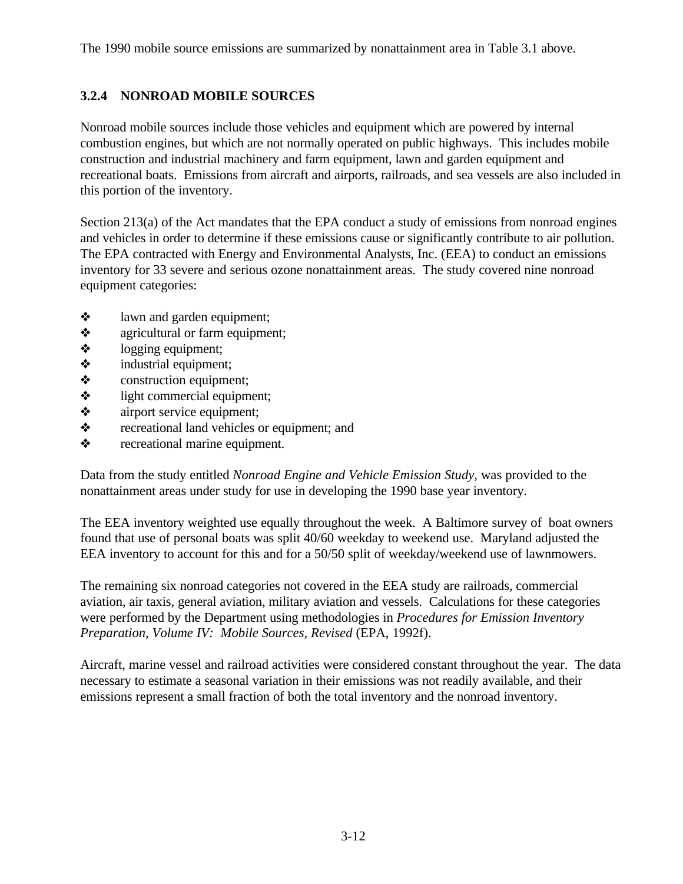The 1990 mobile source emissions are summarized by nonattainment area in Table 3.1 above.

# **3.2.4 NONROAD MOBILE SOURCES**

Nonroad mobile sources include those vehicles and equipment which are powered by internal combustion engines, but which are not normally operated on public highways. This includes mobile construction and industrial machinery and farm equipment, lawn and garden equipment and recreational boats. Emissions from aircraft and airports, railroads, and sea vessels are also included in this portion of the inventory.

Section 213(a) of the Act mandates that the EPA conduct a study of emissions from nonroad engines and vehicles in order to determine if these emissions cause or significantly contribute to air pollution. The EPA contracted with Energy and Environmental Analysts, Inc. (EEA) to conduct an emissions inventory for 33 severe and serious ozone nonattainment areas. The study covered nine nonroad equipment categories:

- $\triangleleft$  lawn and garden equipment;
- $\triangle$  agricultural or farm equipment;
- $\diamond$  logging equipment;
- $\triangle$  industrial equipment;
- $\diamond$  construction equipment;
- $\triangleleft$  light commercial equipment;
- $\triangle$  airport service equipment;
- $\diamond$  recreational land vehicles or equipment; and
- recreational marine equipment.

Data from the study entitled *Nonroad Engine and Vehicle Emission Study*, was provided to the nonattainment areas under study for use in developing the 1990 base year inventory.

The EEA inventory weighted use equally throughout the week. A Baltimore survey of boat owners found that use of personal boats was split 40/60 weekday to weekend use. Maryland adjusted the EEA inventory to account for this and for a 50/50 split of weekday/weekend use of lawnmowers.

The remaining six nonroad categories not covered in the EEA study are railroads, commercial aviation, air taxis, general aviation, military aviation and vessels. Calculations for these categories were performed by the Department using methodologies in *Procedures for Emission Inventory Preparation, Volume IV: Mobile Sources, Revised* (EPA, 1992f).

Aircraft, marine vessel and railroad activities were considered constant throughout the year. The data necessary to estimate a seasonal variation in their emissions was not readily available, and their emissions represent a small fraction of both the total inventory and the nonroad inventory.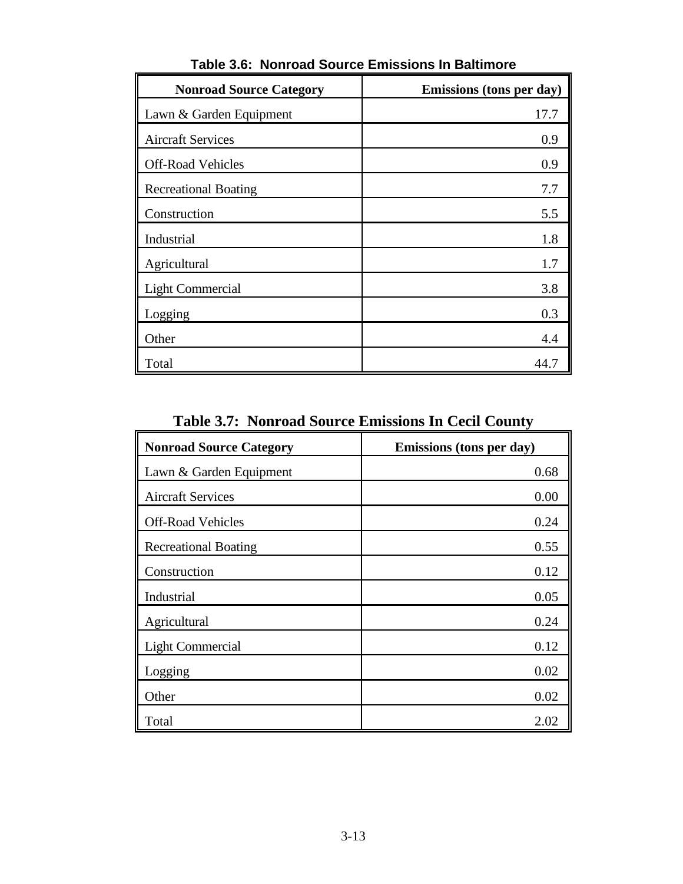| <b>Nonroad Source Category</b> | Emissions (tons per day) |
|--------------------------------|--------------------------|
| Lawn & Garden Equipment        | 17.7                     |
| <b>Aircraft Services</b>       | 0.9                      |
| <b>Off-Road Vehicles</b>       | 0.9                      |
| <b>Recreational Boating</b>    | 7.7                      |
| Construction                   | 5.5                      |
| Industrial                     | 1.8                      |
| Agricultural                   | 1.7                      |
| <b>Light Commercial</b>        | 3.8                      |
| Logging                        | 0.3                      |
| Other                          | 4.4                      |
| Total                          | 44.7                     |

**Table 3.6: Nonroad Source Emissions In Baltimore**

**Table 3.7: Nonroad Source Emissions In Cecil County**

| <b>Nonroad Source Category</b> | Emissions (tons per day) |  |
|--------------------------------|--------------------------|--|
| Lawn & Garden Equipment        | 0.68                     |  |
| <b>Aircraft Services</b>       | 0.00                     |  |
| <b>Off-Road Vehicles</b>       | 0.24                     |  |
| <b>Recreational Boating</b>    | 0.55                     |  |
| Construction                   | 0.12                     |  |
| Industrial                     | 0.05                     |  |
| Agricultural                   | 0.24                     |  |
| <b>Light Commercial</b>        | 0.12                     |  |
| Logging                        | 0.02                     |  |
| Other                          | 0.02                     |  |
| Total                          | 2.02                     |  |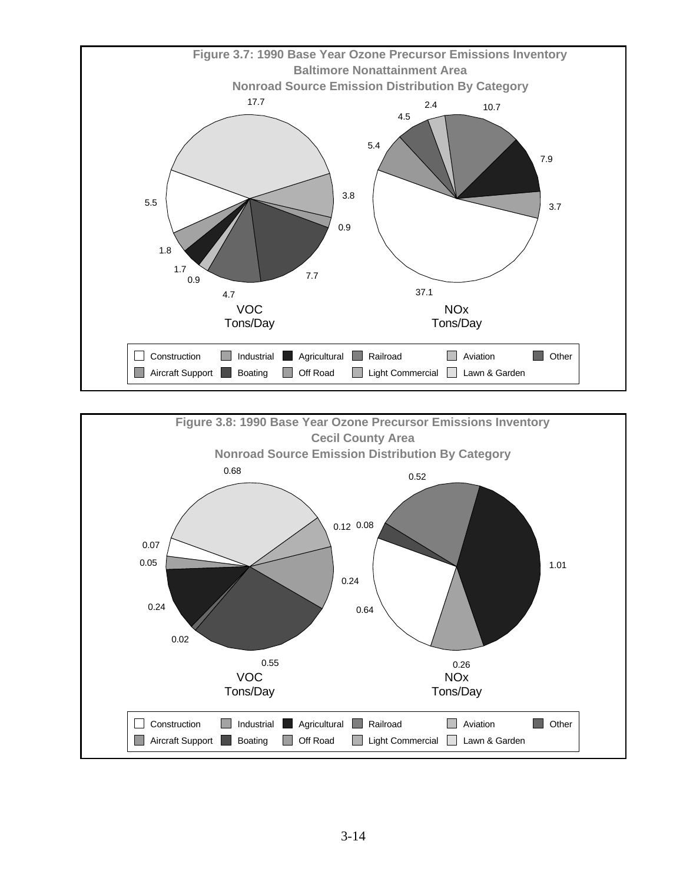

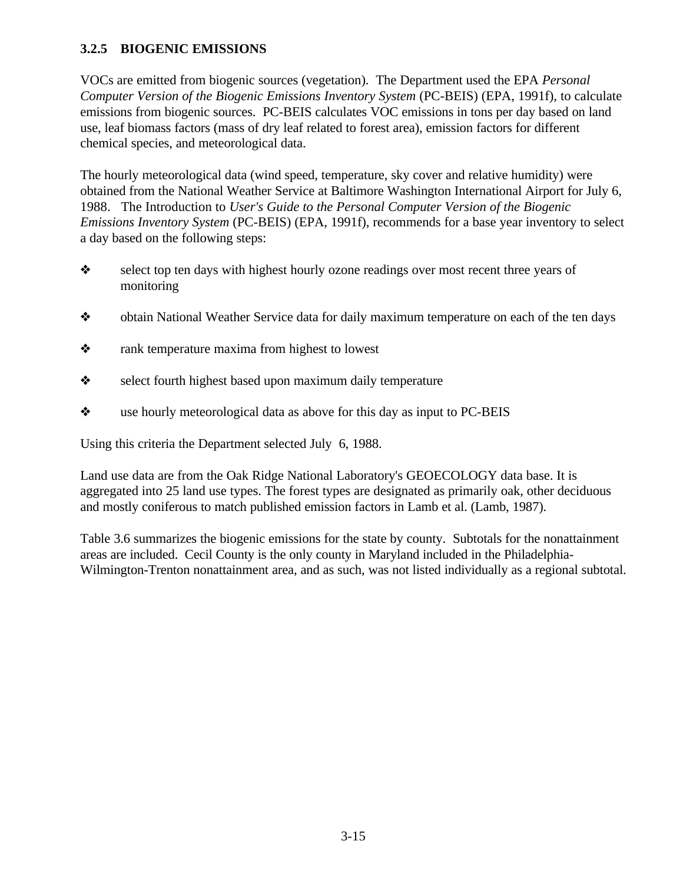# **3.2.5 BIOGENIC EMISSIONS**

VOCs are emitted from biogenic sources (vegetation). The Department used the EPA *Personal Computer Version of the Biogenic Emissions Inventory System (PC-BEIS) (EPA, 1991f), to calculate* emissions from biogenic sources. PC-BEIS calculates VOC emissions in tons per day based on land use, leaf biomass factors (mass of dry leaf related to forest area), emission factors for different chemical species, and meteorological data.

The hourly meteorological data (wind speed, temperature, sky cover and relative humidity) were obtained from the National Weather Service at Baltimore Washington International Airport for July 6, 1988. The Introduction to *User's Guide to the Personal Computer Version of the Biogenic Emissions Inventory System* (PC-BEIS) (EPA, 1991f), recommends for a base year inventory to select a day based on the following steps:

- \* select top ten days with highest hourly ozone readings over most recent three years of monitoring
- obtain National Weather Service data for daily maximum temperature on each of the ten days
- rank temperature maxima from highest to lowest
- $\triangle$  select fourth highest based upon maximum daily temperature
- use hourly meteorological data as above for this day as input to PC-BEIS

Using this criteria the Department selected July 6, 1988.

Land use data are from the Oak Ridge National Laboratory's GEOECOLOGY data base. It is aggregated into 25 land use types. The forest types are designated as primarily oak, other deciduous and mostly coniferous to match published emission factors in Lamb et al. (Lamb, 1987).

Table 3.6 summarizes the biogenic emissions for the state by county. Subtotals for the nonattainment areas are included. Cecil County is the only county in Maryland included in the Philadelphia-Wilmington-Trenton nonattainment area, and as such, was not listed individually as a regional subtotal.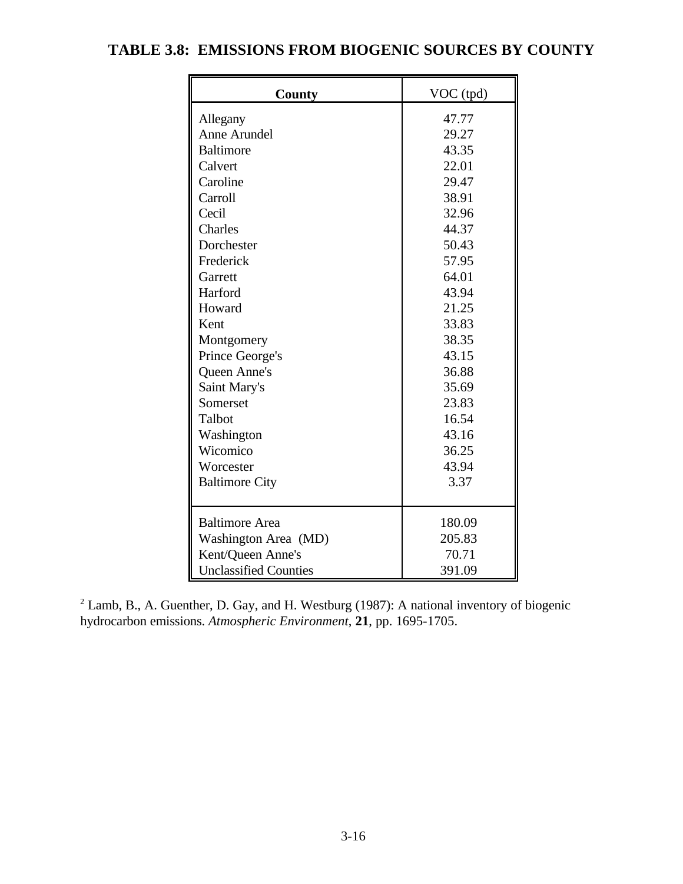| County                       | VOC_(tpd) |
|------------------------------|-----------|
| Allegany                     | 47.77     |
| Anne Arundel                 | 29.27     |
| <b>Baltimore</b>             | 43.35     |
| Calvert                      | 22.01     |
| Caroline                     | 29.47     |
| Carroll                      | 38.91     |
| Cecil                        | 32.96     |
| Charles                      | 44.37     |
| Dorchester                   | 50.43     |
| Frederick                    | 57.95     |
| Garrett                      | 64.01     |
| Harford                      | 43.94     |
| Howard                       | 21.25     |
| Kent                         | 33.83     |
| Montgomery                   | 38.35     |
| Prince George's              | 43.15     |
| Queen Anne's                 | 36.88     |
| Saint Mary's                 | 35.69     |
| Somerset                     | 23.83     |
| Talbot                       | 16.54     |
| Washington                   | 43.16     |
| Wicomico                     | 36.25     |
| Worcester                    | 43.94     |
| <b>Baltimore City</b>        | 3.37      |
|                              |           |
| <b>Baltimore</b> Area        | 180.09    |
| Washington Area (MD)         | 205.83    |
| Kent/Queen Anne's            | 70.71     |
| <b>Unclassified Counties</b> | 391.09    |

# **TABLE 3.8: EMISSIONS FROM BIOGENIC SOURCES BY COUNTY**

 $2$  Lamb, B., A. Guenther, D. Gay, and H. Westburg (1987): A national inventory of biogenic hydrocarbon emissions. *Atmospheric Environment*, **21**, pp. 1695-1705.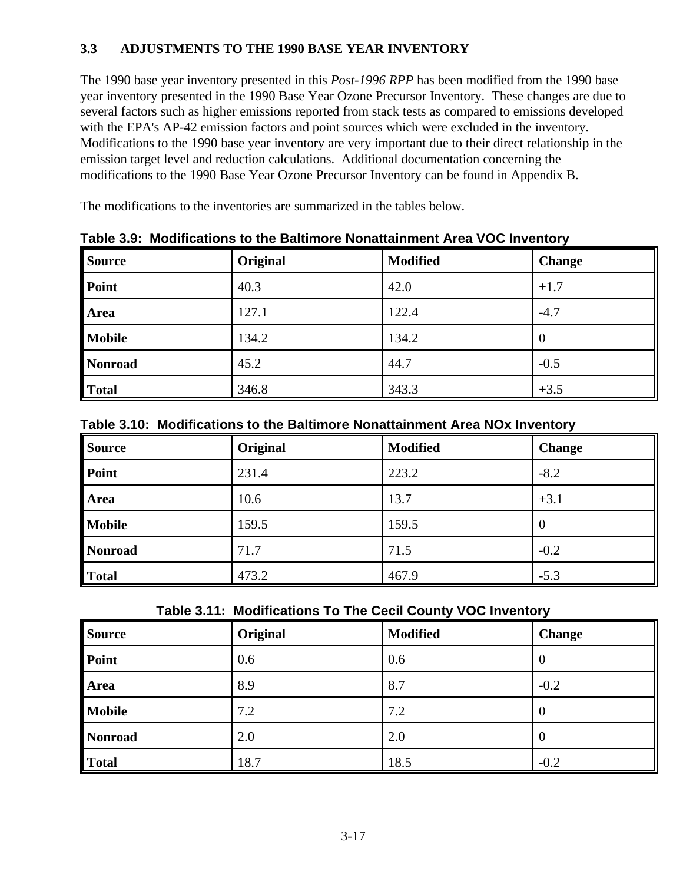# **3.3 ADJUSTMENTS TO THE 1990 BASE YEAR INVENTORY**

The 1990 base year inventory presented in this *Post-1996 RPP* has been modified from the 1990 base year inventory presented in the 1990 Base Year Ozone Precursor Inventory. These changes are due to several factors such as higher emissions reported from stack tests as compared to emissions developed with the EPA's AP-42 emission factors and point sources which were excluded in the inventory. Modifications to the 1990 base year inventory are very important due to their direct relationship in the emission target level and reduction calculations. Additional documentation concerning the modifications to the 1990 Base Year Ozone Precursor Inventory can be found in Appendix B.

The modifications to the inventories are summarized in the tables below.

| <b>Source</b> | Original | <b>Modified</b> | <b>Change</b> |
|---------------|----------|-----------------|---------------|
| $\vert$ Point | 40.3     | 42.0            | $+1.7$        |
| Area          | 127.1    | 122.4           | $-4.7$        |
| <b>Mobile</b> | 134.2    | 134.2           | 0             |
| Nonroad       | 45.2     | 44.7            | $-0.5$        |
| Total         | 346.8    | 343.3           | $+3.5$        |

**Table 3.9: Modifications to the Baltimore Nonattainment Area VOC Inventory**

|  |  |  |  | Table 3.10: Modifications to the Baltimore Nonattainment Area NOx Inventory |  |
|--|--|--|--|-----------------------------------------------------------------------------|--|
|--|--|--|--|-----------------------------------------------------------------------------|--|

| <b>Source</b> | Original | <b>Modified</b> | <b>Change</b> |
|---------------|----------|-----------------|---------------|
| $\ $ Point    | 231.4    | 223.2           | $-8.2$        |
| Area          | 10.6     | 13.7            | $+3.1$        |
| <b>Mobile</b> | 159.5    | 159.5           | v             |
| Nonroad       | 71.7     | 71.5            | $-0.2$        |
| Total         | 473.2    | 467.9           | $-5.3$        |

**Table 3.11: Modifications To The Cecil County VOC Inventory**

| Source        | Original | <b>Modified</b> | <b>Change</b> |
|---------------|----------|-----------------|---------------|
| $\vert$ Point | 0.6      | 0.6             |               |
| Area          | 8.9      | 8.7             | $-0.2$        |
| Mobile        | 7.2      | 7.2             |               |
| Nonroad       | 2.0      | 2.0             |               |
| Total         | 18.7     | 18.5            | $-0.2$        |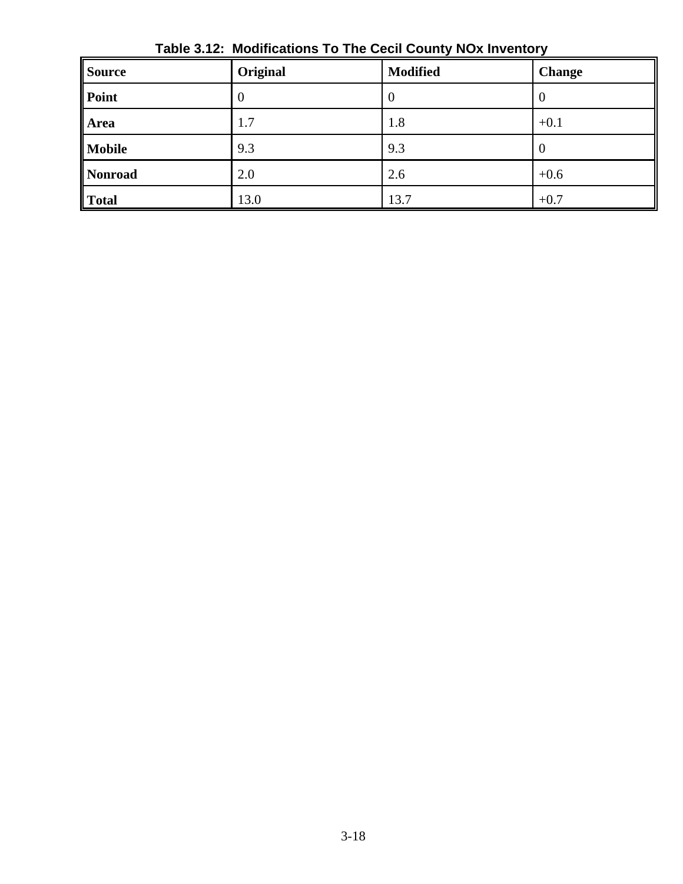| <b>Source</b>  | Original | <b>Modified</b> | <b>Change</b> |
|----------------|----------|-----------------|---------------|
| Point          | $\theta$ | 0               | $\theta$      |
| <b>Area</b>    | 1.7      | 1.8             | $+0.1$        |
| <b>Mobile</b>  | 9.3      | 9.3             | $\theta$      |
| <b>Nonroad</b> | 2.0      | 2.6             | $+0.6$        |
| <b>Total</b>   | 13.0     | 13.7            | $+0.7$        |

**Table 3.12: Modifications To The Cecil County NOx Inventory**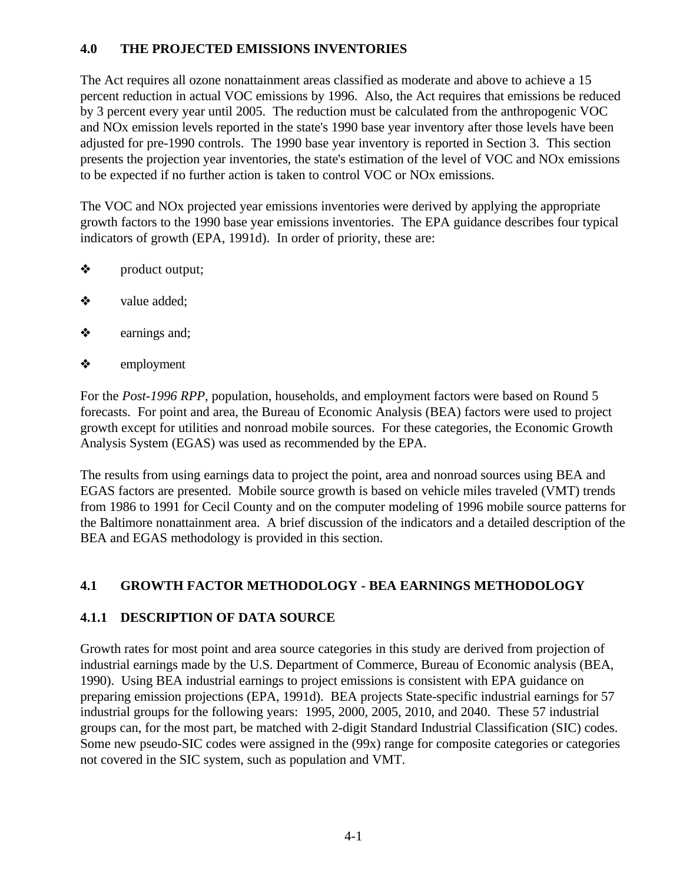## **4.0 THE PROJECTED EMISSIONS INVENTORIES**

The Act requires all ozone nonattainment areas classified as moderate and above to achieve a 15 percent reduction in actual VOC emissions by 1996. Also, the Act requires that emissions be reduced by 3 percent every year until 2005. The reduction must be calculated from the anthropogenic VOC and NOx emission levels reported in the state's 1990 base year inventory after those levels have been adjusted for pre-1990 controls. The 1990 base year inventory is reported in Section 3. This section presents the projection year inventories, the state's estimation of the level of VOC and NOx emissions to be expected if no further action is taken to control VOC or NOx emissions.

The VOC and NOx projected year emissions inventories were derived by applying the appropriate growth factors to the 1990 base year emissions inventories. The EPA guidance describes four typical indicators of growth (EPA, 1991d). In order of priority, these are:

- product output;
- $\triangleleft$  value added;
- $\triangle$  earnings and;
- ò employment

For the *Post-1996 RPP*, population, households, and employment factors were based on Round 5 forecasts. For point and area, the Bureau of Economic Analysis (BEA) factors were used to project growth except for utilities and nonroad mobile sources. For these categories, the Economic Growth Analysis System (EGAS) was used as recommended by the EPA.

The results from using earnings data to project the point, area and nonroad sources using BEA and EGAS factors are presented. Mobile source growth is based on vehicle miles traveled (VMT) trends from 1986 to 1991 for Cecil County and on the computer modeling of 1996 mobile source patterns for the Baltimore nonattainment area. A brief discussion of the indicators and a detailed description of the BEA and EGAS methodology is provided in this section.

# **4.1 GROWTH FACTOR METHODOLOGY - BEA EARNINGS METHODOLOGY**

#### **4.1.1 DESCRIPTION OF DATA SOURCE**

Growth rates for most point and area source categories in this study are derived from projection of industrial earnings made by the U.S. Department of Commerce, Bureau of Economic analysis (BEA, 1990). Using BEA industrial earnings to project emissions is consistent with EPA guidance on preparing emission projections (EPA, 1991d). BEA projects State-specific industrial earnings for 57 industrial groups for the following years: 1995, 2000, 2005, 2010, and 2040. These 57 industrial groups can, for the most part, be matched with 2-digit Standard Industrial Classification (SIC) codes. Some new pseudo-SIC codes were assigned in the (99x) range for composite categories or categories not covered in the SIC system, such as population and VMT.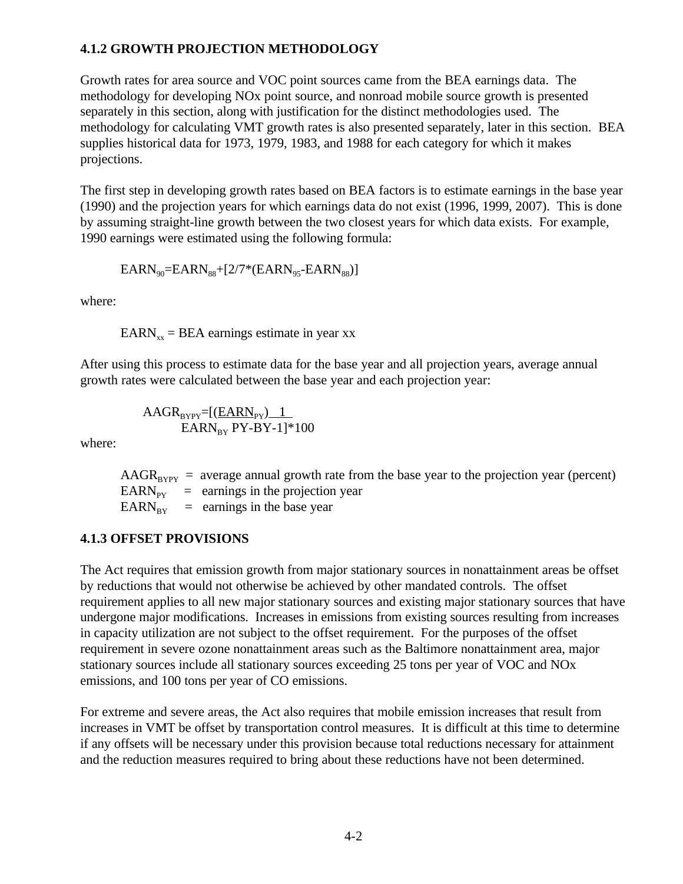# **4.1.2 GROWTH PROJECTION METHODOLOGY**

Growth rates for area source and VOC point sources came from the BEA earnings data. The methodology for developing NOx point source, and nonroad mobile source growth is presented separately in this section, along with justification for the distinct methodologies used. The methodology for calculating VMT growth rates is also presented separately, later in this section. BEA supplies historical data for 1973, 1979, 1983, and 1988 for each category for which it makes projections.

The first step in developing growth rates based on BEA factors is to estimate earnings in the base year (1990) and the projection years for which earnings data do not exist (1996, 1999, 2007). This is done by assuming straight-line growth between the two closest years for which data exists. For example, 1990 earnings were estimated using the following formula:

$$
EARN_{90}\!\!=\!\!EARN_{88}\!\!+\!\![2/7*\!(EARN_{95}\!\!-\!\!EARN_{88})]
$$

where:

 $EARN_{xx} = BER$  earnings estimate in year xx

After using this process to estimate data for the base year and all projection years, average annual growth rates were calculated between the base year and each projection year:

$$
\frac{\text{AAGR}_{\text{BYPY}}=[\text{(EARN}_{\text{PY}}) \_1}{\text{EARN}_{\text{BY}} \text{PY-BY-1}]^*100}
$$

where:

 $AAGR<sub>RVPV</sub>$  = average annual growth rate from the base year to the projection year (percent)  $EARN_{\text{py}}$  = earnings in the projection year  $EARN_{BY}$  = earnings in the base year

#### **4.1.3 OFFSET PROVISIONS**

The Act requires that emission growth from major stationary sources in nonattainment areas be offset by reductions that would not otherwise be achieved by other mandated controls. The offset requirement applies to all new major stationary sources and existing major stationary sources that have undergone major modifications. Increases in emissions from existing sources resulting from increases in capacity utilization are not subject to the offset requirement. For the purposes of the offset requirement in severe ozone nonattainment areas such as the Baltimore nonattainment area, major stationary sources include all stationary sources exceeding 25 tons per year of VOC and NOx emissions, and 100 tons per year of CO emissions.

For extreme and severe areas, the Act also requires that mobile emission increases that result from increases in VMT be offset by transportation control measures. It is difficult at this time to determine if any offsets will be necessary under this provision because total reductions necessary for attainment and the reduction measures required to bring about these reductions have not been determined.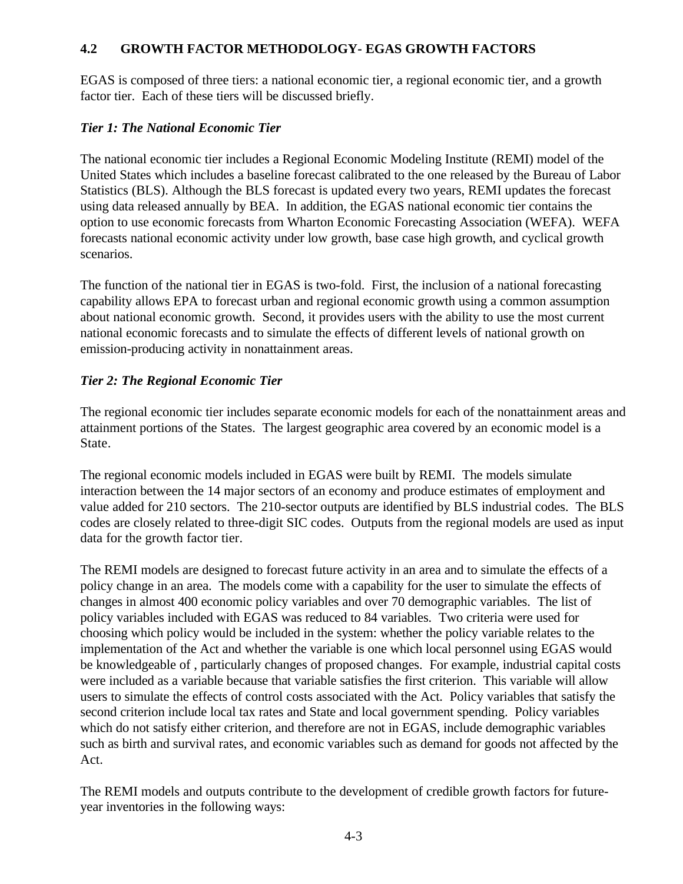## **4.2 GROWTH FACTOR METHODOLOGY- EGAS GROWTH FACTORS**

EGAS is composed of three tiers: a national economic tier, a regional economic tier, and a growth factor tier. Each of these tiers will be discussed briefly.

## *Tier 1: The National Economic Tier*

The national economic tier includes a Regional Economic Modeling Institute (REMI) model of the United States which includes a baseline forecast calibrated to the one released by the Bureau of Labor Statistics (BLS). Although the BLS forecast is updated every two years, REMI updates the forecast using data released annually by BEA. In addition, the EGAS national economic tier contains the option to use economic forecasts from Wharton Economic Forecasting Association (WEFA). WEFA forecasts national economic activity under low growth, base case high growth, and cyclical growth scenarios.

The function of the national tier in EGAS is two-fold. First, the inclusion of a national forecasting capability allows EPA to forecast urban and regional economic growth using a common assumption about national economic growth. Second, it provides users with the ability to use the most current national economic forecasts and to simulate the effects of different levels of national growth on emission-producing activity in nonattainment areas.

## *Tier 2: The Regional Economic Tier*

The regional economic tier includes separate economic models for each of the nonattainment areas and attainment portions of the States. The largest geographic area covered by an economic model is a State.

The regional economic models included in EGAS were built by REMI. The models simulate interaction between the 14 major sectors of an economy and produce estimates of employment and value added for 210 sectors. The 210-sector outputs are identified by BLS industrial codes. The BLS codes are closely related to three-digit SIC codes. Outputs from the regional models are used as input data for the growth factor tier.

The REMI models are designed to forecast future activity in an area and to simulate the effects of a policy change in an area. The models come with a capability for the user to simulate the effects of changes in almost 400 economic policy variables and over 70 demographic variables. The list of policy variables included with EGAS was reduced to 84 variables. Two criteria were used for choosing which policy would be included in the system: whether the policy variable relates to the implementation of the Act and whether the variable is one which local personnel using EGAS would be knowledgeable of , particularly changes of proposed changes. For example, industrial capital costs were included as a variable because that variable satisfies the first criterion. This variable will allow users to simulate the effects of control costs associated with the Act. Policy variables that satisfy the second criterion include local tax rates and State and local government spending. Policy variables which do not satisfy either criterion, and therefore are not in EGAS, include demographic variables such as birth and survival rates, and economic variables such as demand for goods not affected by the Act.

The REMI models and outputs contribute to the development of credible growth factors for futureyear inventories in the following ways: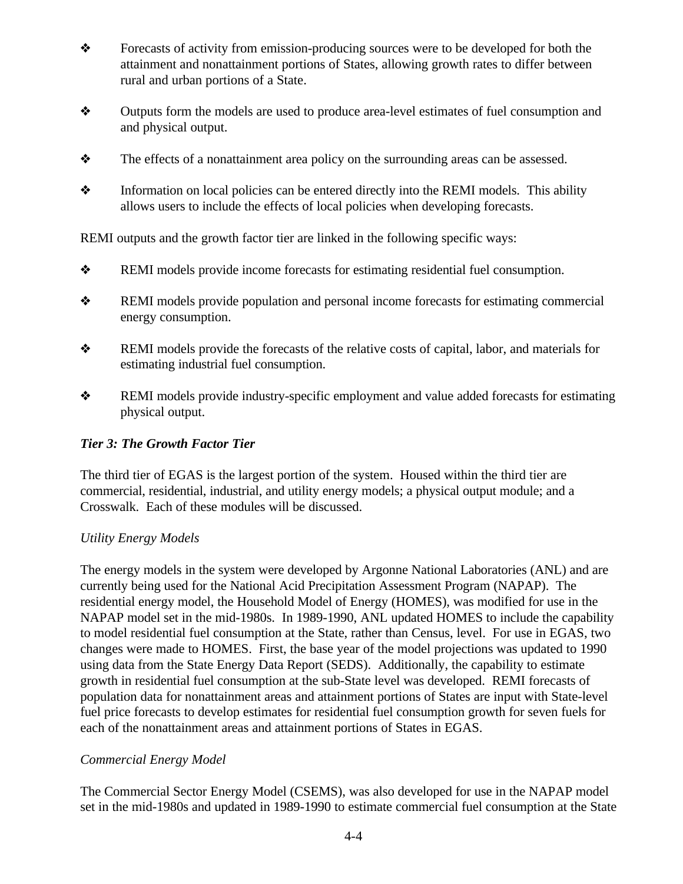- \* Forecasts of activity from emission-producing sources were to be developed for both the attainment and nonattainment portions of States, allowing growth rates to differ between rural and urban portions of a State.
- ò Outputs form the models are used to produce area-level estimates of fuel consumption and and physical output.
- $\bullet$  The effects of a nonattainment area policy on the surrounding areas can be assessed.
- $\triangle$  Information on local policies can be entered directly into the REMI models. This ability allows users to include the effects of local policies when developing forecasts.

REMI outputs and the growth factor tier are linked in the following specific ways:

- ò REMI models provide income forecasts for estimating residential fuel consumption.
- ò REMI models provide population and personal income forecasts for estimating commercial energy consumption.
- **\*** REMI models provide the forecasts of the relative costs of capital, labor, and materials for estimating industrial fuel consumption.
- ò REMI models provide industry-specific employment and value added forecasts for estimating physical output.

# *Tier 3: The Growth Factor Tier*

The third tier of EGAS is the largest portion of the system. Housed within the third tier are commercial, residential, industrial, and utility energy models; a physical output module; and a Crosswalk. Each of these modules will be discussed.

#### *Utility Energy Models*

The energy models in the system were developed by Argonne National Laboratories (ANL) and are currently being used for the National Acid Precipitation Assessment Program (NAPAP). The residential energy model, the Household Model of Energy (HOMES), was modified for use in the NAPAP model set in the mid-1980s. In 1989-1990, ANL updated HOMES to include the capability to model residential fuel consumption at the State, rather than Census, level. For use in EGAS, two changes were made to HOMES. First, the base year of the model projections was updated to 1990 using data from the State Energy Data Report (SEDS). Additionally, the capability to estimate growth in residential fuel consumption at the sub-State level was developed. REMI forecasts of population data for nonattainment areas and attainment portions of States are input with State-level fuel price forecasts to develop estimates for residential fuel consumption growth for seven fuels for each of the nonattainment areas and attainment portions of States in EGAS.

#### *Commercial Energy Model*

The Commercial Sector Energy Model (CSEMS), was also developed for use in the NAPAP model set in the mid-1980s and updated in 1989-1990 to estimate commercial fuel consumption at the State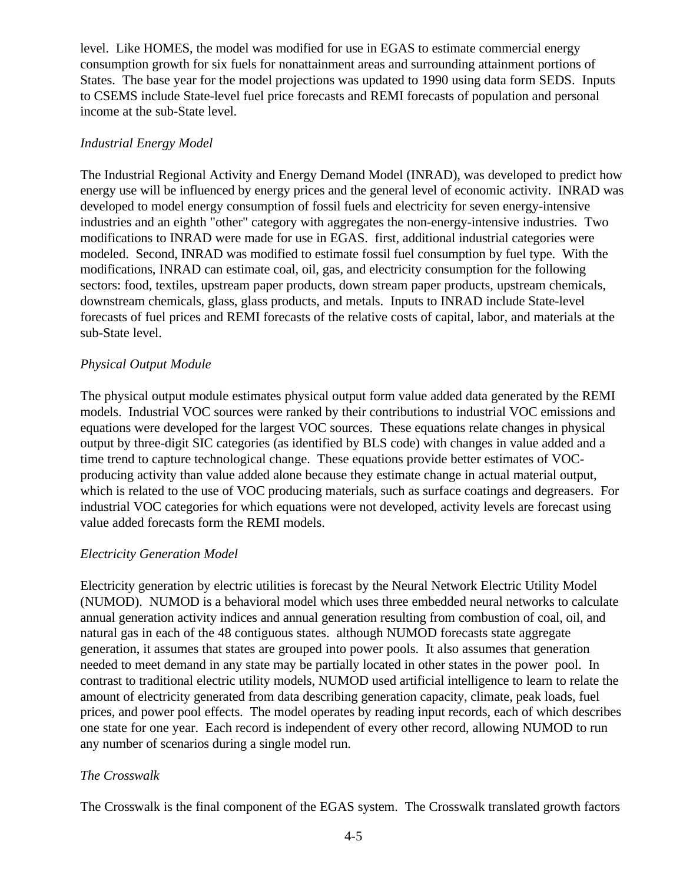level. Like HOMES, the model was modified for use in EGAS to estimate commercial energy consumption growth for six fuels for nonattainment areas and surrounding attainment portions of States. The base year for the model projections was updated to 1990 using data form SEDS. Inputs to CSEMS include State-level fuel price forecasts and REMI forecasts of population and personal income at the sub-State level.

#### *Industrial Energy Model*

The Industrial Regional Activity and Energy Demand Model (INRAD), was developed to predict how energy use will be influenced by energy prices and the general level of economic activity. INRAD was developed to model energy consumption of fossil fuels and electricity for seven energy-intensive industries and an eighth "other" category with aggregates the non-energy-intensive industries. Two modifications to INRAD were made for use in EGAS. first, additional industrial categories were modeled. Second, INRAD was modified to estimate fossil fuel consumption by fuel type. With the modifications, INRAD can estimate coal, oil, gas, and electricity consumption for the following sectors: food, textiles, upstream paper products, down stream paper products, upstream chemicals, downstream chemicals, glass, glass products, and metals. Inputs to INRAD include State-level forecasts of fuel prices and REMI forecasts of the relative costs of capital, labor, and materials at the sub-State level.

#### *Physical Output Module*

The physical output module estimates physical output form value added data generated by the REMI models. Industrial VOC sources were ranked by their contributions to industrial VOC emissions and equations were developed for the largest VOC sources. These equations relate changes in physical output by three-digit SIC categories (as identified by BLS code) with changes in value added and a time trend to capture technological change. These equations provide better estimates of VOCproducing activity than value added alone because they estimate change in actual material output, which is related to the use of VOC producing materials, such as surface coatings and degreasers. For industrial VOC categories for which equations were not developed, activity levels are forecast using value added forecasts form the REMI models.

#### *Electricity Generation Model*

Electricity generation by electric utilities is forecast by the Neural Network Electric Utility Model (NUMOD). NUMOD is a behavioral model which uses three embedded neural networks to calculate annual generation activity indices and annual generation resulting from combustion of coal, oil, and natural gas in each of the 48 contiguous states. although NUMOD forecasts state aggregate generation, it assumes that states are grouped into power pools. It also assumes that generation needed to meet demand in any state may be partially located in other states in the power pool. In contrast to traditional electric utility models, NUMOD used artificial intelligence to learn to relate the amount of electricity generated from data describing generation capacity, climate, peak loads, fuel prices, and power pool effects. The model operates by reading input records, each of which describes one state for one year. Each record is independent of every other record, allowing NUMOD to run any number of scenarios during a single model run.

#### *The Crosswalk*

The Crosswalk is the final component of the EGAS system. The Crosswalk translated growth factors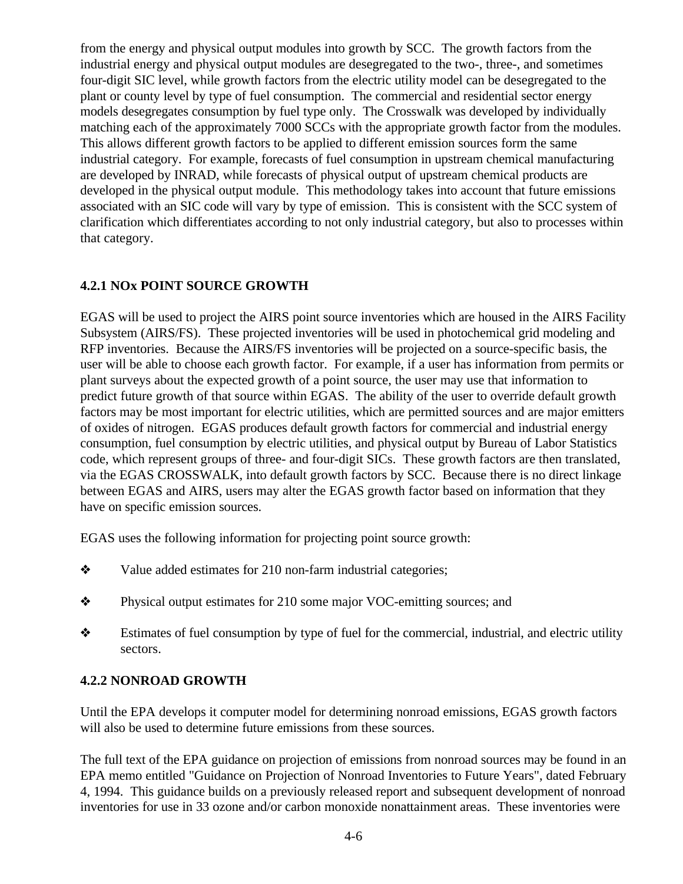from the energy and physical output modules into growth by SCC. The growth factors from the industrial energy and physical output modules are desegregated to the two-, three-, and sometimes four-digit SIC level, while growth factors from the electric utility model can be desegregated to the plant or county level by type of fuel consumption. The commercial and residential sector energy models desegregates consumption by fuel type only. The Crosswalk was developed by individually matching each of the approximately 7000 SCCs with the appropriate growth factor from the modules. This allows different growth factors to be applied to different emission sources form the same industrial category. For example, forecasts of fuel consumption in upstream chemical manufacturing are developed by INRAD, while forecasts of physical output of upstream chemical products are developed in the physical output module. This methodology takes into account that future emissions associated with an SIC code will vary by type of emission. This is consistent with the SCC system of clarification which differentiates according to not only industrial category, but also to processes within that category.

# **4.2.1 NOx POINT SOURCE GROWTH**

EGAS will be used to project the AIRS point source inventories which are housed in the AIRS Facility Subsystem (AIRS/FS). These projected inventories will be used in photochemical grid modeling and RFP inventories. Because the AIRS/FS inventories will be projected on a source-specific basis, the user will be able to choose each growth factor. For example, if a user has information from permits or plant surveys about the expected growth of a point source, the user may use that information to predict future growth of that source within EGAS. The ability of the user to override default growth factors may be most important for electric utilities, which are permitted sources and are major emitters of oxides of nitrogen. EGAS produces default growth factors for commercial and industrial energy consumption, fuel consumption by electric utilities, and physical output by Bureau of Labor Statistics code, which represent groups of three- and four-digit SICs. These growth factors are then translated, via the EGAS CROSSWALK, into default growth factors by SCC. Because there is no direct linkage between EGAS and AIRS, users may alter the EGAS growth factor based on information that they have on specific emission sources.

EGAS uses the following information for projecting point source growth:

- $\triangleleft$  Value added estimates for 210 non-farm industrial categories;
- \* Physical output estimates for 210 some major VOC-emitting sources; and
- $\triangle$  Estimates of fuel consumption by type of fuel for the commercial, industrial, and electric utility sectors.

# **4.2.2 NONROAD GROWTH**

Until the EPA develops it computer model for determining nonroad emissions, EGAS growth factors will also be used to determine future emissions from these sources.

The full text of the EPA guidance on projection of emissions from nonroad sources may be found in an EPA memo entitled "Guidance on Projection of Nonroad Inventories to Future Years", dated February 4, 1994. This guidance builds on a previously released report and subsequent development of nonroad inventories for use in 33 ozone and/or carbon monoxide nonattainment areas. These inventories were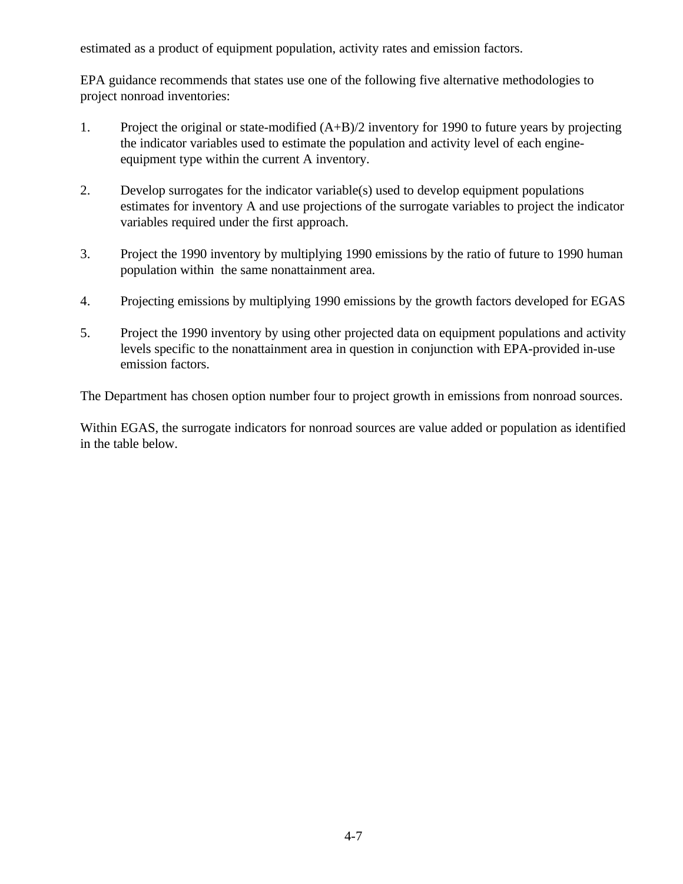estimated as a product of equipment population, activity rates and emission factors.

EPA guidance recommends that states use one of the following five alternative methodologies to project nonroad inventories:

- 1. Project the original or state-modified (A+B)/2 inventory for 1990 to future years by projecting the indicator variables used to estimate the population and activity level of each engineequipment type within the current A inventory.
- 2. Develop surrogates for the indicator variable(s) used to develop equipment populations estimates for inventory A and use projections of the surrogate variables to project the indicator variables required under the first approach.
- 3. Project the 1990 inventory by multiplying 1990 emissions by the ratio of future to 1990 human population within the same nonattainment area.
- 4. Projecting emissions by multiplying 1990 emissions by the growth factors developed for EGAS
- 5. Project the 1990 inventory by using other projected data on equipment populations and activity levels specific to the nonattainment area in question in conjunction with EPA-provided in-use emission factors.

The Department has chosen option number four to project growth in emissions from nonroad sources.

Within EGAS, the surrogate indicators for nonroad sources are value added or population as identified in the table below.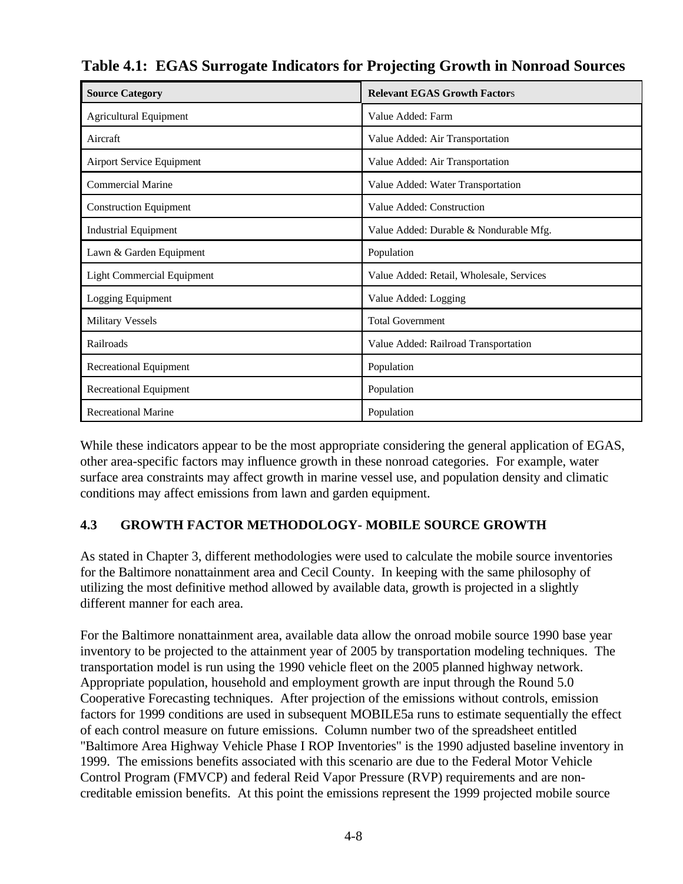| <b>Source Category</b>            | <b>Relevant EGAS Growth Factors</b>      |
|-----------------------------------|------------------------------------------|
| Agricultural Equipment            | Value Added: Farm                        |
| Aircraft                          | Value Added: Air Transportation          |
| <b>Airport Service Equipment</b>  | Value Added: Air Transportation          |
| <b>Commercial Marine</b>          | Value Added: Water Transportation        |
| <b>Construction Equipment</b>     | Value Added: Construction                |
| <b>Industrial Equipment</b>       | Value Added: Durable & Nondurable Mfg.   |
| Lawn & Garden Equipment           | Population                               |
| <b>Light Commercial Equipment</b> | Value Added: Retail, Wholesale, Services |
| Logging Equipment                 | Value Added: Logging                     |
| <b>Military Vessels</b>           | <b>Total Government</b>                  |
| Railroads                         | Value Added: Railroad Transportation     |
| Recreational Equipment            | Population                               |
| Recreational Equipment            | Population                               |
| <b>Recreational Marine</b>        | Population                               |

**Table 4.1: EGAS Surrogate Indicators for Projecting Growth in Nonroad Sources**

While these indicators appear to be the most appropriate considering the general application of EGAS, other area-specific factors may influence growth in these nonroad categories. For example, water surface area constraints may affect growth in marine vessel use, and population density and climatic conditions may affect emissions from lawn and garden equipment.

# **4.3 GROWTH FACTOR METHODOLOGY- MOBILE SOURCE GROWTH**

As stated in Chapter 3, different methodologies were used to calculate the mobile source inventories for the Baltimore nonattainment area and Cecil County. In keeping with the same philosophy of utilizing the most definitive method allowed by available data, growth is projected in a slightly different manner for each area.

For the Baltimore nonattainment area, available data allow the onroad mobile source 1990 base year inventory to be projected to the attainment year of 2005 by transportation modeling techniques. The transportation model is run using the 1990 vehicle fleet on the 2005 planned highway network. Appropriate population, household and employment growth are input through the Round 5.0 Cooperative Forecasting techniques. After projection of the emissions without controls, emission factors for 1999 conditions are used in subsequent MOBILE5a runs to estimate sequentially the effect of each control measure on future emissions. Column number two of the spreadsheet entitled "Baltimore Area Highway Vehicle Phase I ROP Inventories" is the 1990 adjusted baseline inventory in 1999. The emissions benefits associated with this scenario are due to the Federal Motor Vehicle Control Program (FMVCP) and federal Reid Vapor Pressure (RVP) requirements and are noncreditable emission benefits. At this point the emissions represent the 1999 projected mobile source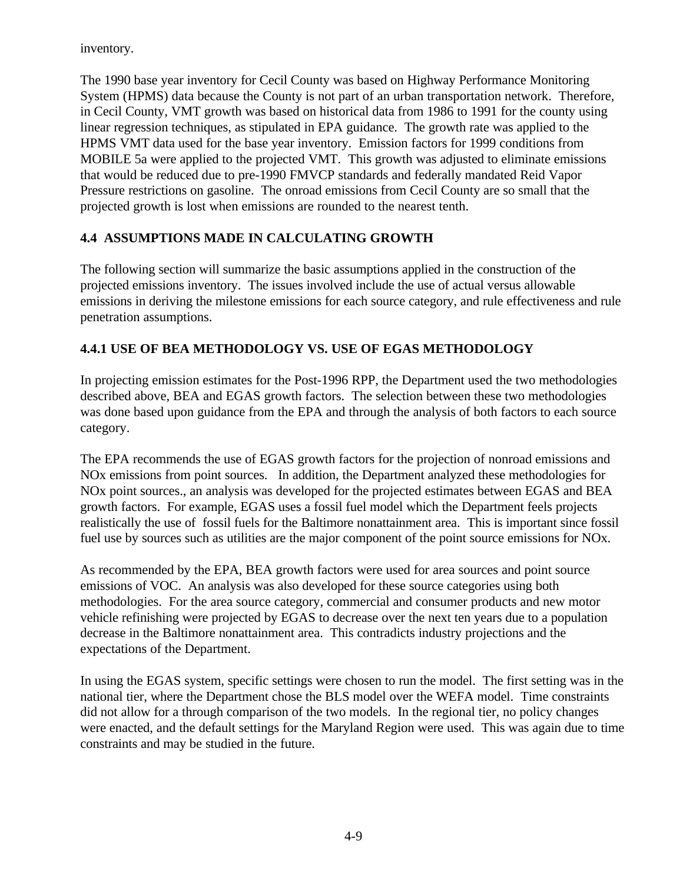inventory.

The 1990 base year inventory for Cecil County was based on Highway Performance Monitoring System (HPMS) data because the County is not part of an urban transportation network. Therefore, in Cecil County, VMT growth was based on historical data from 1986 to 1991 for the county using linear regression techniques, as stipulated in EPA guidance. The growth rate was applied to the HPMS VMT data used for the base year inventory. Emission factors for 1999 conditions from MOBILE 5a were applied to the projected VMT. This growth was adjusted to eliminate emissions that would be reduced due to pre-1990 FMVCP standards and federally mandated Reid Vapor Pressure restrictions on gasoline. The onroad emissions from Cecil County are so small that the projected growth is lost when emissions are rounded to the nearest tenth.

# **4.4 ASSUMPTIONS MADE IN CALCULATING GROWTH**

The following section will summarize the basic assumptions applied in the construction of the projected emissions inventory. The issues involved include the use of actual versus allowable emissions in deriving the milestone emissions for each source category, and rule effectiveness and rule penetration assumptions.

# **4.4.1 USE OF BEA METHODOLOGY VS. USE OF EGAS METHODOLOGY**

In projecting emission estimates for the Post-1996 RPP, the Department used the two methodologies described above, BEA and EGAS growth factors. The selection between these two methodologies was done based upon guidance from the EPA and through the analysis of both factors to each source category.

The EPA recommends the use of EGAS growth factors for the projection of nonroad emissions and NOx emissions from point sources. In addition, the Department analyzed these methodologies for NOx point sources., an analysis was developed for the projected estimates between EGAS and BEA growth factors. For example, EGAS uses a fossil fuel model which the Department feels projects realistically the use of fossil fuels for the Baltimore nonattainment area. This is important since fossil fuel use by sources such as utilities are the major component of the point source emissions for NOx.

As recommended by the EPA, BEA growth factors were used for area sources and point source emissions of VOC. An analysis was also developed for these source categories using both methodologies. For the area source category, commercial and consumer products and new motor vehicle refinishing were projected by EGAS to decrease over the next ten years due to a population decrease in the Baltimore nonattainment area. This contradicts industry projections and the expectations of the Department.

In using the EGAS system, specific settings were chosen to run the model. The first setting was in the national tier, where the Department chose the BLS model over the WEFA model. Time constraints did not allow for a through comparison of the two models. In the regional tier, no policy changes were enacted, and the default settings for the Maryland Region were used. This was again due to time constraints and may be studied in the future.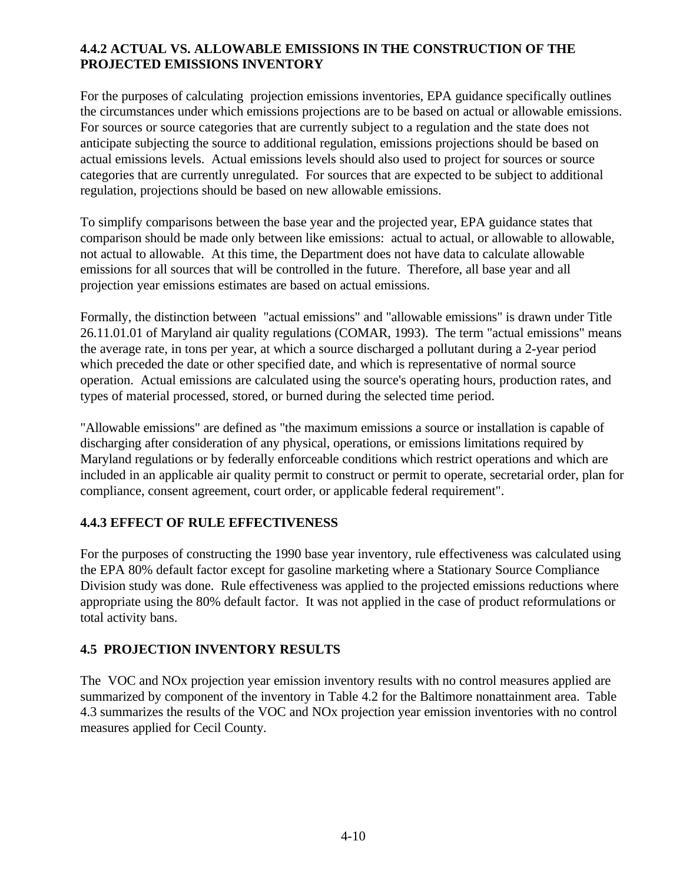## **4.4.2 ACTUAL VS. ALLOWABLE EMISSIONS IN THE CONSTRUCTION OF THE PROJECTED EMISSIONS INVENTORY**

For the purposes of calculating projection emissions inventories, EPA guidance specifically outlines the circumstances under which emissions projections are to be based on actual or allowable emissions. For sources or source categories that are currently subject to a regulation and the state does not anticipate subjecting the source to additional regulation, emissions projections should be based on actual emissions levels. Actual emissions levels should also used to project for sources or source categories that are currently unregulated. For sources that are expected to be subject to additional regulation, projections should be based on new allowable emissions.

To simplify comparisons between the base year and the projected year, EPA guidance states that comparison should be made only between like emissions: actual to actual, or allowable to allowable, not actual to allowable. At this time, the Department does not have data to calculate allowable emissions for all sources that will be controlled in the future. Therefore, all base year and all projection year emissions estimates are based on actual emissions.

Formally, the distinction between "actual emissions" and "allowable emissions" is drawn under Title 26.11.01.01 of Maryland air quality regulations (COMAR, 1993). The term "actual emissions" means the average rate, in tons per year, at which a source discharged a pollutant during a 2-year period which preceded the date or other specified date, and which is representative of normal source operation. Actual emissions are calculated using the source's operating hours, production rates, and types of material processed, stored, or burned during the selected time period.

"Allowable emissions" are defined as "the maximum emissions a source or installation is capable of discharging after consideration of any physical, operations, or emissions limitations required by Maryland regulations or by federally enforceable conditions which restrict operations and which are included in an applicable air quality permit to construct or permit to operate, secretarial order, plan for compliance, consent agreement, court order, or applicable federal requirement".

#### **4.4.3 EFFECT OF RULE EFFECTIVENESS**

For the purposes of constructing the 1990 base year inventory, rule effectiveness was calculated using the EPA 80% default factor except for gasoline marketing where a Stationary Source Compliance Division study was done. Rule effectiveness was applied to the projected emissions reductions where appropriate using the 80% default factor. It was not applied in the case of product reformulations or total activity bans.

#### **4.5 PROJECTION INVENTORY RESULTS**

The VOC and NOx projection year emission inventory results with no control measures applied are summarized by component of the inventory in Table 4.2 for the Baltimore nonattainment area. Table 4.3 summarizes the results of the VOC and NOx projection year emission inventories with no control measures applied for Cecil County.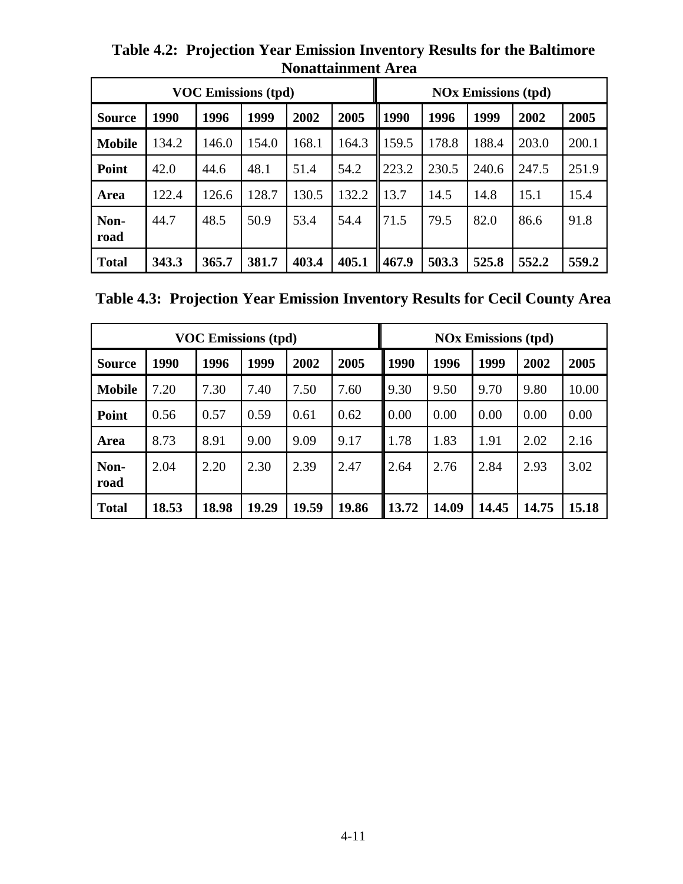| <b>VOC Emissions (tpd)</b> |       |       |       |       |       |                                      | <b>NOx Emissions (tpd)</b> |       |       |       |
|----------------------------|-------|-------|-------|-------|-------|--------------------------------------|----------------------------|-------|-------|-------|
| <b>Source</b>              | 1990  | 1996  | 1999  | 2002  | 2005  | 1990<br>1996<br>2005<br>1999<br>2002 |                            |       |       |       |
| <b>Mobile</b>              | 134.2 | 146.0 | 154.0 | 168.1 | 164.3 | 159.5                                | 178.8                      | 188.4 | 203.0 | 200.1 |
| Point                      | 42.0  | 44.6  | 48.1  | 51.4  | 54.2  | 223.2                                | 230.5                      | 240.6 | 247.5 | 251.9 |
| Area                       | 122.4 | 126.6 | 128.7 | 130.5 | 132.2 | 13.7                                 | 14.5                       | 14.8  | 15.1  | 15.4  |
| Non-<br>road               | 44.7  | 48.5  | 50.9  | 53.4  | 54.4  | 71.5                                 | 79.5                       | 82.0  | 86.6  | 91.8  |
| <b>Total</b>               | 343.3 | 365.7 | 381.7 | 403.4 | 405.1 | 467.9                                | 503.3                      | 525.8 | 552.2 | 559.2 |

**Table 4.2: Projection Year Emission Inventory Results for the Baltimore Nonattainment Area** 

**Table 4.3: Projection Year Emission Inventory Results for Cecil County Area**

| <b>VOC Emissions (tpd)</b> |       |       |       |       |       | <b>NOx Emissions (tpd)</b> |       |       |       |       |
|----------------------------|-------|-------|-------|-------|-------|----------------------------|-------|-------|-------|-------|
| <b>Source</b>              | 1990  | 1996  | 1999  | 2002  | 2005  | 1990                       | 1996  | 1999  | 2002  | 2005  |
| <b>Mobile</b>              | 7.20  | 7.30  | 7.40  | 7.50  | 7.60  | 9.30                       | 9.50  | 9.70  | 9.80  | 10.00 |
| Point                      | 0.56  | 0.57  | 0.59  | 0.61  | 0.62  | 0.00                       | 0.00  | 0.00  | 0.00  | 0.00  |
| Area                       | 8.73  | 8.91  | 9.00  | 9.09  | 9.17  | 1.78                       | 1.83  | 1.91  | 2.02  | 2.16  |
| Non-<br>road               | 2.04  | 2.20  | 2.30  | 2.39  | 2.47  | 2.64                       | 2.76  | 2.84  | 2.93  | 3.02  |
| <b>Total</b>               | 18.53 | 18.98 | 19.29 | 19.59 | 19.86 | 13.72                      | 14.09 | 14.45 | 14.75 | 15.18 |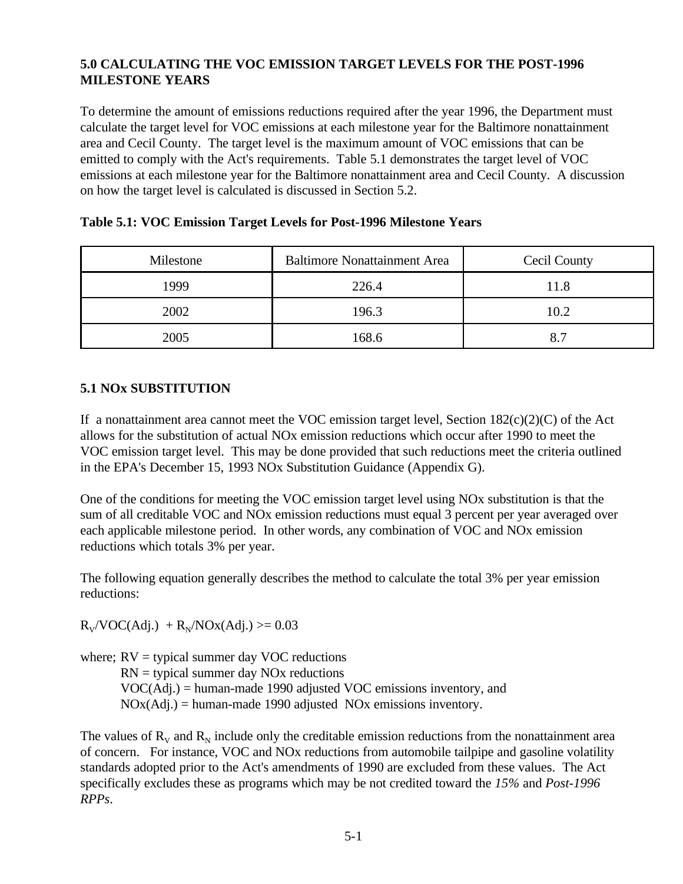## **5.0 CALCULATING THE VOC EMISSION TARGET LEVELS FOR THE POST-1996 MILESTONE YEARS**

To determine the amount of emissions reductions required after the year 1996, the Department must calculate the target level for VOC emissions at each milestone year for the Baltimore nonattainment area and Cecil County. The target level is the maximum amount of VOC emissions that can be emitted to comply with the Act's requirements. Table 5.1 demonstrates the target level of VOC emissions at each milestone year for the Baltimore nonattainment area and Cecil County. A discussion on how the target level is calculated is discussed in Section 5.2.

| Milestone | <b>Baltimore Nonattainment Area</b> | <b>Cecil County</b> |
|-----------|-------------------------------------|---------------------|
| 1999      | 226.4                               | 11.8                |
| 2002      | 196.3                               | 10.2                |
| 2005      | 168.6                               | 8.7                 |

### **Table 5.1: VOC Emission Target Levels for Post-1996 Milestone Years**

# **5.1 NOx SUBSTITUTION**

If a nonattainment area cannot meet the VOC emission target level, Section  $182(c)(2)(C)$  of the Act allows for the substitution of actual NOx emission reductions which occur after 1990 to meet the VOC emission target level. This may be done provided that such reductions meet the criteria outlined in the EPA's December 15, 1993 NOx Substitution Guidance (Appendix G).

One of the conditions for meeting the VOC emission target level using NOx substitution is that the sum of all creditable VOC and NOx emission reductions must equal 3 percent per year averaged over each applicable milestone period. In other words, any combination of VOC and NOx emission reductions which totals 3% per year.

The following equation generally describes the method to calculate the total 3% per year emission reductions:

 $R_V/VOC(Adj.) + R_N/NOx(Adj.) \ge 0.03$ 

where;  $RV =$  typical summer day VOC reductions  $RN =$  typical summer day  $NOx$  reductions VOC(Adj.) = human-made 1990 adjusted VOC emissions inventory, and  $NOX(Adj.) = human-made 1990 adjusted NOx emissions inventory.$ 

The values of  $R_V$  and  $R_N$  include only the creditable emission reductions from the nonattainment area of concern. For instance, VOC and NOx reductions from automobile tailpipe and gasoline volatility standards adopted prior to the Act's amendments of 1990 are excluded from these values. The Act specifically excludes these as programs which may be not credited toward the *15%* and *Post-1996 RPPs*.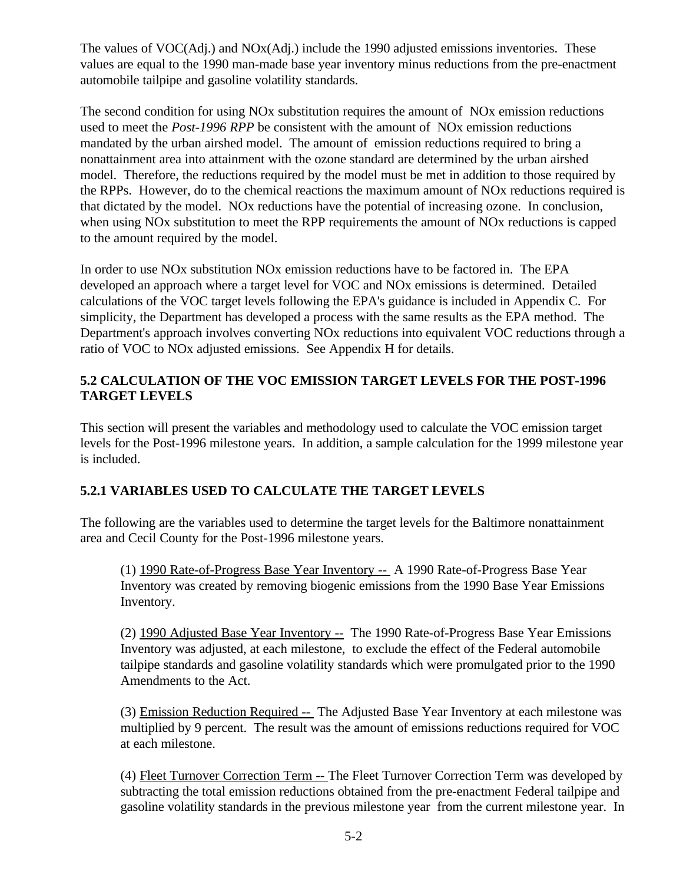The values of VOC(Adj.) and NOx(Adj.) include the 1990 adjusted emissions inventories. These values are equal to the 1990 man-made base year inventory minus reductions from the pre-enactment automobile tailpipe and gasoline volatility standards.

The second condition for using NOx substitution requires the amount of NOx emission reductions used to meet the *Post-1996 RPP* be consistent with the amount of NOx emission reductions mandated by the urban airshed model. The amount of emission reductions required to bring a nonattainment area into attainment with the ozone standard are determined by the urban airshed model. Therefore, the reductions required by the model must be met in addition to those required by the RPPs. However, do to the chemical reactions the maximum amount of NOx reductions required is that dictated by the model. NOx reductions have the potential of increasing ozone. In conclusion, when using NOx substitution to meet the RPP requirements the amount of NOx reductions is capped to the amount required by the model.

In order to use NOx substitution NOx emission reductions have to be factored in. The EPA developed an approach where a target level for VOC and NOx emissions is determined. Detailed calculations of the VOC target levels following the EPA's guidance is included in Appendix C. For simplicity, the Department has developed a process with the same results as the EPA method. The Department's approach involves converting NOx reductions into equivalent VOC reductions through a ratio of VOC to NOx adjusted emissions. See Appendix H for details.

# **5.2 CALCULATION OF THE VOC EMISSION TARGET LEVELS FOR THE POST-1996 TARGET LEVELS**

This section will present the variables and methodology used to calculate the VOC emission target levels for the Post-1996 milestone years. In addition, a sample calculation for the 1999 milestone year is included.

# **5.2.1 VARIABLES USED TO CALCULATE THE TARGET LEVELS**

The following are the variables used to determine the target levels for the Baltimore nonattainment area and Cecil County for the Post-1996 milestone years.

(1) 1990 Rate-of-Progress Base Year Inventory -- A 1990 Rate-of-Progress Base Year Inventory was created by removing biogenic emissions from the 1990 Base Year Emissions Inventory.

(2) 1990 Adjusted Base Year Inventory -- The 1990 Rate-of-Progress Base Year Emissions Inventory was adjusted, at each milestone, to exclude the effect of the Federal automobile tailpipe standards and gasoline volatility standards which were promulgated prior to the 1990 Amendments to the Act.

(3) Emission Reduction Required -- The Adjusted Base Year Inventory at each milestone was multiplied by 9 percent. The result was the amount of emissions reductions required for VOC at each milestone.

(4) Fleet Turnover Correction Term -- The Fleet Turnover Correction Term was developed by subtracting the total emission reductions obtained from the pre-enactment Federal tailpipe and gasoline volatility standards in the previous milestone year from the current milestone year. In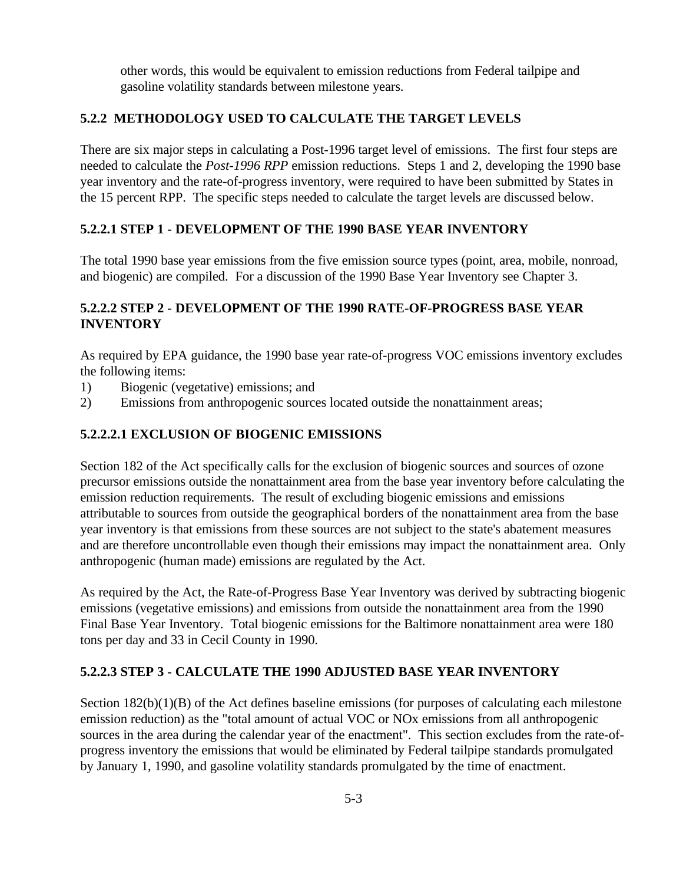other words, this would be equivalent to emission reductions from Federal tailpipe and gasoline volatility standards between milestone years.

## **5.2.2 METHODOLOGY USED TO CALCULATE THE TARGET LEVELS**

There are six major steps in calculating a Post-1996 target level of emissions. The first four steps are needed to calculate the *Post-1996 RPP* emission reductions. Steps 1 and 2, developing the 1990 base year inventory and the rate-of-progress inventory, were required to have been submitted by States in the 15 percent RPP. The specific steps needed to calculate the target levels are discussed below.

#### **5.2.2.1 STEP 1 - DEVELOPMENT OF THE 1990 BASE YEAR INVENTORY**

The total 1990 base year emissions from the five emission source types (point, area, mobile, nonroad, and biogenic) are compiled. For a discussion of the 1990 Base Year Inventory see Chapter 3.

## **5.2.2.2 STEP 2 - DEVELOPMENT OF THE 1990 RATE-OF-PROGRESS BASE YEAR INVENTORY**

As required by EPA guidance, the 1990 base year rate-of-progress VOC emissions inventory excludes the following items:

- 1) Biogenic (vegetative) emissions; and
- 2) Emissions from anthropogenic sources located outside the nonattainment areas;

#### **5.2.2.2.1 EXCLUSION OF BIOGENIC EMISSIONS**

Section 182 of the Act specifically calls for the exclusion of biogenic sources and sources of ozone precursor emissions outside the nonattainment area from the base year inventory before calculating the emission reduction requirements. The result of excluding biogenic emissions and emissions attributable to sources from outside the geographical borders of the nonattainment area from the base year inventory is that emissions from these sources are not subject to the state's abatement measures and are therefore uncontrollable even though their emissions may impact the nonattainment area. Only anthropogenic (human made) emissions are regulated by the Act.

As required by the Act, the Rate-of-Progress Base Year Inventory was derived by subtracting biogenic emissions (vegetative emissions) and emissions from outside the nonattainment area from the 1990 Final Base Year Inventory. Total biogenic emissions for the Baltimore nonattainment area were 180 tons per day and 33 in Cecil County in 1990.

#### **5.2.2.3 STEP 3 - CALCULATE THE 1990 ADJUSTED BASE YEAR INVENTORY**

Section  $182(b)(1)(B)$  of the Act defines baseline emissions (for purposes of calculating each milestone emission reduction) as the "total amount of actual VOC or NOx emissions from all anthropogenic sources in the area during the calendar year of the enactment". This section excludes from the rate-ofprogress inventory the emissions that would be eliminated by Federal tailpipe standards promulgated by January 1, 1990, and gasoline volatility standards promulgated by the time of enactment.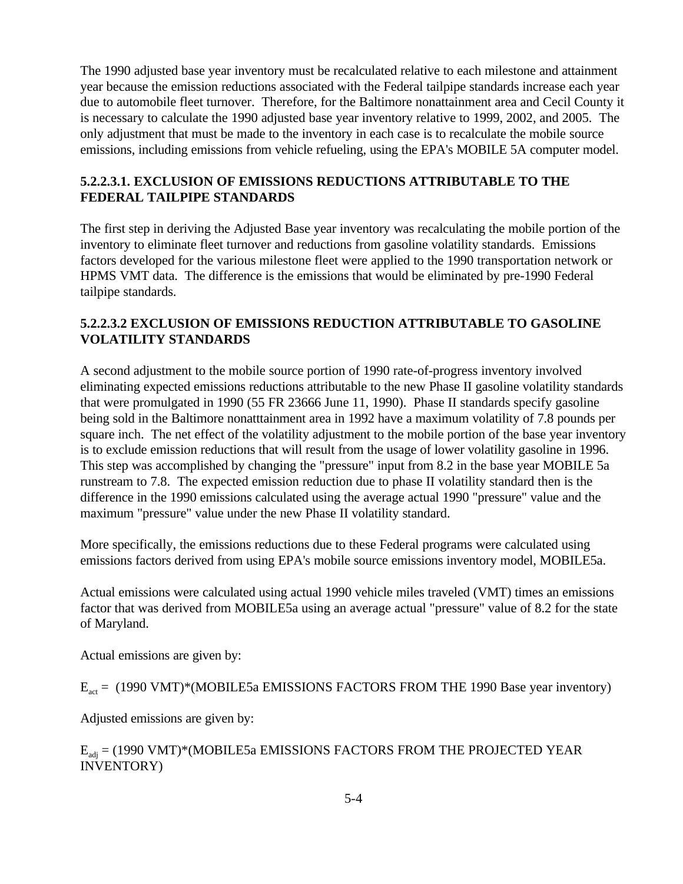The 1990 adjusted base year inventory must be recalculated relative to each milestone and attainment year because the emission reductions associated with the Federal tailpipe standards increase each year due to automobile fleet turnover. Therefore, for the Baltimore nonattainment area and Cecil County it is necessary to calculate the 1990 adjusted base year inventory relative to 1999, 2002, and 2005. The only adjustment that must be made to the inventory in each case is to recalculate the mobile source emissions, including emissions from vehicle refueling, using the EPA's MOBILE 5A computer model.

### **5.2.2.3.1. EXCLUSION OF EMISSIONS REDUCTIONS ATTRIBUTABLE TO THE FEDERAL TAILPIPE STANDARDS**

The first step in deriving the Adjusted Base year inventory was recalculating the mobile portion of the inventory to eliminate fleet turnover and reductions from gasoline volatility standards. Emissions factors developed for the various milestone fleet were applied to the 1990 transportation network or HPMS VMT data. The difference is the emissions that would be eliminated by pre-1990 Federal tailpipe standards.

## **5.2.2.3.2 EXCLUSION OF EMISSIONS REDUCTION ATTRIBUTABLE TO GASOLINE VOLATILITY STANDARDS**

A second adjustment to the mobile source portion of 1990 rate-of-progress inventory involved eliminating expected emissions reductions attributable to the new Phase II gasoline volatility standards that were promulgated in 1990 (55 FR 23666 June 11, 1990). Phase II standards specify gasoline being sold in the Baltimore nonatttainment area in 1992 have a maximum volatility of 7.8 pounds per square inch. The net effect of the volatility adjustment to the mobile portion of the base year inventory is to exclude emission reductions that will result from the usage of lower volatility gasoline in 1996. This step was accomplished by changing the "pressure" input from 8.2 in the base year MOBILE 5a runstream to 7.8. The expected emission reduction due to phase II volatility standard then is the difference in the 1990 emissions calculated using the average actual 1990 "pressure" value and the maximum "pressure" value under the new Phase II volatility standard.

More specifically, the emissions reductions due to these Federal programs were calculated using emissions factors derived from using EPA's mobile source emissions inventory model, MOBILE5a.

Actual emissions were calculated using actual 1990 vehicle miles traveled (VMT) times an emissions factor that was derived from MOBILE5a using an average actual "pressure" value of 8.2 for the state of Maryland.

Actual emissions are given by:

 $E_{\text{act}}$  = (1990 VMT)\*(MOBILE5a EMISSIONS FACTORS FROM THE 1990 Base year inventory)

Adjusted emissions are given by:

# $E_{\text{adj}}$  = (1990 VMT)\*(MOBILE5a EMISSIONS FACTORS FROM THE PROJECTED YEAR INVENTORY)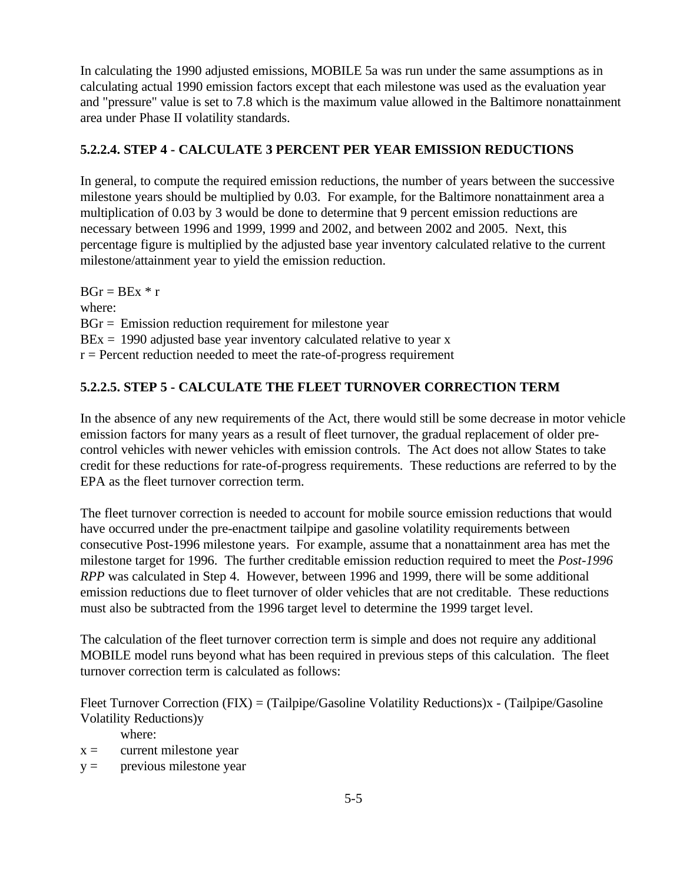In calculating the 1990 adjusted emissions, MOBILE 5a was run under the same assumptions as in calculating actual 1990 emission factors except that each milestone was used as the evaluation year and "pressure" value is set to 7.8 which is the maximum value allowed in the Baltimore nonattainment area under Phase II volatility standards.

## **5.2.2.4. STEP 4 - CALCULATE 3 PERCENT PER YEAR EMISSION REDUCTIONS**

In general, to compute the required emission reductions, the number of years between the successive milestone years should be multiplied by 0.03. For example, for the Baltimore nonattainment area a multiplication of 0.03 by 3 would be done to determine that 9 percent emission reductions are necessary between 1996 and 1999, 1999 and 2002, and between 2002 and 2005. Next, this percentage figure is multiplied by the adjusted base year inventory calculated relative to the current milestone/attainment year to yield the emission reduction.

 $BGr = BEx * r$ where:  $BGr =$  Emission reduction requirement for milestone year  $BEx = 1990$  adjusted base year inventory calculated relative to year x  $r =$  Percent reduction needed to meet the rate-of-progress requirement

## **5.2.2.5. STEP 5 - CALCULATE THE FLEET TURNOVER CORRECTION TERM**

In the absence of any new requirements of the Act, there would still be some decrease in motor vehicle emission factors for many years as a result of fleet turnover, the gradual replacement of older precontrol vehicles with newer vehicles with emission controls. The Act does not allow States to take credit for these reductions for rate-of-progress requirements. These reductions are referred to by the EPA as the fleet turnover correction term.

The fleet turnover correction is needed to account for mobile source emission reductions that would have occurred under the pre-enactment tailpipe and gasoline volatility requirements between consecutive Post-1996 milestone years. For example, assume that a nonattainment area has met the milestone target for 1996. The further creditable emission reduction required to meet the *Post-1996 RPP* was calculated in Step 4. However, between 1996 and 1999, there will be some additional emission reductions due to fleet turnover of older vehicles that are not creditable. These reductions must also be subtracted from the 1996 target level to determine the 1999 target level.

The calculation of the fleet turnover correction term is simple and does not require any additional MOBILE model runs beyond what has been required in previous steps of this calculation. The fleet turnover correction term is calculated as follows:

Fleet Turnover Correction (FIX) = (Tailpipe/Gasoline Volatility Reductions)x - (Tailpipe/Gasoline Volatility Reductions)y

where:

- $x =$  current milestone year
- $y =$  previous milestone year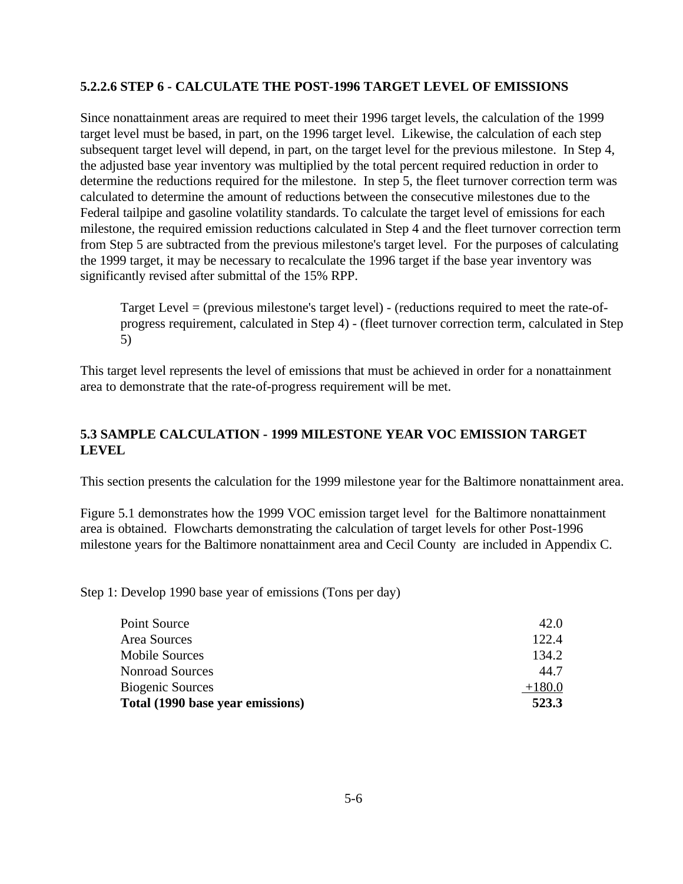#### **5.2.2.6 STEP 6 - CALCULATE THE POST-1996 TARGET LEVEL OF EMISSIONS**

Since nonattainment areas are required to meet their 1996 target levels, the calculation of the 1999 target level must be based, in part, on the 1996 target level. Likewise, the calculation of each step subsequent target level will depend, in part, on the target level for the previous milestone. In Step 4, the adjusted base year inventory was multiplied by the total percent required reduction in order to determine the reductions required for the milestone. In step 5, the fleet turnover correction term was calculated to determine the amount of reductions between the consecutive milestones due to the Federal tailpipe and gasoline volatility standards. To calculate the target level of emissions for each milestone, the required emission reductions calculated in Step 4 and the fleet turnover correction term from Step 5 are subtracted from the previous milestone's target level. For the purposes of calculating the 1999 target, it may be necessary to recalculate the 1996 target if the base year inventory was significantly revised after submittal of the 15% RPP.

Target Level = (previous milestone's target level) - (reductions required to meet the rate-ofprogress requirement, calculated in Step 4) - (fleet turnover correction term, calculated in Step 5)

This target level represents the level of emissions that must be achieved in order for a nonattainment area to demonstrate that the rate-of-progress requirement will be met.

#### **5.3 SAMPLE CALCULATION - 1999 MILESTONE YEAR VOC EMISSION TARGET LEVEL**

This section presents the calculation for the 1999 milestone year for the Baltimore nonattainment area.

Figure 5.1 demonstrates how the 1999 VOC emission target level for the Baltimore nonattainment area is obtained. Flowcharts demonstrating the calculation of target levels for other Post-1996 milestone years for the Baltimore nonattainment area and Cecil County are included in Appendix C.

Step 1: Develop 1990 base year of emissions (Tons per day)

| Area Sources<br><b>Mobile Sources</b> | 122.4<br>134.2 |
|---------------------------------------|----------------|
| <b>Nonroad Sources</b>                | 44.7           |
| <b>Biogenic Sources</b>               | $+180.0$       |
| Total (1990 base year emissions)      | 523.3          |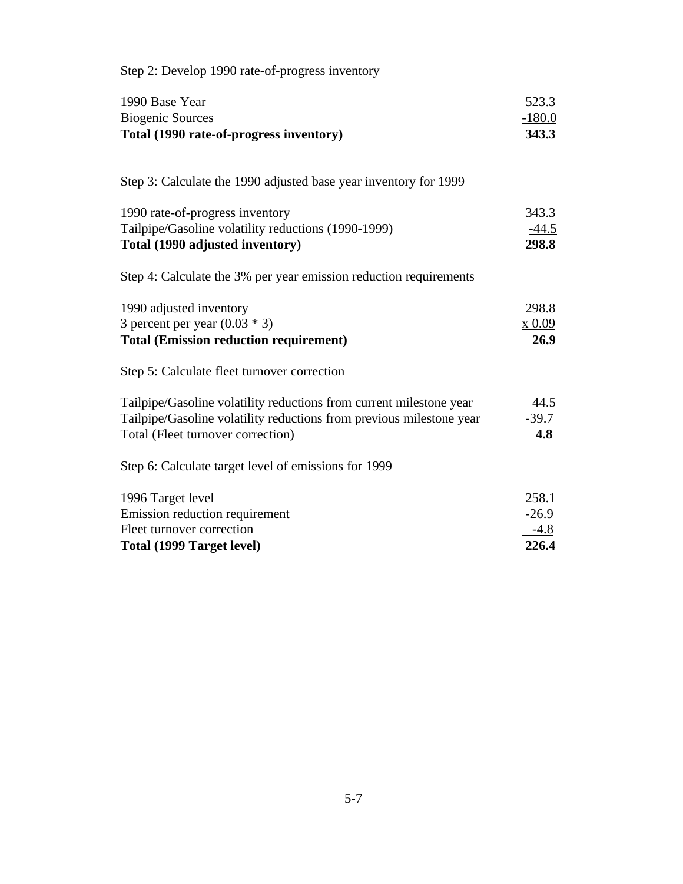| 523.3<br>$-180.0$<br>343.3<br>343.3<br>$-44.5$<br>298.8 |
|---------------------------------------------------------|
|                                                         |
|                                                         |
|                                                         |
|                                                         |
| 298.8<br>x 0.09<br>26.9                                 |
|                                                         |
| 44.5<br>$-39.7$<br>4.8                                  |
|                                                         |
| 258.1<br>$-26.9$<br>$-4.8$<br>226.4                     |
|                                                         |

Step  $2:$  Develop 1990 rate-of-progress inventory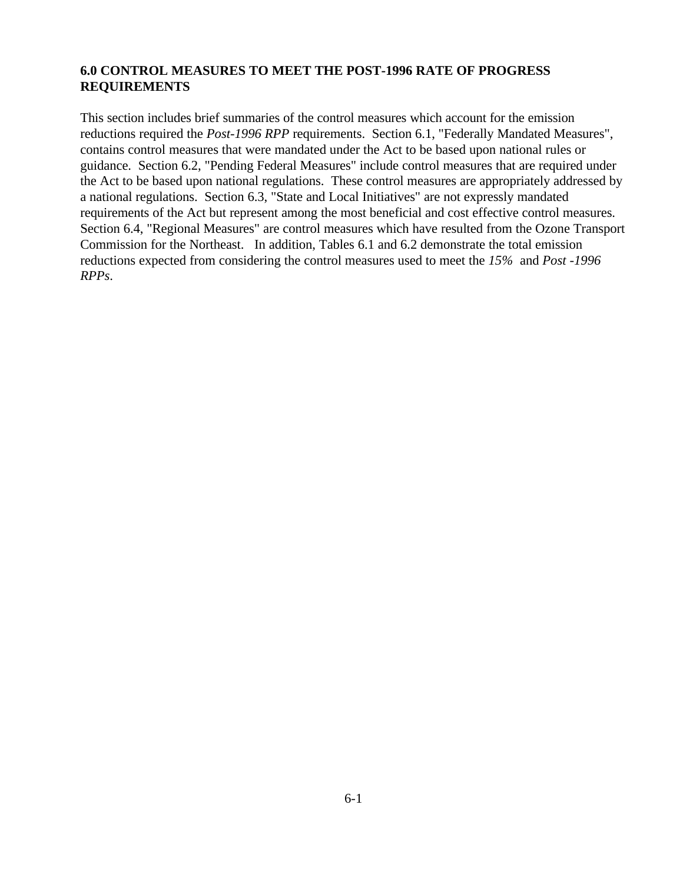#### **6.0 CONTROL MEASURES TO MEET THE POST-1996 RATE OF PROGRESS REQUIREMENTS**

This section includes brief summaries of the control measures which account for the emission reductions required the *Post-1996 RPP* requirements. Section 6.1, "Federally Mandated Measures", contains control measures that were mandated under the Act to be based upon national rules or guidance. Section 6.2, "Pending Federal Measures" include control measures that are required under the Act to be based upon national regulations. These control measures are appropriately addressed by a national regulations. Section 6.3, "State and Local Initiatives" are not expressly mandated requirements of the Act but represent among the most beneficial and cost effective control measures. Section 6.4, "Regional Measures" are control measures which have resulted from the Ozone Transport Commission for the Northeast. In addition, Tables 6.1 and 6.2 demonstrate the total emission reductions expected from considering the control measures used to meet the *15%* and *Post -1996 RPPs*.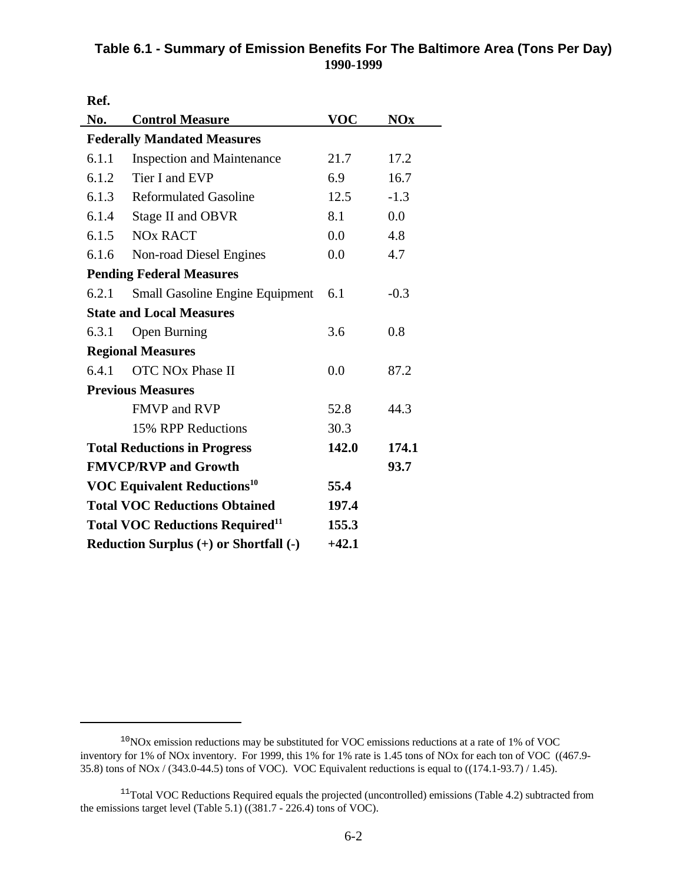# **Table 6.1 - Summary of Emission Benefits For The Baltimore Area (Tons Per Day) 1990-1999**

**Ref.** 

| No.                                           | <b>Control Measure</b>                             | <b>VOC</b> | <b>NOx</b> |
|-----------------------------------------------|----------------------------------------------------|------------|------------|
|                                               | <b>Federally Mandated Measures</b>                 |            |            |
| 6.1.1                                         | <b>Inspection and Maintenance</b>                  | 21.7       | 17.2       |
| 6.1.2                                         | Tier I and EVP                                     | 6.9        | 16.7       |
| 6.1.3                                         | <b>Reformulated Gasoline</b>                       | 12.5       | $-1.3$     |
| 6.1.4                                         | Stage II and OBVR                                  | 8.1        | 0.0        |
| 6.1.5                                         | <b>NO<sub>x</sub></b> RACT                         | 0.0        | 4.8        |
| 6.1.6                                         | Non-road Diesel Engines                            | 0.0        | 4.7        |
|                                               | <b>Pending Federal Measures</b>                    |            |            |
| 6.2.1                                         | <b>Small Gasoline Engine Equipment</b>             | 6.1        | $-0.3$     |
|                                               | <b>State and Local Measures</b>                    |            |            |
| 6.3.1                                         | <b>Open Burning</b>                                | 3.6        | 0.8        |
|                                               | <b>Regional Measures</b>                           |            |            |
| 6.4.1                                         | <b>OTC NOx Phase II</b>                            | 0.0        | 87.2       |
|                                               | <b>Previous Measures</b>                           |            |            |
|                                               | <b>FMVP and RVP</b>                                | 52.8       | 44.3       |
|                                               | 15% RPP Reductions                                 | 30.3       |            |
|                                               | <b>Total Reductions in Progress</b>                | 142.0      | 174.1      |
| <b>FMVCP/RVP and Growth</b>                   |                                                    |            | 93.7       |
| <b>VOC Equivalent Reductions<sup>10</sup></b> |                                                    | 55.4       |            |
| <b>Total VOC Reductions Obtained</b>          |                                                    | 197.4      |            |
|                                               | <b>Total VOC Reductions Required</b> <sup>11</sup> | 155.3      |            |
|                                               | Reduction Surplus (+) or Shortfall (-)             |            |            |

 $10NOx$  emission reductions may be substituted for VOC emissions reductions at a rate of 1% of VOC inventory for 1% of NOx inventory. For 1999, this 1% for 1% rate is 1.45 tons of NOx for each ton of VOC ((467.9- 35.8) tons of NOx / (343.0-44.5) tons of VOC). VOC Equivalent reductions is equal to ((174.1-93.7) / 1.45).

 $11$ Total VOC Reductions Required equals the projected (uncontrolled) emissions (Table 4.2) subtracted from the emissions target level (Table 5.1) ((381.7 - 226.4) tons of VOC).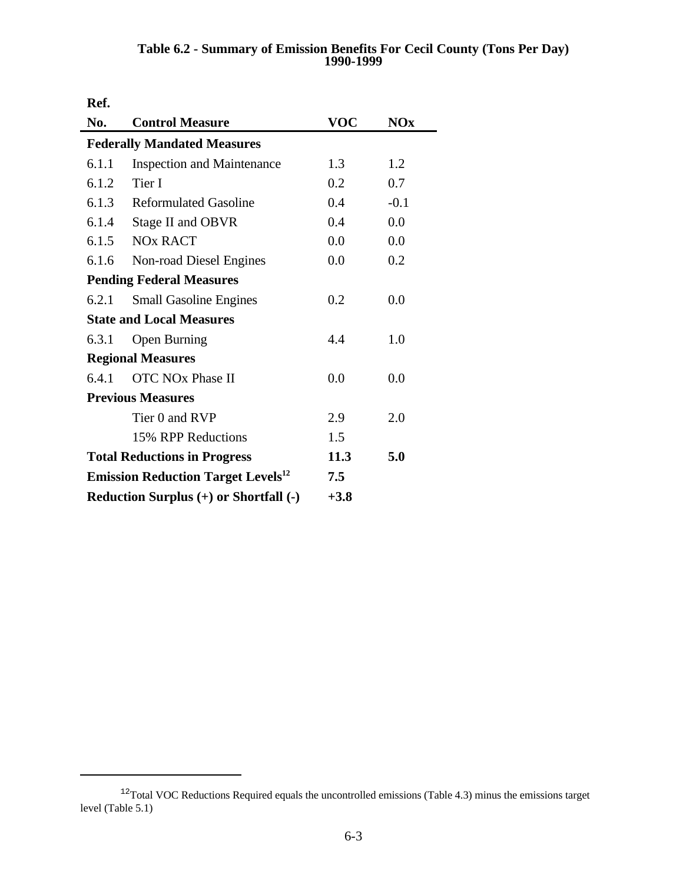#### **Table 6.2 - Summary of Emission Benefits For Cecil County (Tons Per Day) 1990-1999**

**Ref.**

| No.                      | <b>Control Measure</b>                                | <b>VOC</b> | <b>NOx</b> |  |  |
|--------------------------|-------------------------------------------------------|------------|------------|--|--|
|                          | <b>Federally Mandated Measures</b>                    |            |            |  |  |
| 6.1.1                    | <b>Inspection and Maintenance</b>                     | 1.3        | 1.2        |  |  |
| 6.1.2                    | Tier I                                                | 0.2        | 0.7        |  |  |
| 6.1.3                    | <b>Reformulated Gasoline</b>                          | 0.4        | $-0.1$     |  |  |
| 6.1.4                    | Stage II and OBVR                                     | 0.4        | 0.0        |  |  |
| 6.1.5                    | <b>NO<sub>x</sub></b> RACT                            | 0.0        | 0.0        |  |  |
| 6.1.6                    | Non-road Diesel Engines                               | 0.0        | 0.2        |  |  |
|                          | <b>Pending Federal Measures</b>                       |            |            |  |  |
| 6.2.1                    | <b>Small Gasoline Engines</b>                         | 0.2        | 0.0        |  |  |
|                          | <b>State and Local Measures</b>                       |            |            |  |  |
| 6.3.1                    | <b>Open Burning</b>                                   | 4.4        | 1.0        |  |  |
|                          | <b>Regional Measures</b>                              |            |            |  |  |
| 6.4.1                    | <b>OTC NOx Phase II</b>                               | 0.0        | 0.0        |  |  |
| <b>Previous Measures</b> |                                                       |            |            |  |  |
|                          | Tier 0 and RVP                                        | 2.9        | 2.0        |  |  |
| 15% RPP Reductions       |                                                       | 1.5        |            |  |  |
|                          | <b>Total Reductions in Progress</b>                   |            | 5.0        |  |  |
|                          | <b>Emission Reduction Target Levels</b> <sup>12</sup> | 7.5        |            |  |  |
|                          | Reduction Surplus (+) or Shortfall (-)                | $+3.8$     |            |  |  |

 $12$ Total VOC Reductions Required equals the uncontrolled emissions (Table 4.3) minus the emissions target level (Table 5.1)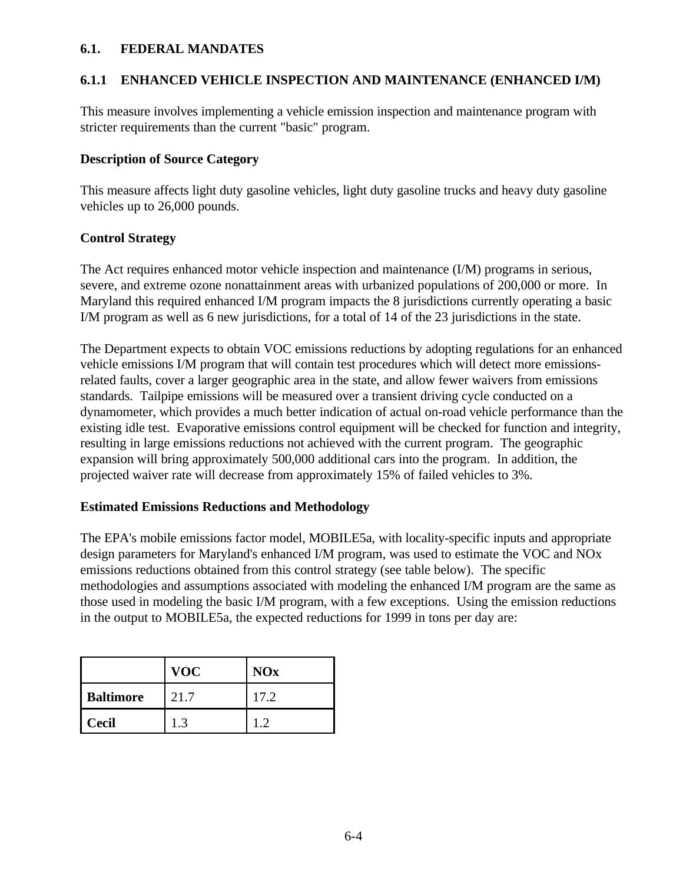#### **6.1. FEDERAL MANDATES**

### **6.1.1 ENHANCED VEHICLE INSPECTION AND MAINTENANCE (ENHANCED I/M)**

This measure involves implementing a vehicle emission inspection and maintenance program with stricter requirements than the current "basic" program.

#### **Description of Source Category**

This measure affects light duty gasoline vehicles, light duty gasoline trucks and heavy duty gasoline vehicles up to 26,000 pounds.

#### **Control Strategy**

The Act requires enhanced motor vehicle inspection and maintenance (I/M) programs in serious, severe, and extreme ozone nonattainment areas with urbanized populations of 200,000 or more. In Maryland this required enhanced I/M program impacts the 8 jurisdictions currently operating a basic I/M program as well as 6 new jurisdictions, for a total of 14 of the 23 jurisdictions in the state.

The Department expects to obtain VOC emissions reductions by adopting regulations for an enhanced vehicle emissions I/M program that will contain test procedures which will detect more emissionsrelated faults, cover a larger geographic area in the state, and allow fewer waivers from emissions standards. Tailpipe emissions will be measured over a transient driving cycle conducted on a dynamometer, which provides a much better indication of actual on-road vehicle performance than the existing idle test. Evaporative emissions control equipment will be checked for function and integrity, resulting in large emissions reductions not achieved with the current program. The geographic expansion will bring approximately 500,000 additional cars into the program. In addition, the projected waiver rate will decrease from approximately 15% of failed vehicles to 3%.

#### **Estimated Emissions Reductions and Methodology**

The EPA's mobile emissions factor model, MOBILE5a, with locality-specific inputs and appropriate design parameters for Maryland's enhanced I/M program, was used to estimate the VOC and NOx emissions reductions obtained from this control strategy (see table below). The specific methodologies and assumptions associated with modeling the enhanced I/M program are the same as those used in modeling the basic I/M program, with a few exceptions. Using the emission reductions in the output to MOBILE5a, the expected reductions for 1999 in tons per day are:

|                  | <b>VOC</b> | <b>NOx</b> |
|------------------|------------|------------|
| <b>Baltimore</b> | 21.7       | 17.2       |
| <b>Cecil</b>     | 13         |            |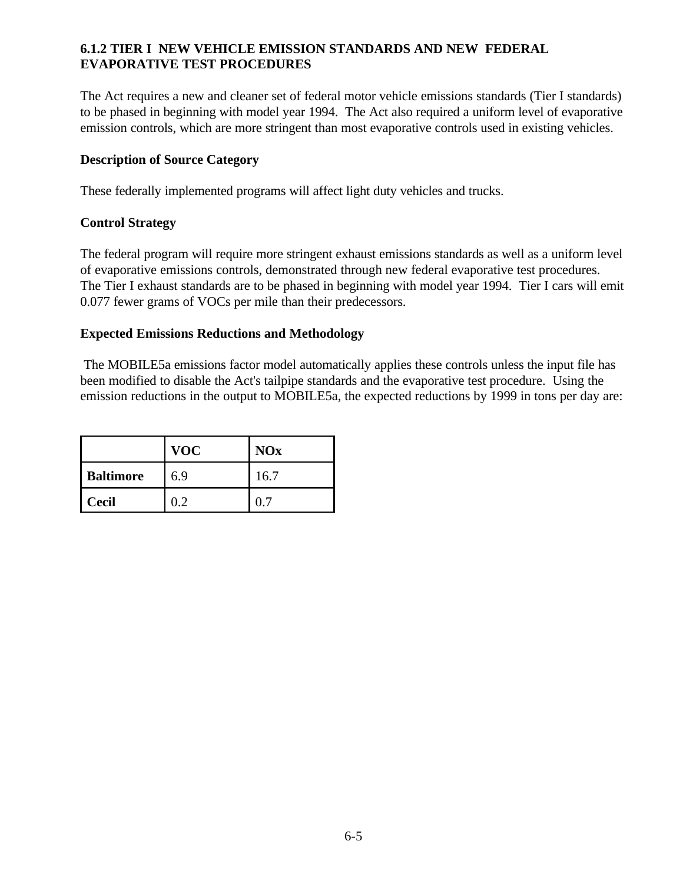## **6.1.2 TIER I NEW VEHICLE EMISSION STANDARDS AND NEW FEDERAL EVAPORATIVE TEST PROCEDURES**

The Act requires a new and cleaner set of federal motor vehicle emissions standards (Tier I standards) to be phased in beginning with model year 1994. The Act also required a uniform level of evaporative emission controls, which are more stringent than most evaporative controls used in existing vehicles.

#### **Description of Source Category**

These federally implemented programs will affect light duty vehicles and trucks.

#### **Control Strategy**

The federal program will require more stringent exhaust emissions standards as well as a uniform level of evaporative emissions controls, demonstrated through new federal evaporative test procedures. The Tier I exhaust standards are to be phased in beginning with model year 1994. Tier I cars will emit 0.077 fewer grams of VOCs per mile than their predecessors.

#### **Expected Emissions Reductions and Methodology**

 The MOBILE5a emissions factor model automatically applies these controls unless the input file has been modified to disable the Act's tailpipe standards and the evaporative test procedure. Using the emission reductions in the output to MOBILE5a, the expected reductions by 1999 in tons per day are:

|                  | <b>VOC</b> | <b>NOx</b> |
|------------------|------------|------------|
| <b>Baltimore</b> | 6.9        | 16.7       |
| <b>Cecil</b>     |            |            |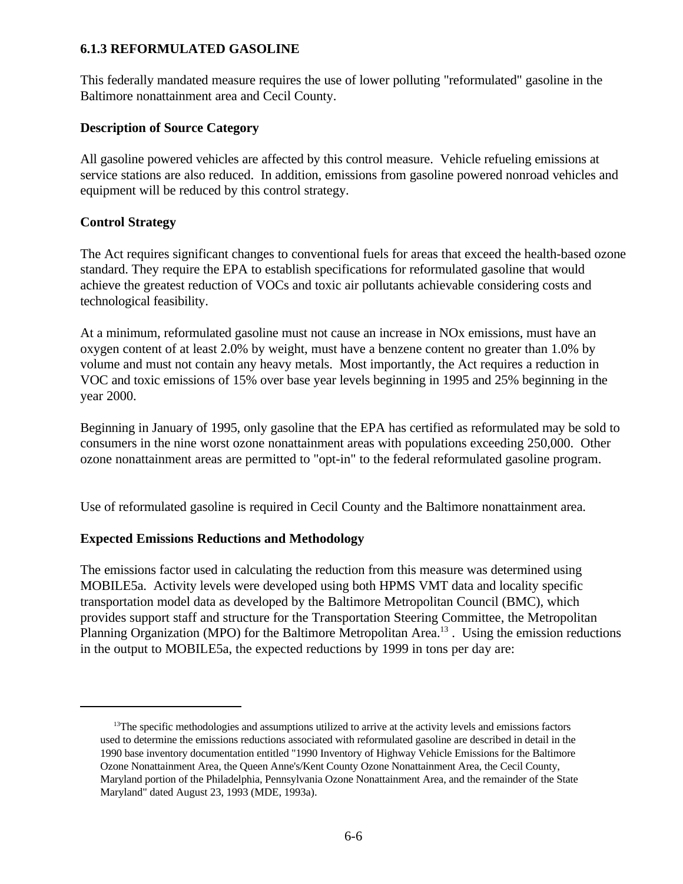#### **6.1.3 REFORMULATED GASOLINE**

This federally mandated measure requires the use of lower polluting "reformulated" gasoline in the Baltimore nonattainment area and Cecil County.

#### **Description of Source Category**

All gasoline powered vehicles are affected by this control measure. Vehicle refueling emissions at service stations are also reduced. In addition, emissions from gasoline powered nonroad vehicles and equipment will be reduced by this control strategy.

#### **Control Strategy**

The Act requires significant changes to conventional fuels for areas that exceed the health-based ozone standard. They require the EPA to establish specifications for reformulated gasoline that would achieve the greatest reduction of VOCs and toxic air pollutants achievable considering costs and technological feasibility.

At a minimum, reformulated gasoline must not cause an increase in NOx emissions, must have an oxygen content of at least 2.0% by weight, must have a benzene content no greater than 1.0% by volume and must not contain any heavy metals. Most importantly, the Act requires a reduction in VOC and toxic emissions of 15% over base year levels beginning in 1995 and 25% beginning in the year 2000.

Beginning in January of 1995, only gasoline that the EPA has certified as reformulated may be sold to consumers in the nine worst ozone nonattainment areas with populations exceeding 250,000. Other ozone nonattainment areas are permitted to "opt-in" to the federal reformulated gasoline program.

Use of reformulated gasoline is required in Cecil County and the Baltimore nonattainment area.

#### **Expected Emissions Reductions and Methodology**

The emissions factor used in calculating the reduction from this measure was determined using MOBILE5a. Activity levels were developed using both HPMS VMT data and locality specific transportation model data as developed by the Baltimore Metropolitan Council (BMC), which provides support staff and structure for the Transportation Steering Committee, the Metropolitan Planning Organization (MPO) for the Baltimore Metropolitan Area.<sup>13</sup>. Using the emission reductions in the output to MOBILE5a, the expected reductions by 1999 in tons per day are:

<sup>&</sup>lt;sup>13</sup>The specific methodologies and assumptions utilized to arrive at the activity levels and emissions factors used to determine the emissions reductions associated with reformulated gasoline are described in detail in the 1990 base inventory documentation entitled "1990 Inventory of Highway Vehicle Emissions for the Baltimore Ozone Nonattainment Area, the Queen Anne's/Kent County Ozone Nonattainment Area, the Cecil County, Maryland portion of the Philadelphia, Pennsylvania Ozone Nonattainment Area, and the remainder of the State Maryland" dated August 23, 1993 (MDE, 1993a).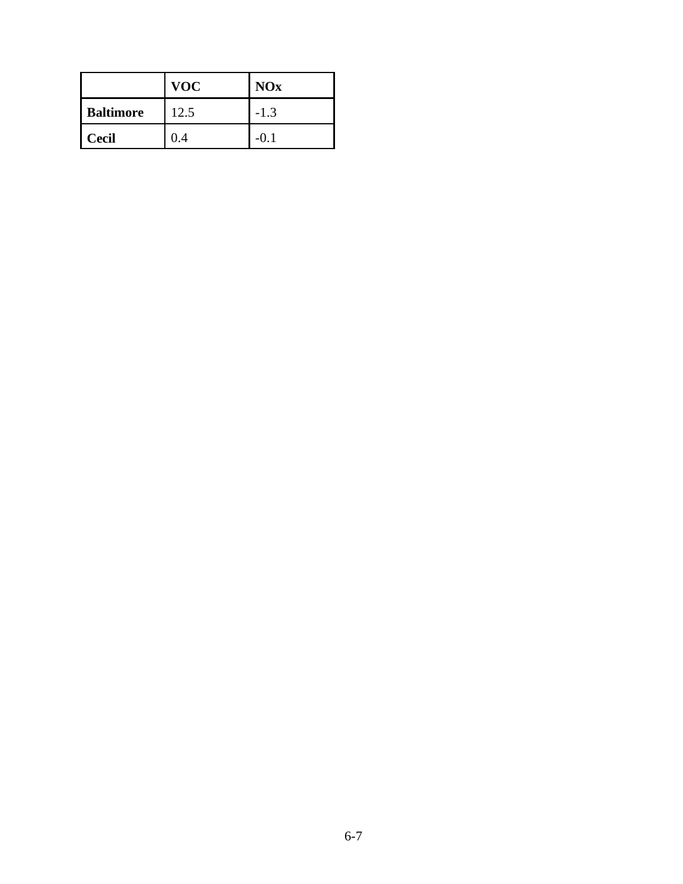|                  | <b>VOC</b> | <b>NOx</b> |
|------------------|------------|------------|
| <b>Baltimore</b> | 12.5       | $-1.3$     |
| <b>Cecil</b>     | .4         | -(). I     |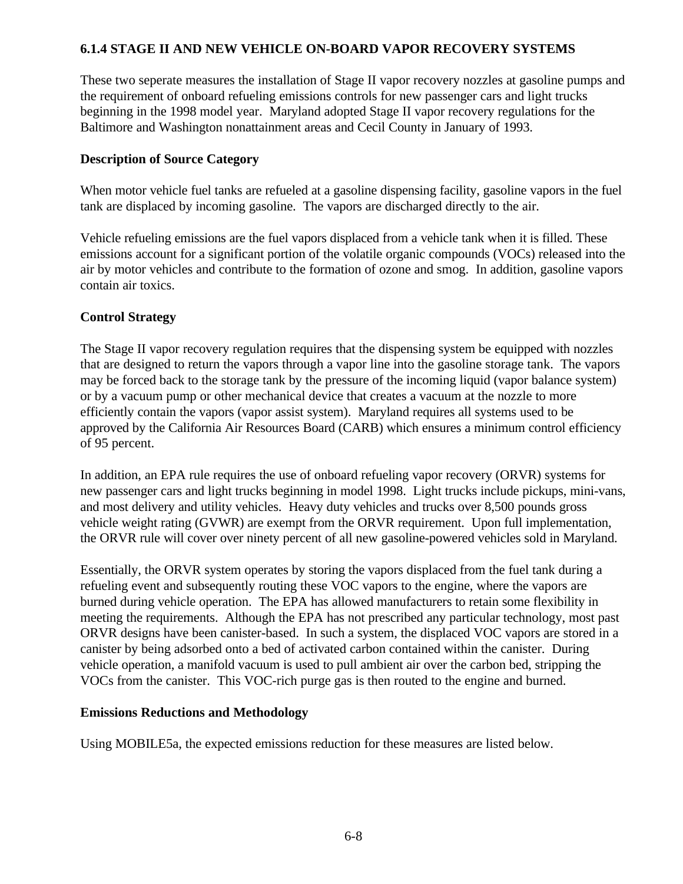## **6.1.4 STAGE II AND NEW VEHICLE ON-BOARD VAPOR RECOVERY SYSTEMS**

These two seperate measures the installation of Stage II vapor recovery nozzles at gasoline pumps and the requirement of onboard refueling emissions controls for new passenger cars and light trucks beginning in the 1998 model year. Maryland adopted Stage II vapor recovery regulations for the Baltimore and Washington nonattainment areas and Cecil County in January of 1993.

#### **Description of Source Category**

When motor vehicle fuel tanks are refueled at a gasoline dispensing facility, gasoline vapors in the fuel tank are displaced by incoming gasoline. The vapors are discharged directly to the air.

Vehicle refueling emissions are the fuel vapors displaced from a vehicle tank when it is filled. These emissions account for a significant portion of the volatile organic compounds (VOCs) released into the air by motor vehicles and contribute to the formation of ozone and smog. In addition, gasoline vapors contain air toxics.

#### **Control Strategy**

The Stage II vapor recovery regulation requires that the dispensing system be equipped with nozzles that are designed to return the vapors through a vapor line into the gasoline storage tank. The vapors may be forced back to the storage tank by the pressure of the incoming liquid (vapor balance system) or by a vacuum pump or other mechanical device that creates a vacuum at the nozzle to more efficiently contain the vapors (vapor assist system). Maryland requires all systems used to be approved by the California Air Resources Board (CARB) which ensures a minimum control efficiency of 95 percent.

In addition, an EPA rule requires the use of onboard refueling vapor recovery (ORVR) systems for new passenger cars and light trucks beginning in model 1998. Light trucks include pickups, mini-vans, and most delivery and utility vehicles. Heavy duty vehicles and trucks over 8,500 pounds gross vehicle weight rating (GVWR) are exempt from the ORVR requirement. Upon full implementation, the ORVR rule will cover over ninety percent of all new gasoline-powered vehicles sold in Maryland.

Essentially, the ORVR system operates by storing the vapors displaced from the fuel tank during a refueling event and subsequently routing these VOC vapors to the engine, where the vapors are burned during vehicle operation. The EPA has allowed manufacturers to retain some flexibility in meeting the requirements. Although the EPA has not prescribed any particular technology, most past ORVR designs have been canister-based. In such a system, the displaced VOC vapors are stored in a canister by being adsorbed onto a bed of activated carbon contained within the canister. During vehicle operation, a manifold vacuum is used to pull ambient air over the carbon bed, stripping the VOCs from the canister. This VOC-rich purge gas is then routed to the engine and burned.

#### **Emissions Reductions and Methodology**

Using MOBILE5a, the expected emissions reduction for these measures are listed below.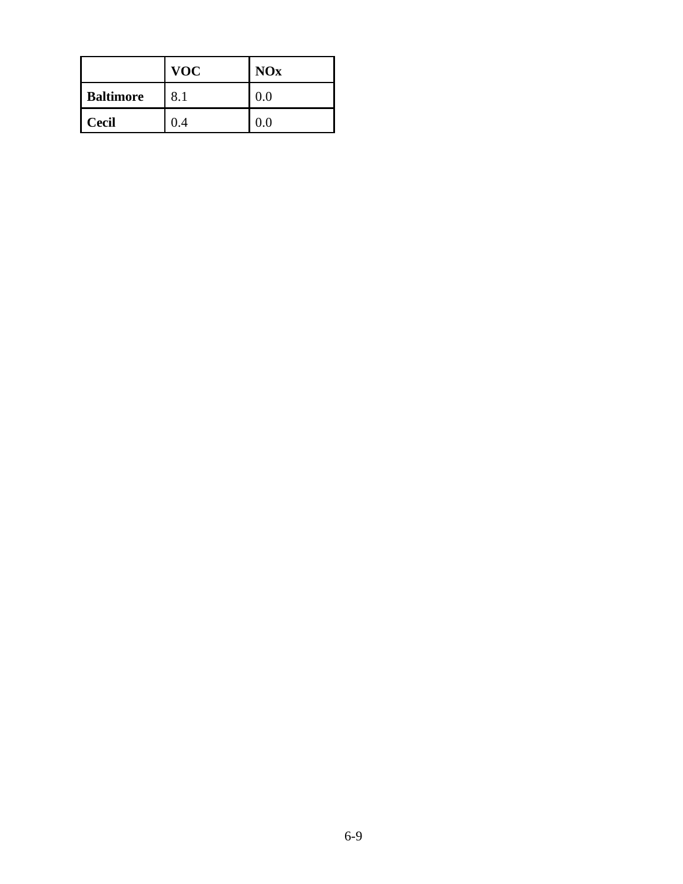|                  | <b>VOC</b> | <b>NOx</b> |
|------------------|------------|------------|
| <b>Baltimore</b> | 8.1        | 0.0        |
| <b>Cecil</b>     | 0.4        | 0.0        |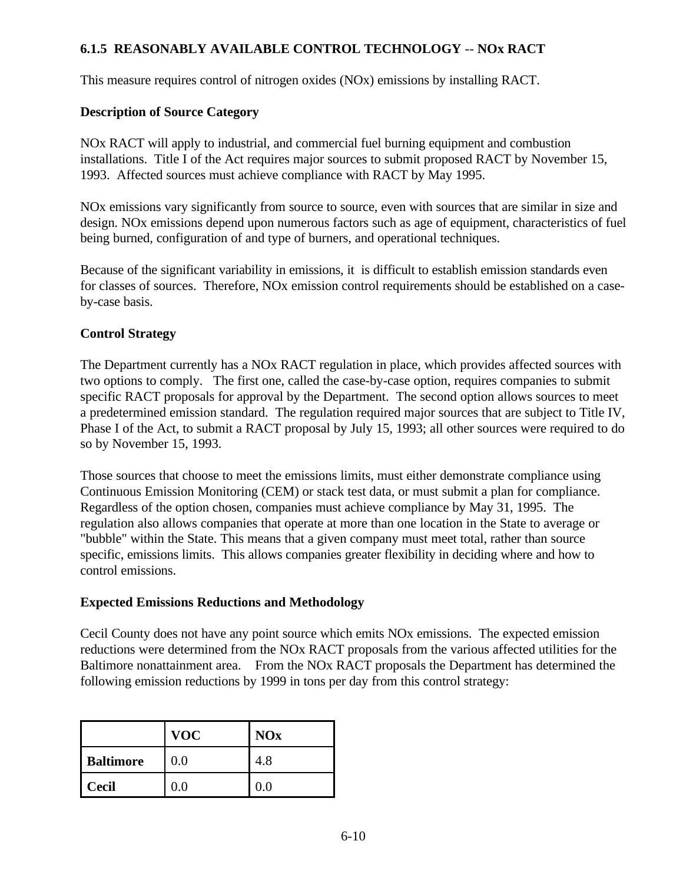# **6.1.5 REASONABLY AVAILABLE CONTROL TECHNOLOGY** -- **NOx RACT**

This measure requires control of nitrogen oxides (NOx) emissions by installing RACT.

## **Description of Source Category**

NOx RACT will apply to industrial, and commercial fuel burning equipment and combustion installations. Title I of the Act requires major sources to submit proposed RACT by November 15, 1993. Affected sources must achieve compliance with RACT by May 1995.

NOx emissions vary significantly from source to source, even with sources that are similar in size and design. NOx emissions depend upon numerous factors such as age of equipment, characteristics of fuel being burned, configuration of and type of burners, and operational techniques.

Because of the significant variability in emissions, it is difficult to establish emission standards even for classes of sources. Therefore, NOx emission control requirements should be established on a caseby-case basis.

## **Control Strategy**

The Department currently has a NOx RACT regulation in place, which provides affected sources with two options to comply. The first one, called the case-by-case option, requires companies to submit specific RACT proposals for approval by the Department. The second option allows sources to meet a predetermined emission standard. The regulation required major sources that are subject to Title IV, Phase I of the Act, to submit a RACT proposal by July 15, 1993; all other sources were required to do so by November 15, 1993.

Those sources that choose to meet the emissions limits, must either demonstrate compliance using Continuous Emission Monitoring (CEM) or stack test data, or must submit a plan for compliance. Regardless of the option chosen, companies must achieve compliance by May 31, 1995. The regulation also allows companies that operate at more than one location in the State to average or "bubble" within the State. This means that a given company must meet total, rather than source specific, emissions limits. This allows companies greater flexibility in deciding where and how to control emissions.

#### **Expected Emissions Reductions and Methodology**

Cecil County does not have any point source which emits NOx emissions. The expected emission reductions were determined from the NOx RACT proposals from the various affected utilities for the Baltimore nonattainment area. From the NOx RACT proposals the Department has determined the following emission reductions by 1999 in tons per day from this control strategy:

|                  | <b>VOC</b> | <b>NOx</b> |
|------------------|------------|------------|
| <b>Baltimore</b> | 0.0        | 4.8        |
| <b>Cecil</b>     | $0.0\,$    | $0.0\,$    |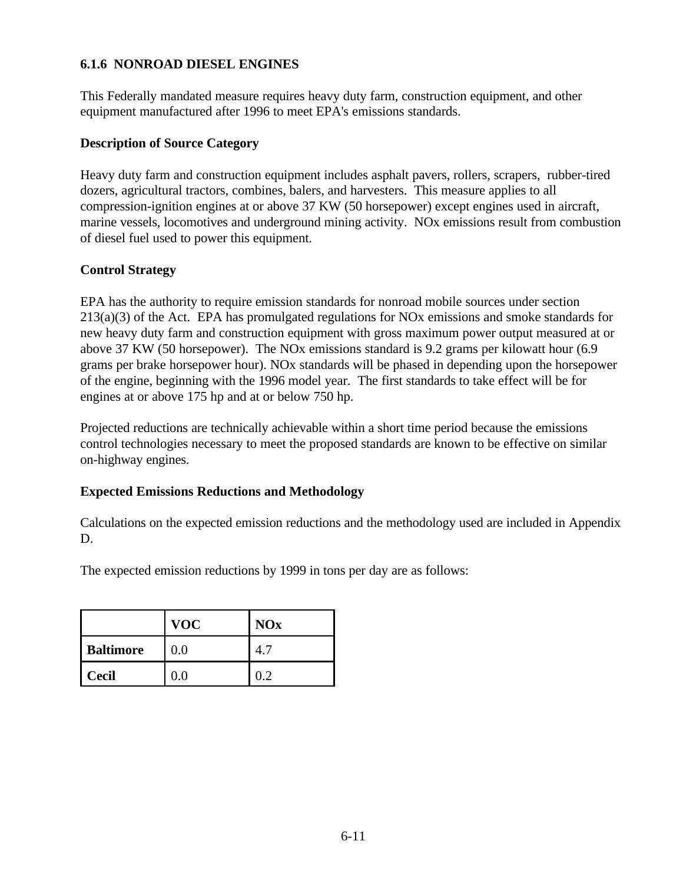#### **6.1.6 NONROAD DIESEL ENGINES**

This Federally mandated measure requires heavy duty farm, construction equipment, and other equipment manufactured after 1996 to meet EPA's emissions standards.

#### **Description of Source Category**

Heavy duty farm and construction equipment includes asphalt pavers, rollers, scrapers, rubber-tired dozers, agricultural tractors, combines, balers, and harvesters. This measure applies to all compression-ignition engines at or above 37 KW (50 horsepower) except engines used in aircraft, marine vessels, locomotives and underground mining activity. NOx emissions result from combustion of diesel fuel used to power this equipment.

#### **Control Strategy**

EPA has the authority to require emission standards for nonroad mobile sources under section 213(a)(3) of the Act. EPA has promulgated regulations for NOx emissions and smoke standards for new heavy duty farm and construction equipment with gross maximum power output measured at or above 37 KW (50 horsepower). The NOx emissions standard is 9.2 grams per kilowatt hour (6.9 grams per brake horsepower hour). NOx standards will be phased in depending upon the horsepower of the engine, beginning with the 1996 model year. The first standards to take effect will be for engines at or above 175 hp and at or below 750 hp.

Projected reductions are technically achievable within a short time period because the emissions control technologies necessary to meet the proposed standards are known to be effective on similar on-highway engines.

#### **Expected Emissions Reductions and Methodology**

Calculations on the expected emission reductions and the methodology used are included in Appendix D.

The expected emission reductions by 1999 in tons per day are as follows:

|                  | <b>VOC</b> | <b>NOx</b> |
|------------------|------------|------------|
| <b>Baltimore</b> | 0.0        |            |
| <b>Cecil</b>     | $0.0\,$    |            |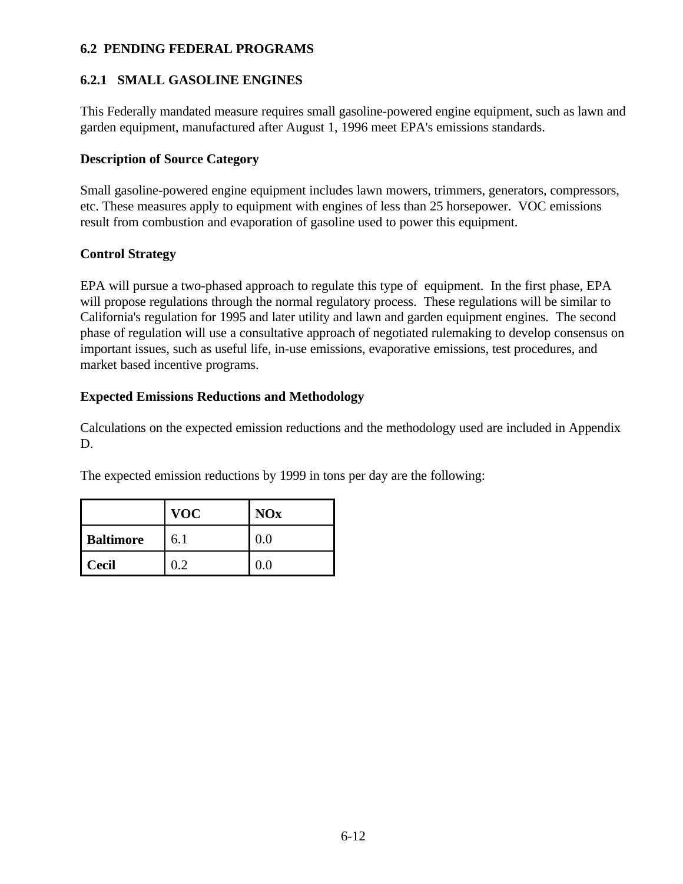## **6.2 PENDING FEDERAL PROGRAMS**

# **6.2.1 SMALL GASOLINE ENGINES**

This Federally mandated measure requires small gasoline-powered engine equipment, such as lawn and garden equipment, manufactured after August 1, 1996 meet EPA's emissions standards.

## **Description of Source Category**

Small gasoline-powered engine equipment includes lawn mowers, trimmers, generators, compressors, etc. These measures apply to equipment with engines of less than 25 horsepower. VOC emissions result from combustion and evaporation of gasoline used to power this equipment.

## **Control Strategy**

EPA will pursue a two-phased approach to regulate this type of equipment. In the first phase, EPA will propose regulations through the normal regulatory process. These regulations will be similar to California's regulation for 1995 and later utility and lawn and garden equipment engines. The second phase of regulation will use a consultative approach of negotiated rulemaking to develop consensus on important issues, such as useful life, in-use emissions, evaporative emissions, test procedures, and market based incentive programs.

## **Expected Emissions Reductions and Methodology**

Calculations on the expected emission reductions and the methodology used are included in Appendix D.

The expected emission reductions by 1999 in tons per day are the following:

|                  | <b>VOC</b> | <b>NOx</b> |
|------------------|------------|------------|
| <b>Baltimore</b> | 6.1        | 0.0        |
| <b>Cecil</b>     | ') フ       |            |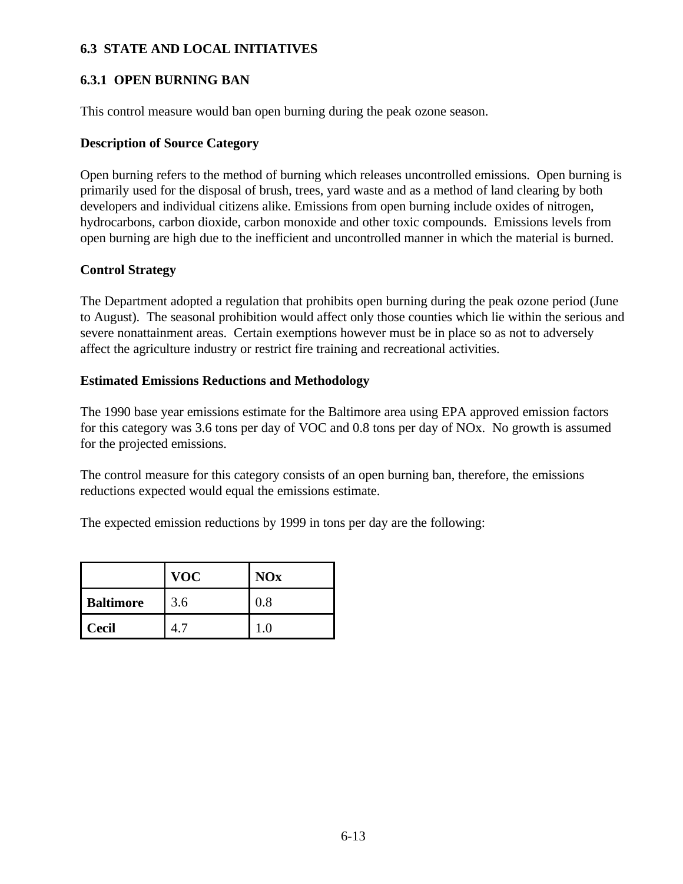## **6.3 STATE AND LOCAL INITIATIVES**

## **6.3.1 OPEN BURNING BAN**

This control measure would ban open burning during the peak ozone season.

#### **Description of Source Category**

Open burning refers to the method of burning which releases uncontrolled emissions. Open burning is primarily used for the disposal of brush, trees, yard waste and as a method of land clearing by both developers and individual citizens alike. Emissions from open burning include oxides of nitrogen, hydrocarbons, carbon dioxide, carbon monoxide and other toxic compounds. Emissions levels from open burning are high due to the inefficient and uncontrolled manner in which the material is burned.

#### **Control Strategy**

The Department adopted a regulation that prohibits open burning during the peak ozone period (June to August). The seasonal prohibition would affect only those counties which lie within the serious and severe nonattainment areas. Certain exemptions however must be in place so as not to adversely affect the agriculture industry or restrict fire training and recreational activities.

#### **Estimated Emissions Reductions and Methodology**

The 1990 base year emissions estimate for the Baltimore area using EPA approved emission factors for this category was 3.6 tons per day of VOC and 0.8 tons per day of NOx. No growth is assumed for the projected emissions.

The control measure for this category consists of an open burning ban, therefore, the emissions reductions expected would equal the emissions estimate.

The expected emission reductions by 1999 in tons per day are the following:

|                  | <b>VOC</b> | <b>NOx</b> |
|------------------|------------|------------|
| <b>Baltimore</b> | 3.6        | $0.8\,$    |
| <b>Cecil</b>     |            |            |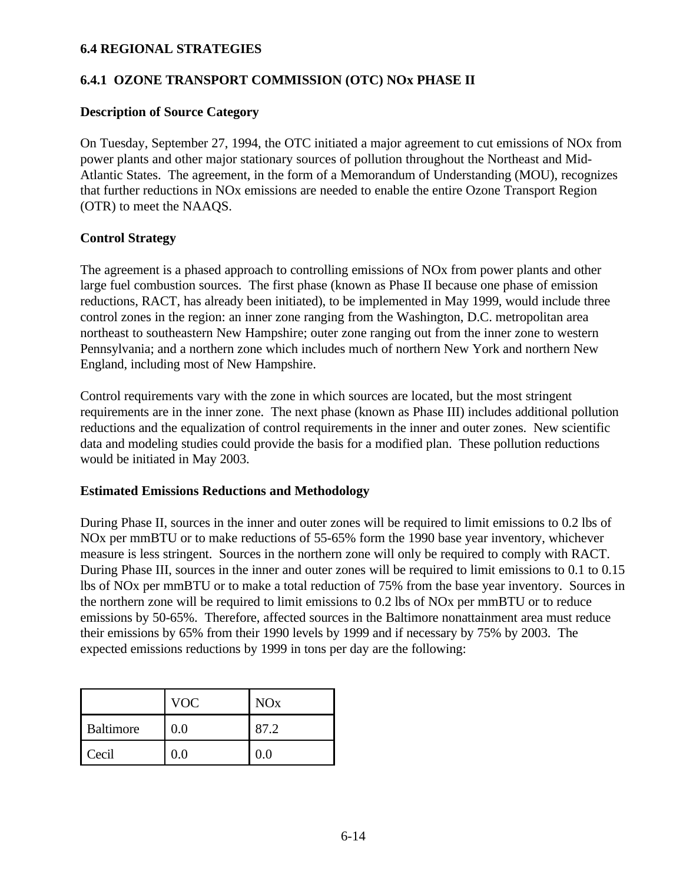#### **6.4 REGIONAL STRATEGIES**

### **6.4.1 OZONE TRANSPORT COMMISSION (OTC) NOx PHASE II**

#### **Description of Source Category**

On Tuesday, September 27, 1994, the OTC initiated a major agreement to cut emissions of NOx from power plants and other major stationary sources of pollution throughout the Northeast and Mid-Atlantic States. The agreement, in the form of a Memorandum of Understanding (MOU), recognizes that further reductions in NOx emissions are needed to enable the entire Ozone Transport Region (OTR) to meet the NAAQS.

#### **Control Strategy**

The agreement is a phased approach to controlling emissions of NOx from power plants and other large fuel combustion sources. The first phase (known as Phase II because one phase of emission reductions, RACT, has already been initiated), to be implemented in May 1999, would include three control zones in the region: an inner zone ranging from the Washington, D.C. metropolitan area northeast to southeastern New Hampshire; outer zone ranging out from the inner zone to western Pennsylvania; and a northern zone which includes much of northern New York and northern New England, including most of New Hampshire.

Control requirements vary with the zone in which sources are located, but the most stringent requirements are in the inner zone. The next phase (known as Phase III) includes additional pollution reductions and the equalization of control requirements in the inner and outer zones. New scientific data and modeling studies could provide the basis for a modified plan. These pollution reductions would be initiated in May 2003.

#### **Estimated Emissions Reductions and Methodology**

During Phase II, sources in the inner and outer zones will be required to limit emissions to 0.2 lbs of NOx per mmBTU or to make reductions of 55-65% form the 1990 base year inventory, whichever measure is less stringent. Sources in the northern zone will only be required to comply with RACT. During Phase III, sources in the inner and outer zones will be required to limit emissions to 0.1 to 0.15 lbs of NOx per mmBTU or to make a total reduction of 75% from the base year inventory. Sources in the northern zone will be required to limit emissions to 0.2 lbs of NOx per mmBTU or to reduce emissions by 50-65%. Therefore, affected sources in the Baltimore nonattainment area must reduce their emissions by 65% from their 1990 levels by 1999 and if necessary by 75% by 2003. The expected emissions reductions by 1999 in tons per day are the following:

|           | <b>VOC</b> | <b>NO<sub>x</sub></b> |
|-----------|------------|-----------------------|
| Baltimore | 0.0        | 87.2                  |
| Cecil     | $0.0\,$    | $0.0\,$               |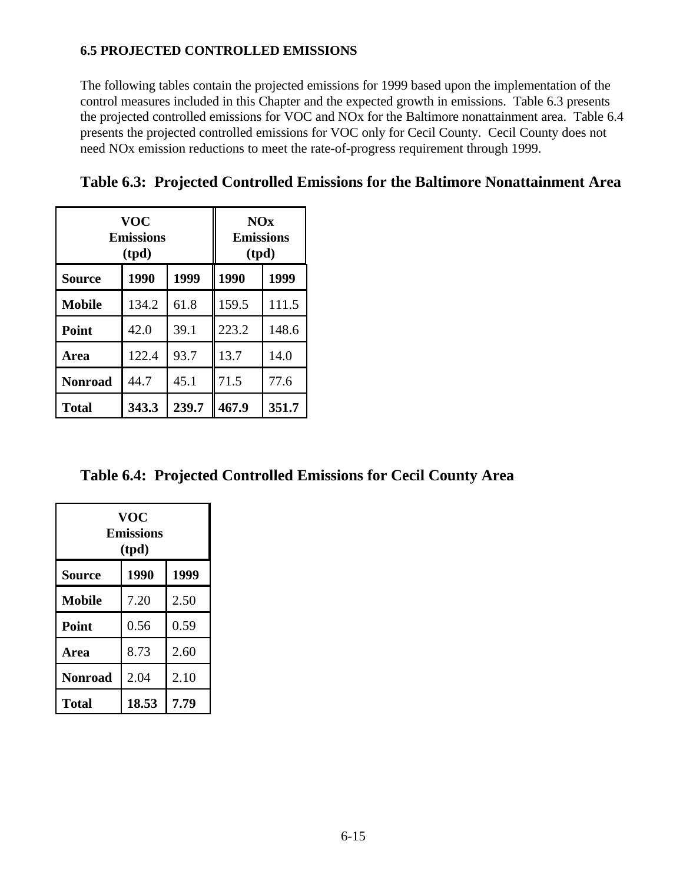## **6.5 PROJECTED CONTROLLED EMISSIONS**

The following tables contain the projected emissions for 1999 based upon the implementation of the control measures included in this Chapter and the expected growth in emissions. Table 6.3 presents the projected controlled emissions for VOC and NOx for the Baltimore nonattainment area. Table 6.4 presents the projected controlled emissions for VOC only for Cecil County. Cecil County does not need NOx emission reductions to meet the rate-of-progress requirement through 1999.

| <b>VOC</b><br>Emissions<br>(tpd) |       |       | NOx<br><b>Emissions</b><br>(tpd) |       |
|----------------------------------|-------|-------|----------------------------------|-------|
| <b>Source</b>                    | 1990  | 1999  | 1990                             | 1999  |
| <b>Mobile</b>                    | 134.2 | 61.8  | 159.5                            | 111.5 |
| Point                            | 42.0  | 39.1  | 223.2                            | 148.6 |
| Area                             | 122.4 | 93.7  | 13.7                             | 14.0  |
| <b>Nonroad</b>                   | 44.7  | 45.1  | 71.5                             | 77.6  |
| <b>Total</b>                     | 343.3 | 239.7 | 467.9                            | 351.7 |

**Table 6.3: Projected Controlled Emissions for the Baltimore Nonattainment Area** 

**Table 6.4: Projected Controlled Emissions for Cecil County Area**

| VOC<br><b>Emissions</b><br>(tpd) |       |      |  |  |
|----------------------------------|-------|------|--|--|
| Source                           | 1990  | 1999 |  |  |
| <b>Mobile</b>                    | 7.20  | 2.50 |  |  |
| Point                            | 0.56  | 0.59 |  |  |
| Area                             | 8.73  | 2.60 |  |  |
| <b>Nonroad</b>                   | 2.04  | 2.10 |  |  |
| <b>Total</b>                     | 18.53 | 7.79 |  |  |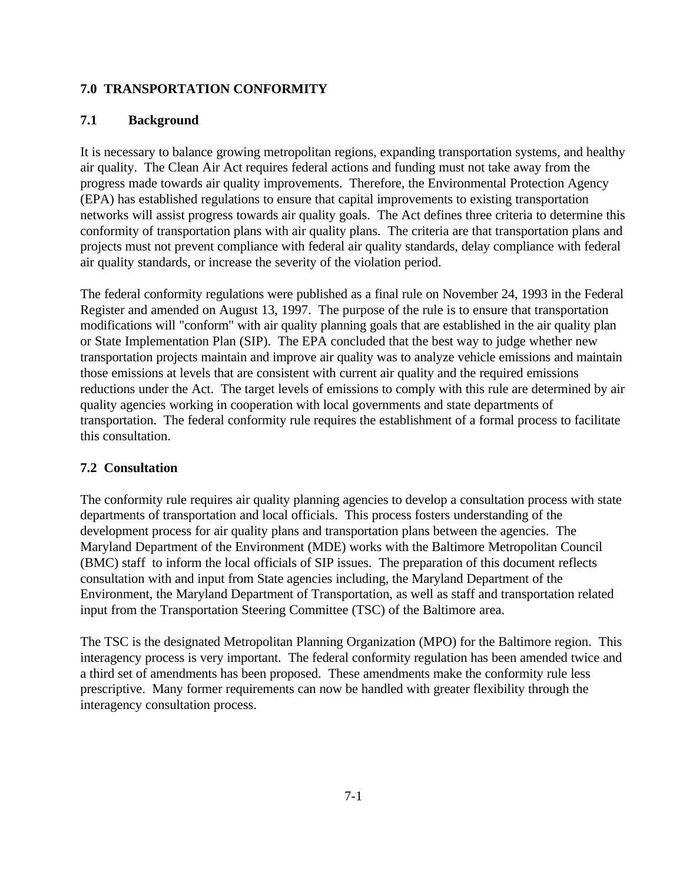### **7.0 TRANSPORTATION CONFORMITY**

### **7.1 Background**

It is necessary to balance growing metropolitan regions, expanding transportation systems, and healthy air quality. The Clean Air Act requires federal actions and funding must not take away from the progress made towards air quality improvements. Therefore, the Environmental Protection Agency (EPA) has established regulations to ensure that capital improvements to existing transportation networks will assist progress towards air quality goals. The Act defines three criteria to determine this conformity of transportation plans with air quality plans. The criteria are that transportation plans and projects must not prevent compliance with federal air quality standards, delay compliance with federal air quality standards, or increase the severity of the violation period.

The federal conformity regulations were published as a final rule on November 24, 1993 in the Federal Register and amended on August 13, 1997. The purpose of the rule is to ensure that transportation modifications will "conform" with air quality planning goals that are established in the air quality plan or State Implementation Plan (SIP). The EPA concluded that the best way to judge whether new transportation projects maintain and improve air quality was to analyze vehicle emissions and maintain those emissions at levels that are consistent with current air quality and the required emissions reductions under the Act. The target levels of emissions to comply with this rule are determined by air quality agencies working in cooperation with local governments and state departments of transportation. The federal conformity rule requires the establishment of a formal process to facilitate this consultation.

### **7.2 Consultation**

The conformity rule requires air quality planning agencies to develop a consultation process with state departments of transportation and local officials. This process fosters understanding of the development process for air quality plans and transportation plans between the agencies. The Maryland Department of the Environment (MDE) works with the Baltimore Metropolitan Council (BMC) staff to inform the local officials of SIP issues. The preparation of this document reflects consultation with and input from State agencies including, the Maryland Department of the Environment, the Maryland Department of Transportation, as well as staff and transportation related input from the Transportation Steering Committee (TSC) of the Baltimore area.

The TSC is the designated Metropolitan Planning Organization (MPO) for the Baltimore region. This interagency process is very important. The federal conformity regulation has been amended twice and a third set of amendments has been proposed. These amendments make the conformity rule less prescriptive. Many former requirements can now be handled with greater flexibility through the interagency consultation process.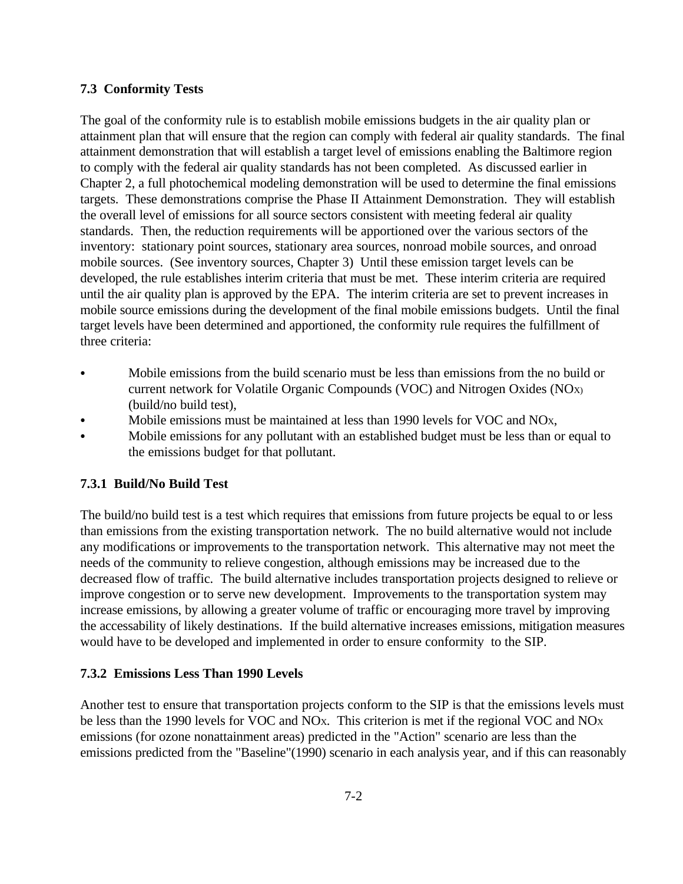#### **7.3 Conformity Tests**

The goal of the conformity rule is to establish mobile emissions budgets in the air quality plan or attainment plan that will ensure that the region can comply with federal air quality standards. The final attainment demonstration that will establish a target level of emissions enabling the Baltimore region to comply with the federal air quality standards has not been completed. As discussed earlier in Chapter 2, a full photochemical modeling demonstration will be used to determine the final emissions targets. These demonstrations comprise the Phase II Attainment Demonstration. They will establish the overall level of emissions for all source sectors consistent with meeting federal air quality standards. Then, the reduction requirements will be apportioned over the various sectors of the inventory: stationary point sources, stationary area sources, nonroad mobile sources, and onroad mobile sources. (See inventory sources, Chapter 3) Until these emission target levels can be developed, the rule establishes interim criteria that must be met. These interim criteria are required until the air quality plan is approved by the EPA. The interim criteria are set to prevent increases in mobile source emissions during the development of the final mobile emissions budgets. Until the final target levels have been determined and apportioned, the conformity rule requires the fulfillment of three criteria:

- Mobile emissions from the build scenario must be less than emissions from the no build or current network for Volatile Organic Compounds (VOC) and Nitrogen Oxides (NOX) (build/no build test),
- Mobile emissions must be maintained at less than 1990 levels for VOC and NO<sub>X</sub>,
- Mobile emissions for any pollutant with an established budget must be less than or equal to the emissions budget for that pollutant.

### **7.3.1 Build/No Build Test**

The build/no build test is a test which requires that emissions from future projects be equal to or less than emissions from the existing transportation network. The no build alternative would not include any modifications or improvements to the transportation network. This alternative may not meet the needs of the community to relieve congestion, although emissions may be increased due to the decreased flow of traffic. The build alternative includes transportation projects designed to relieve or improve congestion or to serve new development. Improvements to the transportation system may increase emissions, by allowing a greater volume of traffic or encouraging more travel by improving the accessability of likely destinations. If the build alternative increases emissions, mitigation measures would have to be developed and implemented in order to ensure conformity to the SIP.

### **7.3.2 Emissions Less Than 1990 Levels**

Another test to ensure that transportation projects conform to the SIP is that the emissions levels must be less than the 1990 levels for VOC and NOX. This criterion is met if the regional VOC and NO<sup>X</sup> emissions (for ozone nonattainment areas) predicted in the "Action" scenario are less than the emissions predicted from the "Baseline"(1990) scenario in each analysis year, and if this can reasonably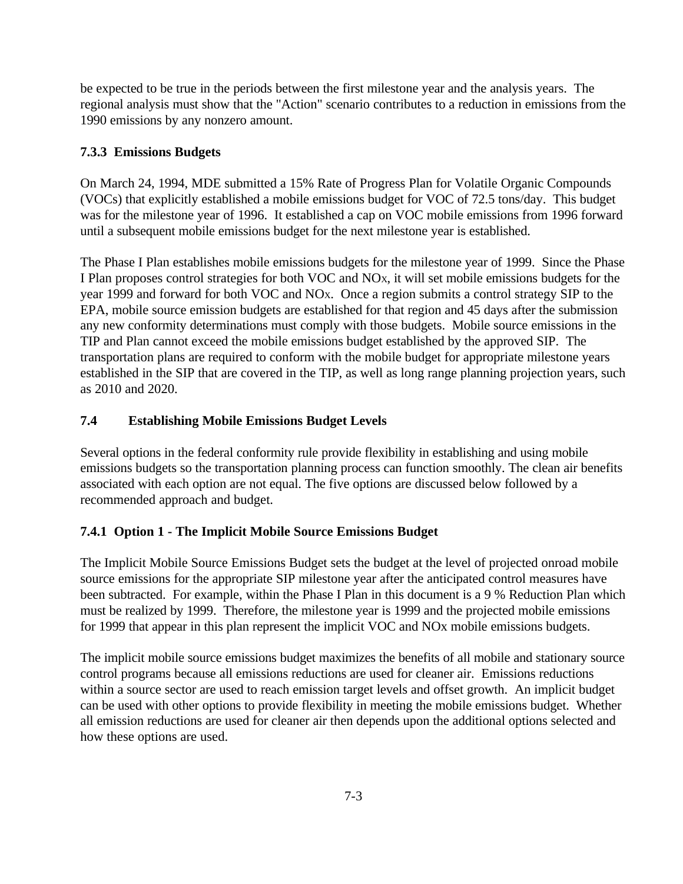be expected to be true in the periods between the first milestone year and the analysis years. The regional analysis must show that the "Action" scenario contributes to a reduction in emissions from the 1990 emissions by any nonzero amount.

### **7.3.3 Emissions Budgets**

On March 24, 1994, MDE submitted a 15% Rate of Progress Plan for Volatile Organic Compounds (VOCs) that explicitly established a mobile emissions budget for VOC of 72.5 tons/day. This budget was for the milestone year of 1996. It established a cap on VOC mobile emissions from 1996 forward until a subsequent mobile emissions budget for the next milestone year is established.

The Phase I Plan establishes mobile emissions budgets for the milestone year of 1999. Since the Phase I Plan proposes control strategies for both VOC and NOX, it will set mobile emissions budgets for the year 1999 and forward for both VOC and NOX. Once a region submits a control strategy SIP to the EPA, mobile source emission budgets are established for that region and 45 days after the submission any new conformity determinations must comply with those budgets. Mobile source emissions in the TIP and Plan cannot exceed the mobile emissions budget established by the approved SIP. The transportation plans are required to conform with the mobile budget for appropriate milestone years established in the SIP that are covered in the TIP, as well as long range planning projection years, such as 2010 and 2020.

## **7.4 Establishing Mobile Emissions Budget Levels**

Several options in the federal conformity rule provide flexibility in establishing and using mobile emissions budgets so the transportation planning process can function smoothly. The clean air benefits associated with each option are not equal. The five options are discussed below followed by a recommended approach and budget.

## **7.4.1 Option 1 - The Implicit Mobile Source Emissions Budget**

The Implicit Mobile Source Emissions Budget sets the budget at the level of projected onroad mobile source emissions for the appropriate SIP milestone year after the anticipated control measures have been subtracted. For example, within the Phase I Plan in this document is a 9 % Reduction Plan which must be realized by 1999. Therefore, the milestone year is 1999 and the projected mobile emissions for 1999 that appear in this plan represent the implicit VOC and NOx mobile emissions budgets.

The implicit mobile source emissions budget maximizes the benefits of all mobile and stationary source control programs because all emissions reductions are used for cleaner air. Emissions reductions within a source sector are used to reach emission target levels and offset growth. An implicit budget can be used with other options to provide flexibility in meeting the mobile emissions budget. Whether all emission reductions are used for cleaner air then depends upon the additional options selected and how these options are used.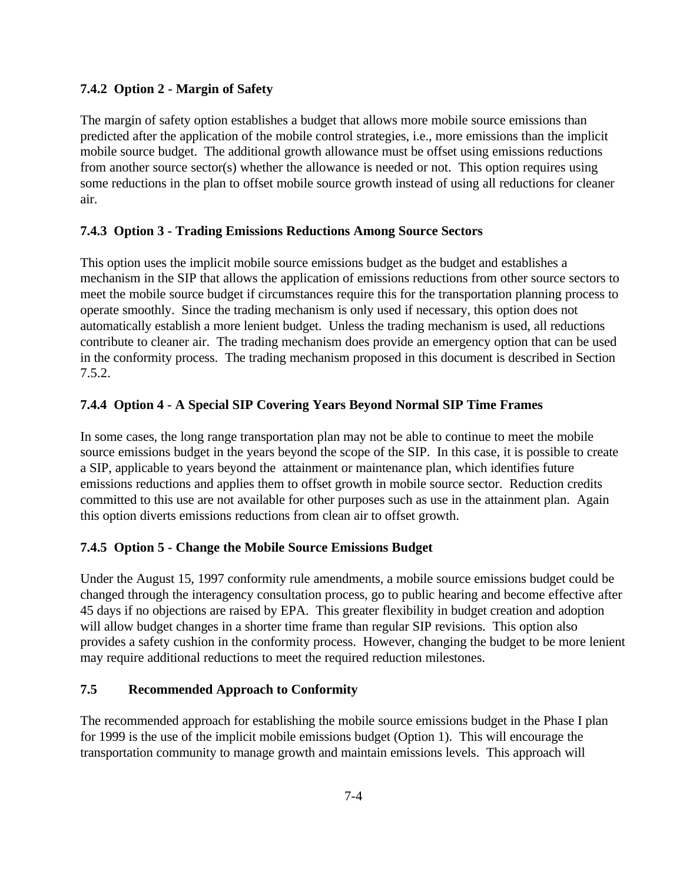## **7.4.2 Option 2 - Margin of Safety**

The margin of safety option establishes a budget that allows more mobile source emissions than predicted after the application of the mobile control strategies, i.e., more emissions than the implicit mobile source budget. The additional growth allowance must be offset using emissions reductions from another source sector(s) whether the allowance is needed or not. This option requires using some reductions in the plan to offset mobile source growth instead of using all reductions for cleaner air.

## **7.4.3 Option 3 - Trading Emissions Reductions Among Source Sectors**

This option uses the implicit mobile source emissions budget as the budget and establishes a mechanism in the SIP that allows the application of emissions reductions from other source sectors to meet the mobile source budget if circumstances require this for the transportation planning process to operate smoothly. Since the trading mechanism is only used if necessary, this option does not automatically establish a more lenient budget. Unless the trading mechanism is used, all reductions contribute to cleaner air. The trading mechanism does provide an emergency option that can be used in the conformity process. The trading mechanism proposed in this document is described in Section 7.5.2.

## **7.4.4 Option 4 - A Special SIP Covering Years Beyond Normal SIP Time Frames**

In some cases, the long range transportation plan may not be able to continue to meet the mobile source emissions budget in the years beyond the scope of the SIP. In this case, it is possible to create a SIP, applicable to years beyond the attainment or maintenance plan, which identifies future emissions reductions and applies them to offset growth in mobile source sector. Reduction credits committed to this use are not available for other purposes such as use in the attainment plan. Again this option diverts emissions reductions from clean air to offset growth.

## **7.4.5 Option 5 - Change the Mobile Source Emissions Budget**

Under the August 15, 1997 conformity rule amendments, a mobile source emissions budget could be changed through the interagency consultation process, go to public hearing and become effective after 45 days if no objections are raised by EPA. This greater flexibility in budget creation and adoption will allow budget changes in a shorter time frame than regular SIP revisions. This option also provides a safety cushion in the conformity process. However, changing the budget to be more lenient may require additional reductions to meet the required reduction milestones.

## **7.5 Recommended Approach to Conformity**

The recommended approach for establishing the mobile source emissions budget in the Phase I plan for 1999 is the use of the implicit mobile emissions budget (Option 1). This will encourage the transportation community to manage growth and maintain emissions levels. This approach will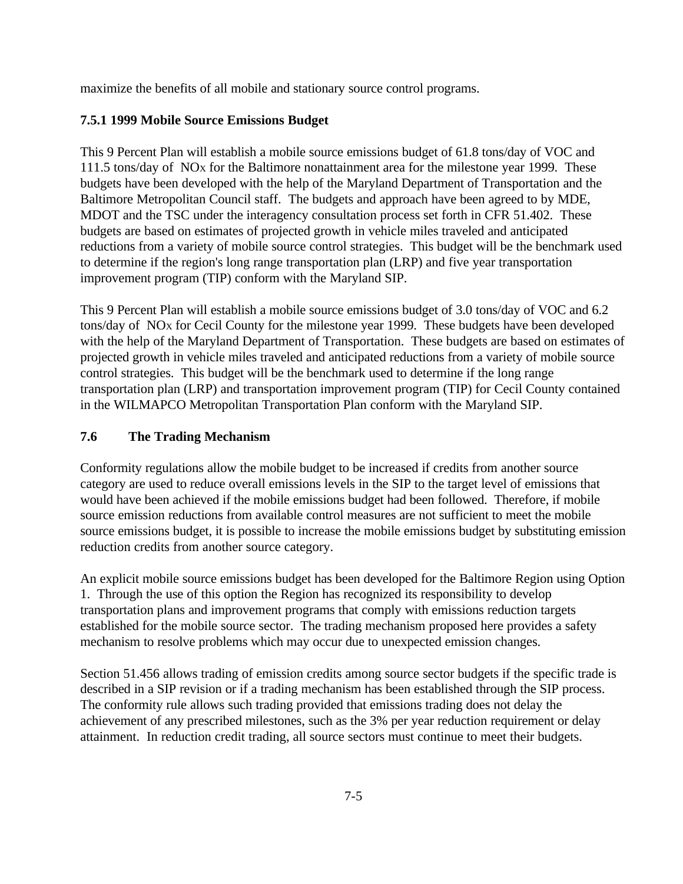maximize the benefits of all mobile and stationary source control programs.

## **7.5.1 1999 Mobile Source Emissions Budget**

This 9 Percent Plan will establish a mobile source emissions budget of 61.8 tons/day of VOC and 111.5 tons/day of NOX for the Baltimore nonattainment area for the milestone year 1999. These budgets have been developed with the help of the Maryland Department of Transportation and the Baltimore Metropolitan Council staff. The budgets and approach have been agreed to by MDE, MDOT and the TSC under the interagency consultation process set forth in CFR 51.402. These budgets are based on estimates of projected growth in vehicle miles traveled and anticipated reductions from a variety of mobile source control strategies. This budget will be the benchmark used to determine if the region's long range transportation plan (LRP) and five year transportation improvement program (TIP) conform with the Maryland SIP.

This 9 Percent Plan will establish a mobile source emissions budget of 3.0 tons/day of VOC and 6.2 tons/day of NOX for Cecil County for the milestone year 1999. These budgets have been developed with the help of the Maryland Department of Transportation. These budgets are based on estimates of projected growth in vehicle miles traveled and anticipated reductions from a variety of mobile source control strategies. This budget will be the benchmark used to determine if the long range transportation plan (LRP) and transportation improvement program (TIP) for Cecil County contained in the WILMAPCO Metropolitan Transportation Plan conform with the Maryland SIP.

## **7.6 The Trading Mechanism**

Conformity regulations allow the mobile budget to be increased if credits from another source category are used to reduce overall emissions levels in the SIP to the target level of emissions that would have been achieved if the mobile emissions budget had been followed. Therefore, if mobile source emission reductions from available control measures are not sufficient to meet the mobile source emissions budget, it is possible to increase the mobile emissions budget by substituting emission reduction credits from another source category.

An explicit mobile source emissions budget has been developed for the Baltimore Region using Option 1. Through the use of this option the Region has recognized its responsibility to develop transportation plans and improvement programs that comply with emissions reduction targets established for the mobile source sector. The trading mechanism proposed here provides a safety mechanism to resolve problems which may occur due to unexpected emission changes.

Section 51.456 allows trading of emission credits among source sector budgets if the specific trade is described in a SIP revision or if a trading mechanism has been established through the SIP process. The conformity rule allows such trading provided that emissions trading does not delay the achievement of any prescribed milestones, such as the 3% per year reduction requirement or delay attainment. In reduction credit trading, all source sectors must continue to meet their budgets.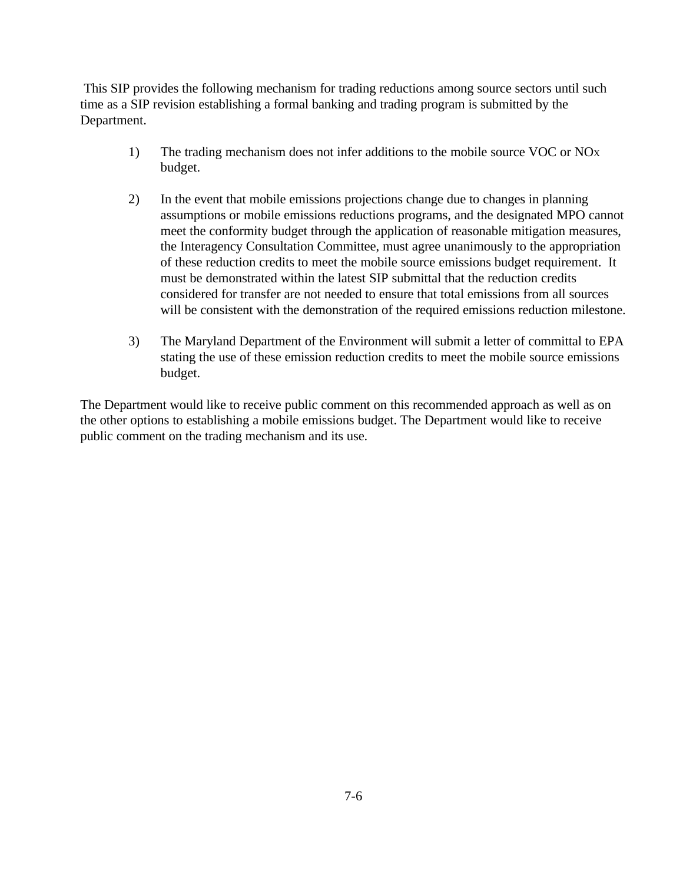This SIP provides the following mechanism for trading reductions among source sectors until such time as a SIP revision establishing a formal banking and trading program is submitted by the Department.

- 1) The trading mechanism does not infer additions to the mobile source VOC or NO<sup>X</sup> budget.
- 2) In the event that mobile emissions projections change due to changes in planning assumptions or mobile emissions reductions programs, and the designated MPO cannot meet the conformity budget through the application of reasonable mitigation measures, the Interagency Consultation Committee, must agree unanimously to the appropriation of these reduction credits to meet the mobile source emissions budget requirement. It must be demonstrated within the latest SIP submittal that the reduction credits considered for transfer are not needed to ensure that total emissions from all sources will be consistent with the demonstration of the required emissions reduction milestone.
- 3) The Maryland Department of the Environment will submit a letter of committal to EPA stating the use of these emission reduction credits to meet the mobile source emissions budget.

The Department would like to receive public comment on this recommended approach as well as on the other options to establishing a mobile emissions budget. The Department would like to receive public comment on the trading mechanism and its use.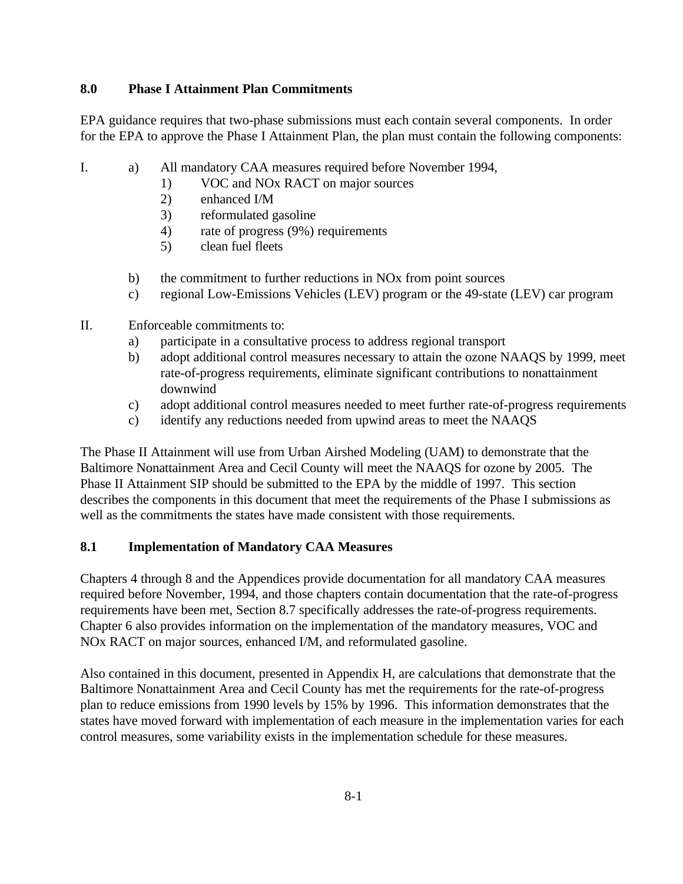### **8.0 Phase I Attainment Plan Commitments**

EPA guidance requires that two-phase submissions must each contain several components. In order for the EPA to approve the Phase I Attainment Plan, the plan must contain the following components:

- I. a) All mandatory CAA measures required before November 1994,
	- 1) VOC and NOx RACT on major sources
	- 2) enhanced I/M
	- 3) reformulated gasoline
	- 4) rate of progress (9%) requirements
	- 5) clean fuel fleets
	- b) the commitment to further reductions in NOx from point sources
	- c) regional Low-Emissions Vehicles (LEV) program or the 49-state (LEV) car program
- II. Enforceable commitments to:
	- a) participate in a consultative process to address regional transport
	- b) adopt additional control measures necessary to attain the ozone NAAQS by 1999, meet rate-of-progress requirements, eliminate significant contributions to nonattainment downwind
	- c) adopt additional control measures needed to meet further rate-of-progress requirements
	- c) identify any reductions needed from upwind areas to meet the NAAQS

The Phase II Attainment will use from Urban Airshed Modeling (UAM) to demonstrate that the Baltimore Nonattainment Area and Cecil County will meet the NAAQS for ozone by 2005. The Phase II Attainment SIP should be submitted to the EPA by the middle of 1997. This section describes the components in this document that meet the requirements of the Phase I submissions as well as the commitments the states have made consistent with those requirements.

## **8.1 Implementation of Mandatory CAA Measures**

Chapters 4 through 8 and the Appendices provide documentation for all mandatory CAA measures required before November, 1994, and those chapters contain documentation that the rate-of-progress requirements have been met, Section 8.7 specifically addresses the rate-of-progress requirements. Chapter 6 also provides information on the implementation of the mandatory measures, VOC and NOx RACT on major sources, enhanced I/M, and reformulated gasoline.

Also contained in this document, presented in Appendix H, are calculations that demonstrate that the Baltimore Nonattainment Area and Cecil County has met the requirements for the rate-of-progress plan to reduce emissions from 1990 levels by 15% by 1996. This information demonstrates that the states have moved forward with implementation of each measure in the implementation varies for each control measures, some variability exists in the implementation schedule for these measures.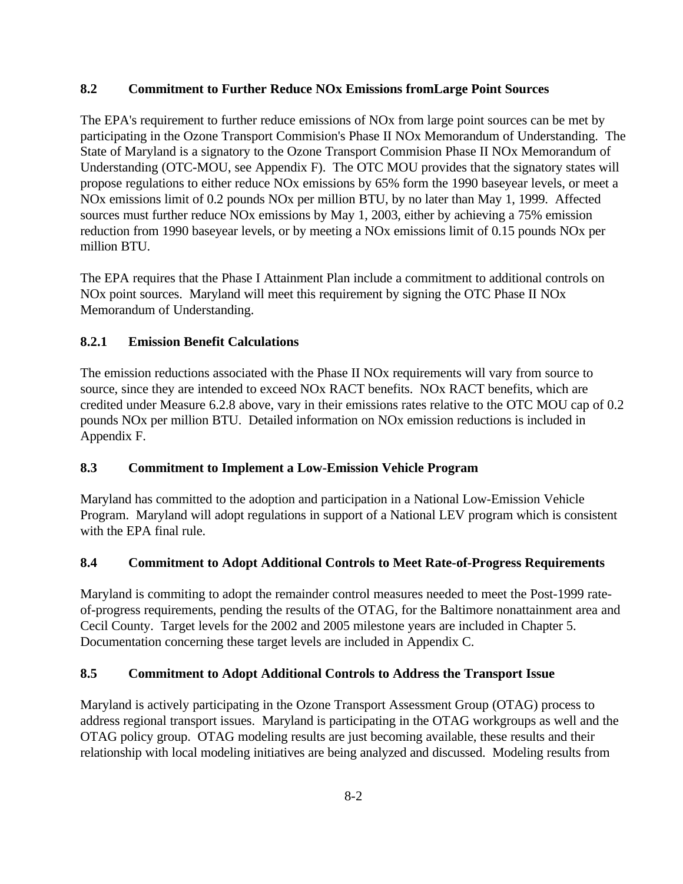## **8.2 Commitment to Further Reduce NOx Emissions fromLarge Point Sources**

The EPA's requirement to further reduce emissions of NOx from large point sources can be met by participating in the Ozone Transport Commision's Phase II NOx Memorandum of Understanding. The State of Maryland is a signatory to the Ozone Transport Commision Phase II NOx Memorandum of Understanding (OTC-MOU, see Appendix F). The OTC MOU provides that the signatory states will propose regulations to either reduce NOx emissions by 65% form the 1990 baseyear levels, or meet a NOx emissions limit of 0.2 pounds NOx per million BTU, by no later than May 1, 1999. Affected sources must further reduce NOx emissions by May 1, 2003, either by achieving a 75% emission reduction from 1990 baseyear levels, or by meeting a NOx emissions limit of 0.15 pounds NOx per million BTU.

The EPA requires that the Phase I Attainment Plan include a commitment to additional controls on NOx point sources. Maryland will meet this requirement by signing the OTC Phase II NOx Memorandum of Understanding.

## **8.2.1 Emission Benefit Calculations**

The emission reductions associated with the Phase II NOx requirements will vary from source to source, since they are intended to exceed NOx RACT benefits. NOx RACT benefits, which are credited under Measure 6.2.8 above, vary in their emissions rates relative to the OTC MOU cap of 0.2 pounds NOx per million BTU. Detailed information on NOx emission reductions is included in Appendix F.

## **8.3 Commitment to Implement a Low-Emission Vehicle Program**

Maryland has committed to the adoption and participation in a National Low-Emission Vehicle Program. Maryland will adopt regulations in support of a National LEV program which is consistent with the EPA final rule.

## **8.4 Commitment to Adopt Additional Controls to Meet Rate-of-Progress Requirements**

Maryland is commiting to adopt the remainder control measures needed to meet the Post-1999 rateof-progress requirements, pending the results of the OTAG, for the Baltimore nonattainment area and Cecil County. Target levels for the 2002 and 2005 milestone years are included in Chapter 5. Documentation concerning these target levels are included in Appendix C.

## **8.5 Commitment to Adopt Additional Controls to Address the Transport Issue**

Maryland is actively participating in the Ozone Transport Assessment Group (OTAG) process to address regional transport issues. Maryland is participating in the OTAG workgroups as well and the OTAG policy group. OTAG modeling results are just becoming available, these results and their relationship with local modeling initiatives are being analyzed and discussed. Modeling results from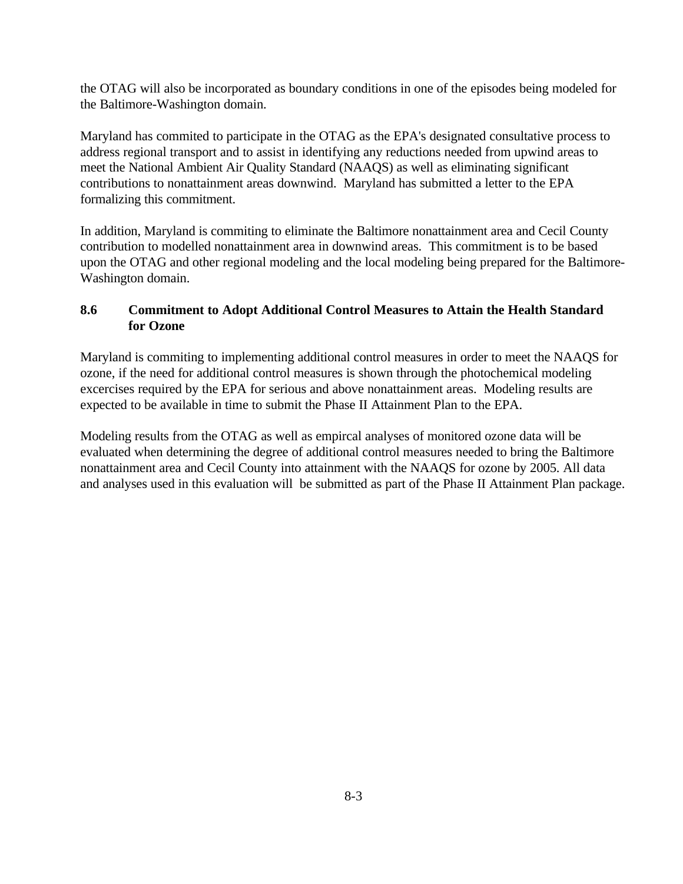the OTAG will also be incorporated as boundary conditions in one of the episodes being modeled for the Baltimore-Washington domain.

Maryland has commited to participate in the OTAG as the EPA's designated consultative process to address regional transport and to assist in identifying any reductions needed from upwind areas to meet the National Ambient Air Quality Standard (NAAQS) as well as eliminating significant contributions to nonattainment areas downwind. Maryland has submitted a letter to the EPA formalizing this commitment.

In addition, Maryland is commiting to eliminate the Baltimore nonattainment area and Cecil County contribution to modelled nonattainment area in downwind areas. This commitment is to be based upon the OTAG and other regional modeling and the local modeling being prepared for the Baltimore-Washington domain.

## **8.6 Commitment to Adopt Additional Control Measures to Attain the Health Standard for Ozone**

Maryland is commiting to implementing additional control measures in order to meet the NAAQS for ozone, if the need for additional control measures is shown through the photochemical modeling excercises required by the EPA for serious and above nonattainment areas. Modeling results are expected to be available in time to submit the Phase II Attainment Plan to the EPA.

Modeling results from the OTAG as well as empircal analyses of monitored ozone data will be evaluated when determining the degree of additional control measures needed to bring the Baltimore nonattainment area and Cecil County into attainment with the NAAQS for ozone by 2005. All data and analyses used in this evaluation will be submitted as part of the Phase II Attainment Plan package.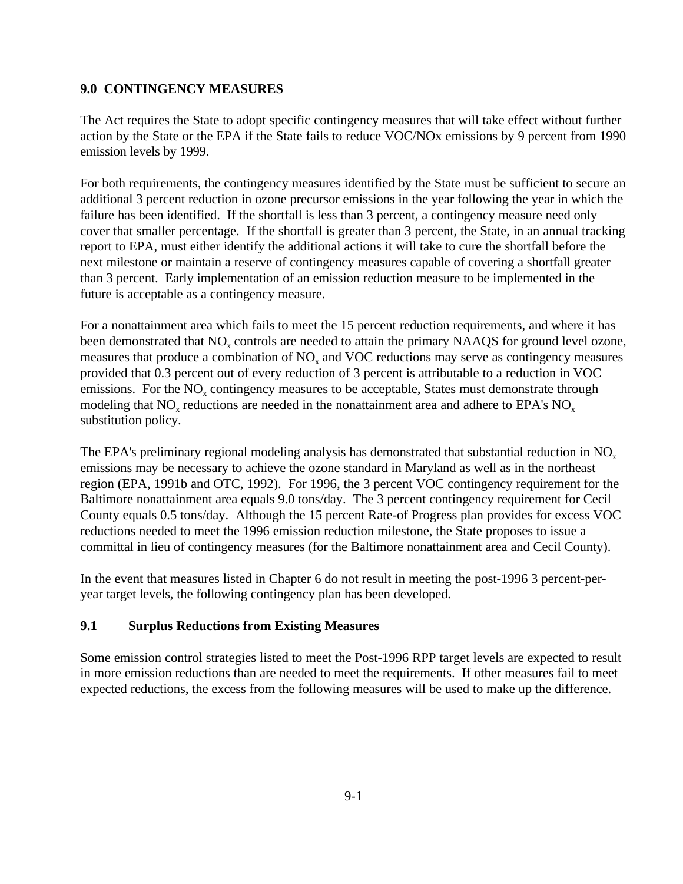### **9.0 CONTINGENCY MEASURES**

The Act requires the State to adopt specific contingency measures that will take effect without further action by the State or the EPA if the State fails to reduce VOC/NOx emissions by 9 percent from 1990 emission levels by 1999.

For both requirements, the contingency measures identified by the State must be sufficient to secure an additional 3 percent reduction in ozone precursor emissions in the year following the year in which the failure has been identified. If the shortfall is less than 3 percent, a contingency measure need only cover that smaller percentage. If the shortfall is greater than 3 percent, the State, in an annual tracking report to EPA, must either identify the additional actions it will take to cure the shortfall before the next milestone or maintain a reserve of contingency measures capable of covering a shortfall greater than 3 percent. Early implementation of an emission reduction measure to be implemented in the future is acceptable as a contingency measure.

For a nonattainment area which fails to meet the 15 percent reduction requirements, and where it has been demonstrated that NO<sub>x</sub> controls are needed to attain the primary NAAQS for ground level ozone, measures that produce a combination of  $NO<sub>x</sub>$  and  $VOC$  reductions may serve as contingency measures provided that 0.3 percent out of every reduction of 3 percent is attributable to a reduction in VOC emissions. For the  $NO<sub>x</sub>$  contingency measures to be acceptable, States must demonstrate through modeling that  $NO_x$  reductions are needed in the nonattainment area and adhere to EPA's  $NO_x$ substitution policy.

The EPA's preliminary regional modeling analysis has demonstrated that substantial reduction in  $NO<sub>x</sub>$ emissions may be necessary to achieve the ozone standard in Maryland as well as in the northeast region (EPA, 1991b and OTC, 1992). For 1996, the 3 percent VOC contingency requirement for the Baltimore nonattainment area equals 9.0 tons/day. The 3 percent contingency requirement for Cecil County equals 0.5 tons/day. Although the 15 percent Rate-of Progress plan provides for excess VOC reductions needed to meet the 1996 emission reduction milestone, the State proposes to issue a committal in lieu of contingency measures (for the Baltimore nonattainment area and Cecil County).

In the event that measures listed in Chapter 6 do not result in meeting the post-1996 3 percent-peryear target levels, the following contingency plan has been developed.

## **9.1 Surplus Reductions from Existing Measures**

Some emission control strategies listed to meet the Post-1996 RPP target levels are expected to result in more emission reductions than are needed to meet the requirements. If other measures fail to meet expected reductions, the excess from the following measures will be used to make up the difference.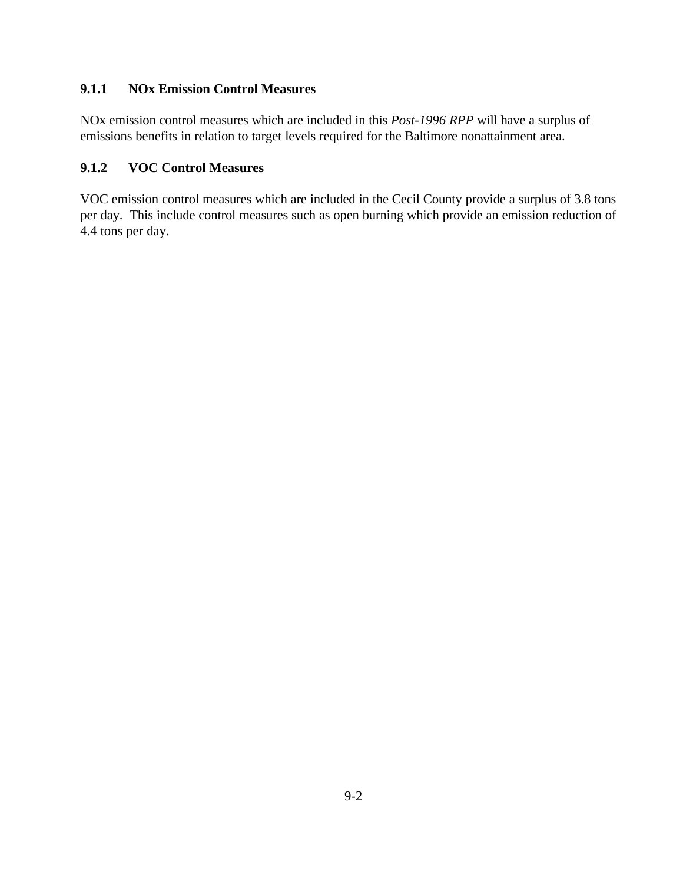## **9.1.1 NOx Emission Control Measures**

NOx emission control measures which are included in this *Post-1996 RPP* will have a surplus of emissions benefits in relation to target levels required for the Baltimore nonattainment area.

# **9.1.2 VOC Control Measures**

VOC emission control measures which are included in the Cecil County provide a surplus of 3.8 tons per day. This include control measures such as open burning which provide an emission reduction of 4.4 tons per day.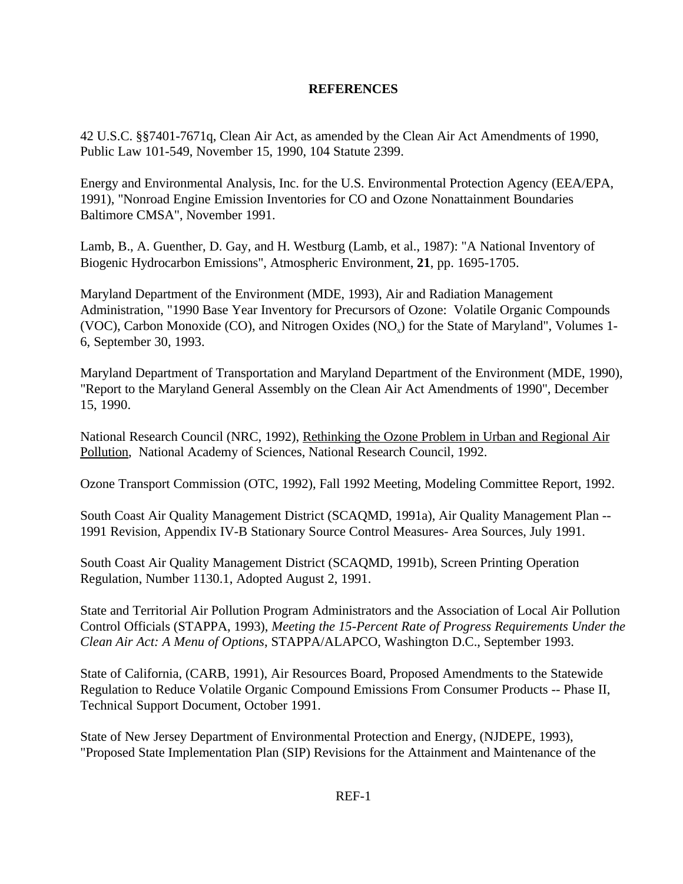## **REFERENCES**

42 U.S.C. §§7401-7671q, Clean Air Act, as amended by the Clean Air Act Amendments of 1990, Public Law 101-549, November 15, 1990, 104 Statute 2399.

Energy and Environmental Analysis, Inc. for the U.S. Environmental Protection Agency (EEA/EPA, 1991), "Nonroad Engine Emission Inventories for CO and Ozone Nonattainment Boundaries Baltimore CMSA", November 1991.

Lamb, B., A. Guenther, D. Gay, and H. Westburg (Lamb, et al., 1987): "A National Inventory of Biogenic Hydrocarbon Emissions", Atmospheric Environment, **21**, pp. 1695-1705.

Maryland Department of the Environment (MDE, 1993), Air and Radiation Management Administration, "1990 Base Year Inventory for Precursors of Ozone: Volatile Organic Compounds (VOC), Carbon Monoxide (CO), and Nitrogen Oxides (NO<sub>v</sub>) for the State of Maryland", Volumes 1-6, September 30, 1993.

Maryland Department of Transportation and Maryland Department of the Environment (MDE, 1990), "Report to the Maryland General Assembly on the Clean Air Act Amendments of 1990", December 15, 1990.

National Research Council (NRC, 1992), Rethinking the Ozone Problem in Urban and Regional Air Pollution, National Academy of Sciences, National Research Council, 1992.

Ozone Transport Commission (OTC, 1992), Fall 1992 Meeting, Modeling Committee Report, 1992.

South Coast Air Quality Management District (SCAQMD, 1991a), Air Quality Management Plan -- 1991 Revision, Appendix IV-B Stationary Source Control Measures- Area Sources, July 1991.

South Coast Air Quality Management District (SCAQMD, 1991b), Screen Printing Operation Regulation, Number 1130.1, Adopted August 2, 1991.

State and Territorial Air Pollution Program Administrators and the Association of Local Air Pollution Control Officials (STAPPA, 1993), *Meeting the 15-Percent Rate of Progress Requirements Under the Clean Air Act: A Menu of Options*, STAPPA/ALAPCO, Washington D.C., September 1993.

State of California, (CARB, 1991), Air Resources Board, Proposed Amendments to the Statewide Regulation to Reduce Volatile Organic Compound Emissions From Consumer Products -- Phase II, Technical Support Document, October 1991.

State of New Jersey Department of Environmental Protection and Energy, (NJDEPE, 1993), "Proposed State Implementation Plan (SIP) Revisions for the Attainment and Maintenance of the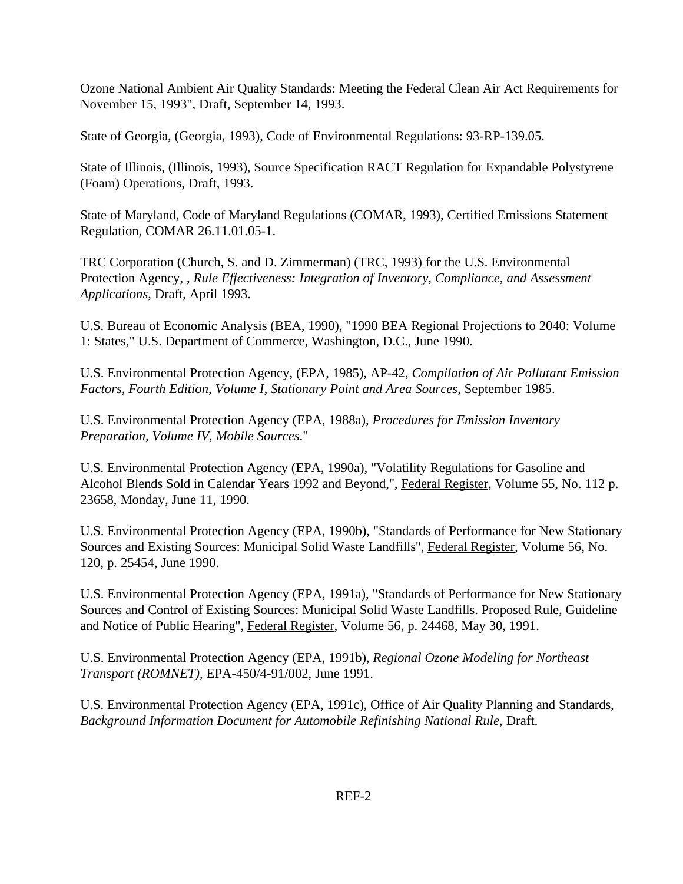Ozone National Ambient Air Quality Standards: Meeting the Federal Clean Air Act Requirements for November 15, 1993", Draft, September 14, 1993.

State of Georgia, (Georgia, 1993), Code of Environmental Regulations: 93-RP-139.05.

State of Illinois, (Illinois, 1993), Source Specification RACT Regulation for Expandable Polystyrene (Foam) Operations, Draft, 1993.

State of Maryland, Code of Maryland Regulations (COMAR, 1993), Certified Emissions Statement Regulation, COMAR 26.11.01.05-1.

TRC Corporation (Church, S. and D. Zimmerman) (TRC, 1993) for the U.S. Environmental Protection Agency, , *Rule Effectiveness: Integration of Inventory, Compliance, and Assessment Applications*, Draft, April 1993.

U.S. Bureau of Economic Analysis (BEA, 1990), "1990 BEA Regional Projections to 2040: Volume 1: States," U.S. Department of Commerce, Washington, D.C., June 1990.

U.S. Environmental Protection Agency, (EPA, 1985), AP-42, *Compilation of Air Pollutant Emission Factors, Fourth Edition, Volume I, Stationary Point and Area Sources*, September 1985.

U.S. Environmental Protection Agency (EPA, 1988a), *Procedures for Emission Inventory Preparation, Volume IV, Mobile Sources*."

U.S. Environmental Protection Agency (EPA, 1990a), "Volatility Regulations for Gasoline and Alcohol Blends Sold in Calendar Years 1992 and Beyond,", Federal Register, Volume 55, No. 112 p. 23658, Monday, June 11, 1990.

U.S. Environmental Protection Agency (EPA, 1990b), "Standards of Performance for New Stationary Sources and Existing Sources: Municipal Solid Waste Landfills", Federal Register, Volume 56, No. 120, p. 25454, June 1990.

U.S. Environmental Protection Agency (EPA, 1991a), "Standards of Performance for New Stationary Sources and Control of Existing Sources: Municipal Solid Waste Landfills. Proposed Rule, Guideline and Notice of Public Hearing", Federal Register, Volume 56, p. 24468, May 30, 1991.

U.S. Environmental Protection Agency (EPA, 1991b), *Regional Ozone Modeling for Northeast Transport (ROMNET)*, EPA-450/4-91/002, June 1991.

U.S. Environmental Protection Agency (EPA, 1991c), Office of Air Quality Planning and Standards, *Background Information Document for Automobile Refinishing National Rule*, Draft.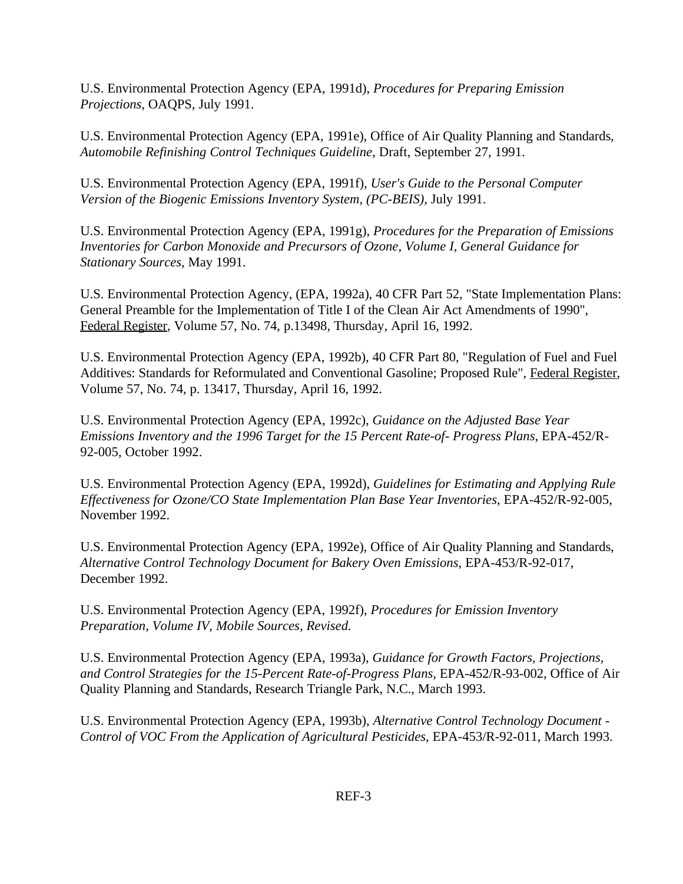U.S. Environmental Protection Agency (EPA, 1991d), *Procedures for Preparing Emission Projections*, OAQPS, July 1991.

U.S. Environmental Protection Agency (EPA, 1991e), Office of Air Quality Planning and Standards, *Automobile Refinishing Control Techniques Guideline*, Draft, September 27, 1991.

U.S. Environmental Protection Agency (EPA, 1991f), *User's Guide to the Personal Computer Version of the Biogenic Emissions Inventory System, (PC-BEIS)*, July 1991.

U.S. Environmental Protection Agency (EPA, 1991g), *Procedures for the Preparation of Emissions Inventories for Carbon Monoxide and Precursors of Ozone, Volume I, General Guidance for Stationary Sources*, May 1991.

U.S. Environmental Protection Agency, (EPA, 1992a), 40 CFR Part 52, "State Implementation Plans: General Preamble for the Implementation of Title I of the Clean Air Act Amendments of 1990", Federal Register, Volume 57, No. 74, p.13498, Thursday, April 16, 1992.

U.S. Environmental Protection Agency (EPA, 1992b), 40 CFR Part 80, "Regulation of Fuel and Fuel Additives: Standards for Reformulated and Conventional Gasoline; Proposed Rule", Federal Register, Volume 57, No. 74, p. 13417, Thursday, April 16, 1992.

U.S. Environmental Protection Agency (EPA, 1992c), *Guidance on the Adjusted Base Year Emissions Inventory and the 1996 Target for the 15 Percent Rate-of- Progress Plans*, EPA-452/R-92-005, October 1992.

U.S. Environmental Protection Agency (EPA, 1992d), *Guidelines for Estimating and Applying Rule Effectiveness for Ozone/CO State Implementation Plan Base Year Inventories*, EPA-452/R-92-005, November 1992.

U.S. Environmental Protection Agency (EPA, 1992e), Office of Air Quality Planning and Standards, *Alternative Control Technology Document for Bakery Oven Emissions*, EPA-453/R-92-017, December 1992.

U.S. Environmental Protection Agency (EPA, 1992f), *Procedures for Emission Inventory Preparation, Volume IV, Mobile Sources, Revised.*

U.S. Environmental Protection Agency (EPA, 1993a), *Guidance for Growth Factors, Projections, and Control Strategies for the 15-Percent Rate-of-Progress Plans*, EPA-452/R-93-002, Office of Air Quality Planning and Standards, Research Triangle Park, N.C., March 1993.

U.S. Environmental Protection Agency (EPA, 1993b), *Alternative Control Technology Document - Control of VOC From the Application of Agricultural Pesticides*, EPA-453/R-92-011, March 1993.